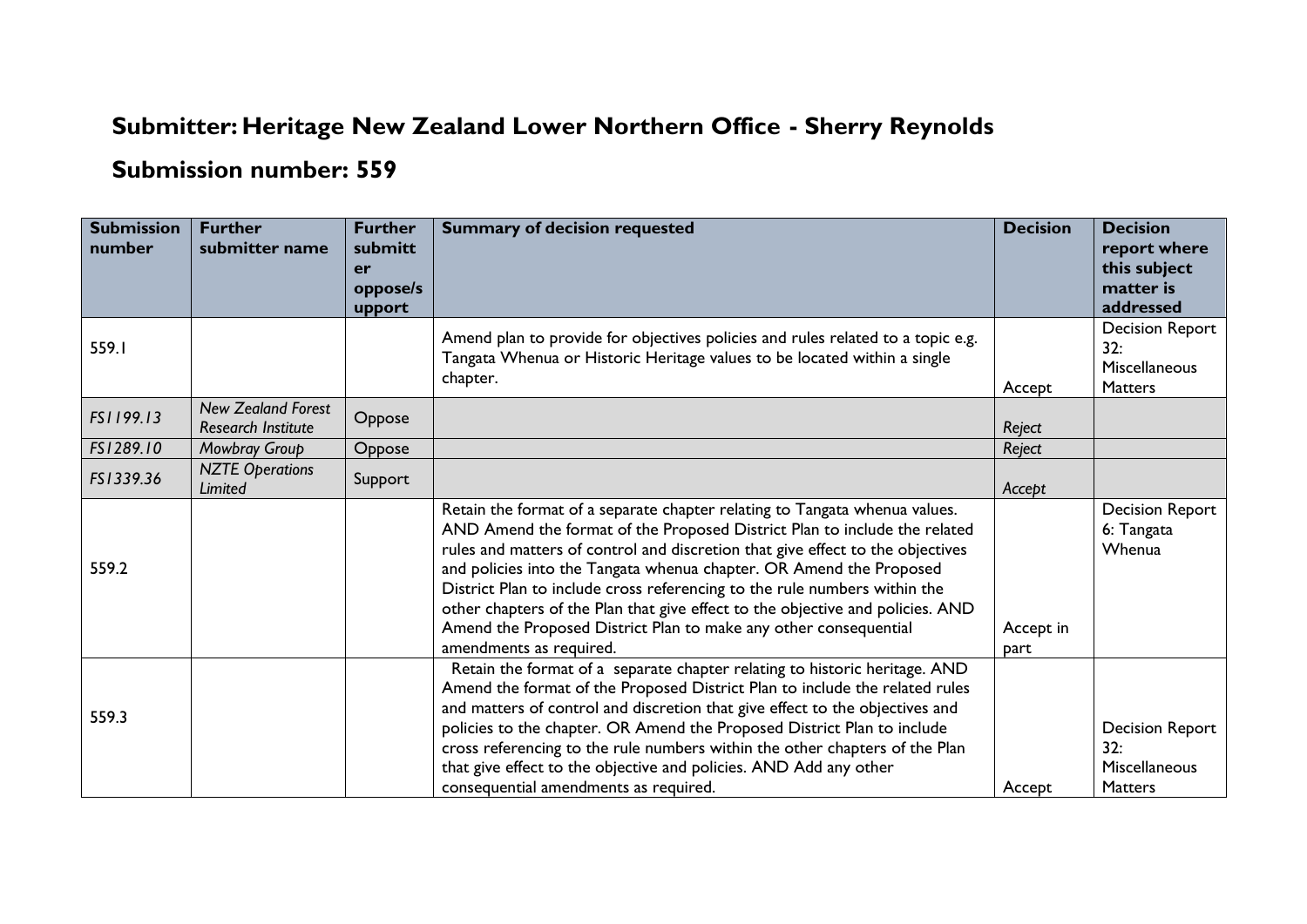## **Submitter: Heritage New Zealand Lower Northern Office - Sherry Reynolds**

## **Submission number: 559**

| <b>Submission</b><br>number | <b>Further</b><br>submitter name                       | <b>Further</b><br>submitt | <b>Summary of decision requested</b>                                                                                                                                                                                                                                                                                                                                                                                                                                                                                                                                           | <b>Decision</b>   | <b>Decision</b><br>report where                                  |
|-----------------------------|--------------------------------------------------------|---------------------------|--------------------------------------------------------------------------------------------------------------------------------------------------------------------------------------------------------------------------------------------------------------------------------------------------------------------------------------------------------------------------------------------------------------------------------------------------------------------------------------------------------------------------------------------------------------------------------|-------------------|------------------------------------------------------------------|
|                             |                                                        | er                        |                                                                                                                                                                                                                                                                                                                                                                                                                                                                                                                                                                                |                   | this subject                                                     |
|                             |                                                        | oppose/s                  |                                                                                                                                                                                                                                                                                                                                                                                                                                                                                                                                                                                |                   | matter is                                                        |
|                             |                                                        | upport                    |                                                                                                                                                                                                                                                                                                                                                                                                                                                                                                                                                                                |                   | addressed                                                        |
| 559.I                       |                                                        |                           | Amend plan to provide for objectives policies and rules related to a topic e.g.<br>Tangata Whenua or Historic Heritage values to be located within a single<br>chapter.                                                                                                                                                                                                                                                                                                                                                                                                        |                   | <b>Decision Report</b><br>32:<br><b>Miscellaneous</b>            |
|                             |                                                        |                           |                                                                                                                                                                                                                                                                                                                                                                                                                                                                                                                                                                                | Accept            | Matters                                                          |
| FS1199.13                   | <b>New Zealand Forest</b><br><b>Research Institute</b> | Oppose                    |                                                                                                                                                                                                                                                                                                                                                                                                                                                                                                                                                                                | Reject            |                                                                  |
| FS1289.10                   | Mowbray Group                                          | Oppose                    |                                                                                                                                                                                                                                                                                                                                                                                                                                                                                                                                                                                | Reject            |                                                                  |
| FS1339.36                   | <b>NZTE Operations</b><br>Limited                      | Support                   |                                                                                                                                                                                                                                                                                                                                                                                                                                                                                                                                                                                | Accept            |                                                                  |
| 559.2                       |                                                        |                           | Retain the format of a separate chapter relating to Tangata whenua values.<br>AND Amend the format of the Proposed District Plan to include the related<br>rules and matters of control and discretion that give effect to the objectives<br>and policies into the Tangata whenua chapter. OR Amend the Proposed<br>District Plan to include cross referencing to the rule numbers within the<br>other chapters of the Plan that give effect to the objective and policies. AND<br>Amend the Proposed District Plan to make any other consequential<br>amendments as required. | Accept in<br>part | <b>Decision Report</b><br>6: Tangata<br>Whenua                   |
| 559.3                       |                                                        |                           | Retain the format of a separate chapter relating to historic heritage. AND<br>Amend the format of the Proposed District Plan to include the related rules<br>and matters of control and discretion that give effect to the objectives and<br>policies to the chapter. OR Amend the Proposed District Plan to include<br>cross referencing to the rule numbers within the other chapters of the Plan<br>that give effect to the objective and policies. AND Add any other<br>consequential amendments as required.                                                              | Accept            | <b>Decision Report</b><br>32:<br>Miscellaneous<br><b>Matters</b> |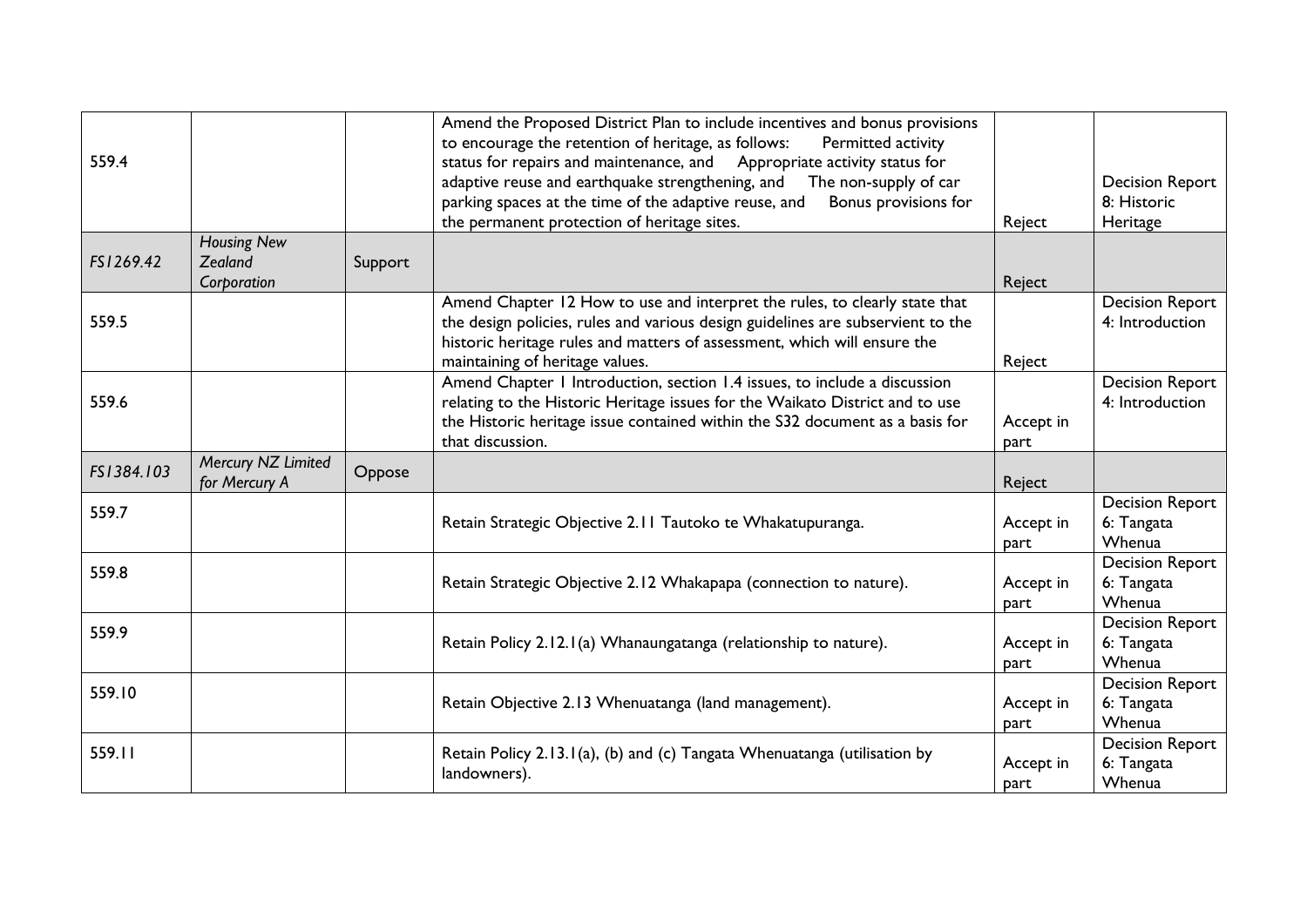| 559.4      |                                              |         | Amend the Proposed District Plan to include incentives and bonus provisions<br>to encourage the retention of heritage, as follows:<br>Permitted activity<br>status for repairs and maintenance, and Appropriate activity status for<br>adaptive reuse and earthquake strengthening, and<br>The non-supply of car<br>parking spaces at the time of the adaptive reuse, and<br>Bonus provisions for<br>the permanent protection of heritage sites. | Reject            | <b>Decision Report</b><br>8: Historic<br>Heritage |
|------------|----------------------------------------------|---------|--------------------------------------------------------------------------------------------------------------------------------------------------------------------------------------------------------------------------------------------------------------------------------------------------------------------------------------------------------------------------------------------------------------------------------------------------|-------------------|---------------------------------------------------|
| FS1269.42  | <b>Housing New</b><br>Zealand<br>Corporation | Support |                                                                                                                                                                                                                                                                                                                                                                                                                                                  | Reject            |                                                   |
| 559.5      |                                              |         | Amend Chapter 12 How to use and interpret the rules, to clearly state that<br>the design policies, rules and various design guidelines are subservient to the<br>historic heritage rules and matters of assessment, which will ensure the<br>maintaining of heritage values.                                                                                                                                                                     | Reject            | <b>Decision Report</b><br>4: Introduction         |
| 559.6      |                                              |         | Amend Chapter 1 Introduction, section 1.4 issues, to include a discussion<br>relating to the Historic Heritage issues for the Waikato District and to use<br>the Historic heritage issue contained within the S32 document as a basis for<br>that discussion.                                                                                                                                                                                    | Accept in<br>part | <b>Decision Report</b><br>4: Introduction         |
| FS1384.103 | Mercury NZ Limited                           |         |                                                                                                                                                                                                                                                                                                                                                                                                                                                  |                   |                                                   |
|            | for Mercury A                                | Oppose  |                                                                                                                                                                                                                                                                                                                                                                                                                                                  | Reject            |                                                   |
| 559.7      |                                              |         | Retain Strategic Objective 2.11 Tautoko te Whakatupuranga.                                                                                                                                                                                                                                                                                                                                                                                       | Accept in<br>part | <b>Decision Report</b><br>6: Tangata<br>Whenua    |
| 559.8      |                                              |         | Retain Strategic Objective 2.12 Whakapapa (connection to nature).                                                                                                                                                                                                                                                                                                                                                                                | Accept in<br>part | <b>Decision Report</b><br>6: Tangata<br>Whenua    |
| 559.9      |                                              |         | Retain Policy 2.12.1(a) Whanaungatanga (relationship to nature).                                                                                                                                                                                                                                                                                                                                                                                 | Accept in<br>part | <b>Decision Report</b><br>6: Tangata<br>Whenua    |
| 559.10     |                                              |         | Retain Objective 2.13 Whenuatanga (land management).                                                                                                                                                                                                                                                                                                                                                                                             | Accept in<br>part | <b>Decision Report</b><br>6: Tangata<br>Whenua    |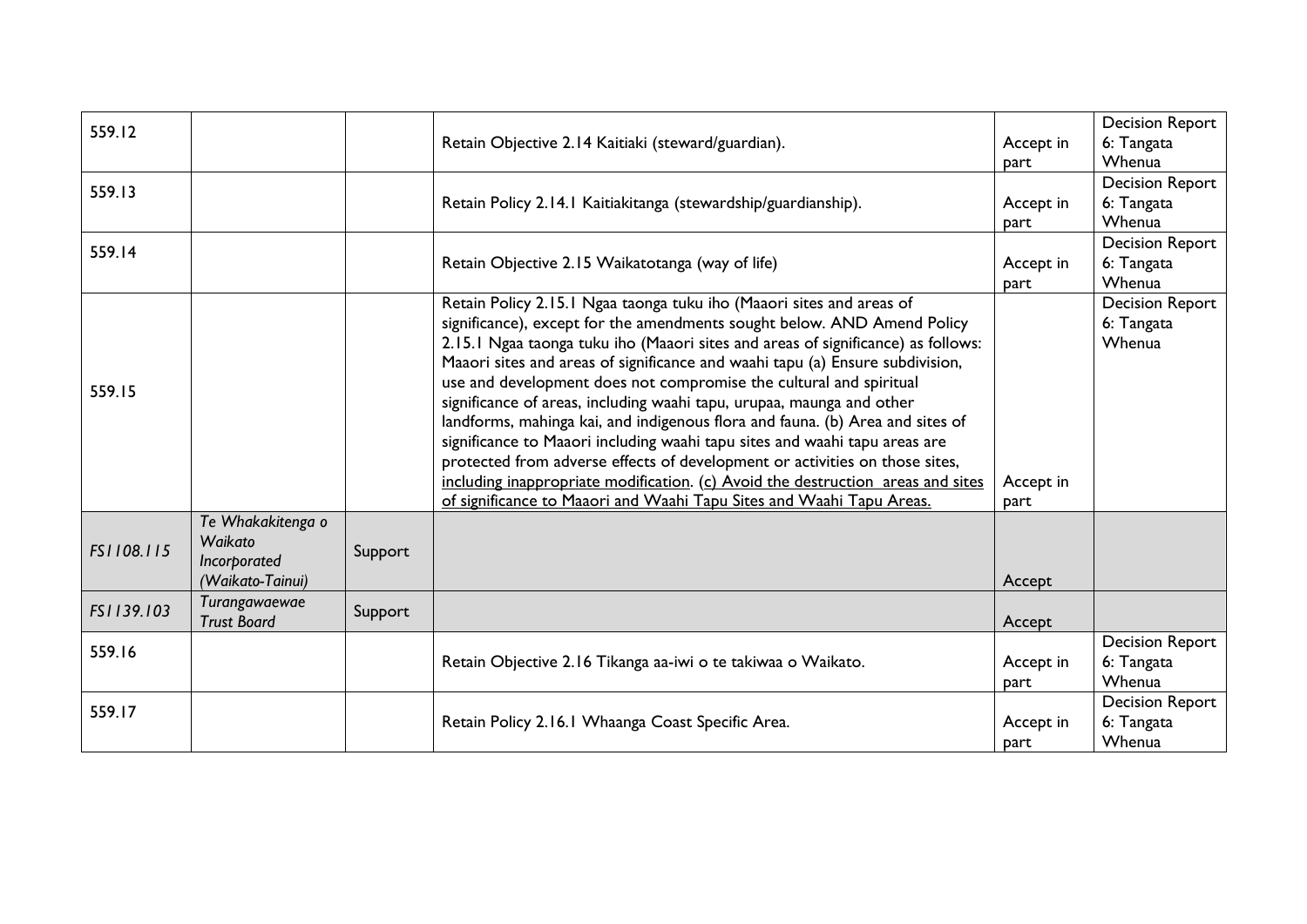| 559.12     |                    |         |                                                                                  |           | <b>Decision Report</b> |
|------------|--------------------|---------|----------------------------------------------------------------------------------|-----------|------------------------|
|            |                    |         | Retain Objective 2.14 Kaitiaki (steward/guardian).                               | Accept in | 6: Tangata             |
|            |                    |         |                                                                                  | part      | Whenua                 |
| 559.13     |                    |         |                                                                                  |           | <b>Decision Report</b> |
|            |                    |         | Retain Policy 2.14.1 Kaitiakitanga (stewardship/guardianship).                   | Accept in | 6: Tangata             |
|            |                    |         |                                                                                  | part      | Whenua                 |
| 559.14     |                    |         |                                                                                  |           | <b>Decision Report</b> |
|            |                    |         | Retain Objective 2.15 Waikatotanga (way of life)                                 | Accept in | 6: Tangata             |
|            |                    |         |                                                                                  | part      | Whenua                 |
|            |                    |         | Retain Policy 2.15.1 Ngaa taonga tuku iho (Maaori sites and areas of             |           | <b>Decision Report</b> |
|            |                    |         | significance), except for the amendments sought below. AND Amend Policy          |           | 6: Tangata             |
|            |                    |         | 2.15.1 Ngaa taonga tuku iho (Maaori sites and areas of significance) as follows: |           | Whenua                 |
|            |                    |         | Maaori sites and areas of significance and waahi tapu (a) Ensure subdivision,    |           |                        |
| 559.15     |                    |         | use and development does not compromise the cultural and spiritual               |           |                        |
|            |                    |         | significance of areas, including waahi tapu, urupaa, maunga and other            |           |                        |
|            |                    |         | landforms, mahinga kai, and indigenous flora and fauna. (b) Area and sites of    |           |                        |
|            |                    |         | significance to Maaori including waahi tapu sites and waahi tapu areas are       |           |                        |
|            |                    |         | protected from adverse effects of development or activities on those sites,      |           |                        |
|            |                    |         | including inappropriate modification. (c) Avoid the destruction areas and sites  | Accept in |                        |
|            |                    |         | of significance to Maaori and Waahi Tapu Sites and Waahi Tapu Areas.             | part      |                        |
|            | Te Whakakitenga o  |         |                                                                                  |           |                        |
| FS1108.115 | Waikato            |         |                                                                                  |           |                        |
|            | Incorporated       | Support |                                                                                  |           |                        |
|            | (Waikato-Tainui)   |         |                                                                                  | Accept    |                        |
| FS1139.103 | Turangawaewae      | Support |                                                                                  |           |                        |
|            | <b>Trust Board</b> |         |                                                                                  | Accept    |                        |
| 559.16     |                    |         |                                                                                  |           | <b>Decision Report</b> |
|            |                    |         | Retain Objective 2.16 Tikanga aa-iwi o te takiwaa o Waikato.                     | Accept in | 6: Tangata             |
|            |                    |         |                                                                                  | part      | Whenua                 |
| 559.17     |                    |         |                                                                                  |           | <b>Decision Report</b> |
|            |                    |         | Retain Policy 2.16.1 Whaanga Coast Specific Area.                                | Accept in | 6: Tangata             |
|            |                    |         |                                                                                  | part      | Whenua                 |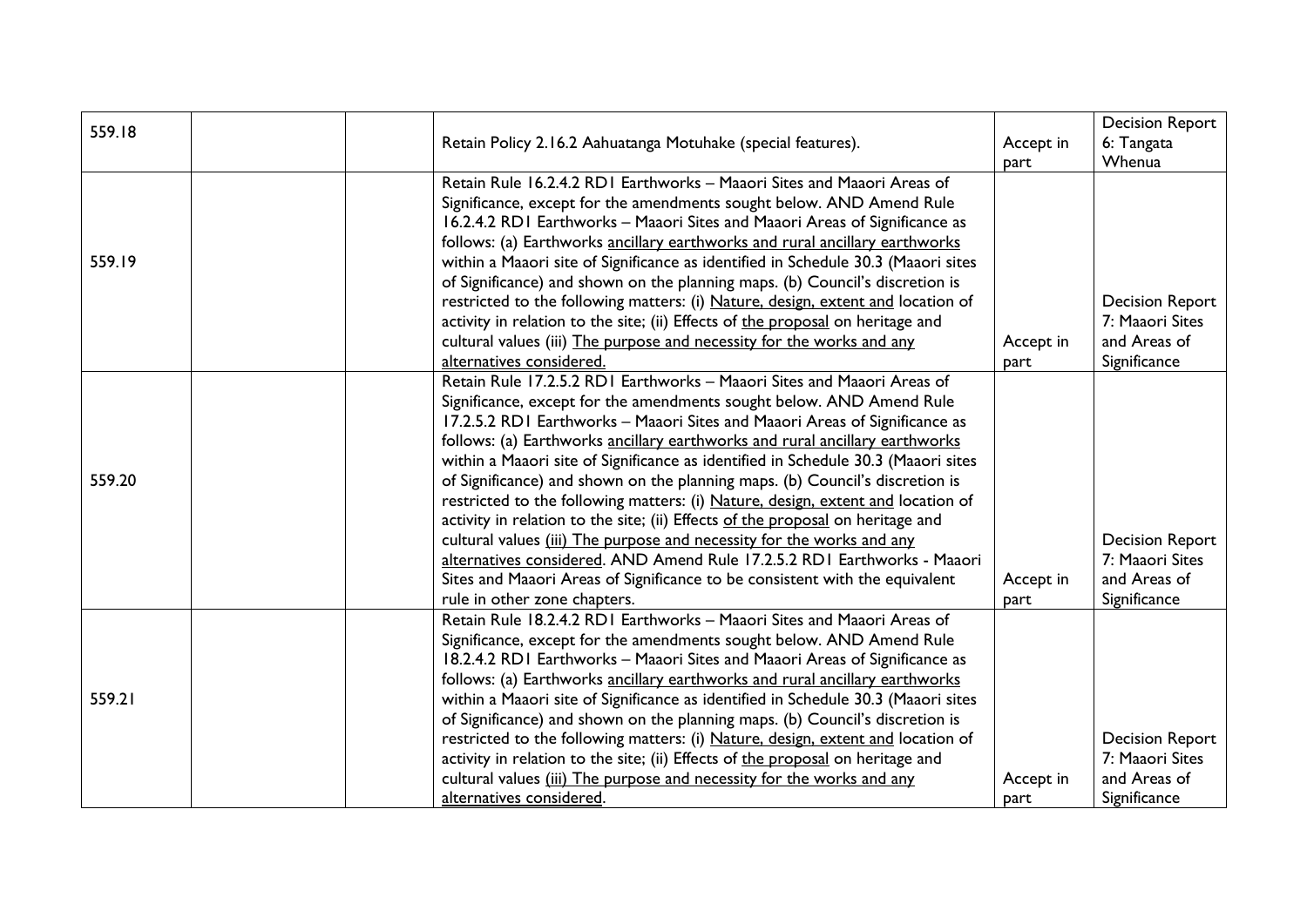| 559.18 |                                                                                   |           | <b>Decision Report</b> |
|--------|-----------------------------------------------------------------------------------|-----------|------------------------|
|        | Retain Policy 2.16.2 Aahuatanga Motuhake (special features).                      | Accept in | 6: Tangata             |
|        |                                                                                   | part      | Whenua                 |
|        | Retain Rule 16.2.4.2 RD1 Earthworks - Maaori Sites and Maaori Areas of            |           |                        |
|        | Significance, except for the amendments sought below. AND Amend Rule              |           |                        |
|        | 16.2.4.2 RD1 Earthworks - Maaori Sites and Maaori Areas of Significance as        |           |                        |
|        | follows: (a) Earthworks ancillary earthworks and rural ancillary earthworks       |           |                        |
| 559.19 | within a Maaori site of Significance as identified in Schedule 30.3 (Maaori sites |           |                        |
|        | of Significance) and shown on the planning maps. (b) Council's discretion is      |           |                        |
|        | restricted to the following matters: (i) Nature, design, extent and location of   |           | <b>Decision Report</b> |
|        | activity in relation to the site; (ii) Effects of the proposal on heritage and    |           | 7: Maaori Sites        |
|        | cultural values (iii) The purpose and necessity for the works and any             | Accept in | and Areas of           |
|        | alternatives considered.                                                          | part      | Significance           |
|        | Retain Rule 17.2.5.2 RD1 Earthworks - Maaori Sites and Maaori Areas of            |           |                        |
|        | Significance, except for the amendments sought below. AND Amend Rule              |           |                        |
|        | 17.2.5.2 RD1 Earthworks - Maaori Sites and Maaori Areas of Significance as        |           |                        |
|        | follows: (a) Earthworks ancillary earthworks and rural ancillary earthworks       |           |                        |
|        | within a Maaori site of Significance as identified in Schedule 30.3 (Maaori sites |           |                        |
| 559.20 | of Significance) and shown on the planning maps. (b) Council's discretion is      |           |                        |
|        | restricted to the following matters: (i) Nature, design, extent and location of   |           |                        |
|        | activity in relation to the site; (ii) Effects of the proposal on heritage and    |           |                        |
|        | cultural values (iii) The purpose and necessity for the works and any             |           | <b>Decision Report</b> |
|        | alternatives considered. AND Amend Rule 17.2.5.2 RD1 Earthworks - Maaori          |           | 7: Maaori Sites        |
|        | Sites and Maaori Areas of Significance to be consistent with the equivalent       | Accept in | and Areas of           |
|        | rule in other zone chapters.                                                      | part      | Significance           |
|        | Retain Rule 18.2.4.2 RD1 Earthworks - Maaori Sites and Maaori Areas of            |           |                        |
|        | Significance, except for the amendments sought below. AND Amend Rule              |           |                        |
|        | 18.2.4.2 RD1 Earthworks - Maaori Sites and Maaori Areas of Significance as        |           |                        |
|        | follows: (a) Earthworks ancillary earthworks and rural ancillary earthworks       |           |                        |
| 559.21 | within a Maaori site of Significance as identified in Schedule 30.3 (Maaori sites |           |                        |
|        | of Significance) and shown on the planning maps. (b) Council's discretion is      |           |                        |
|        | restricted to the following matters: (i) Nature, design, extent and location of   |           | <b>Decision Report</b> |
|        | activity in relation to the site; (ii) Effects of the proposal on heritage and    |           | 7: Maaori Sites        |
|        | cultural values (iii) The purpose and necessity for the works and any             | Accept in | and Areas of           |
|        | alternatives considered.                                                          | part      | Significance           |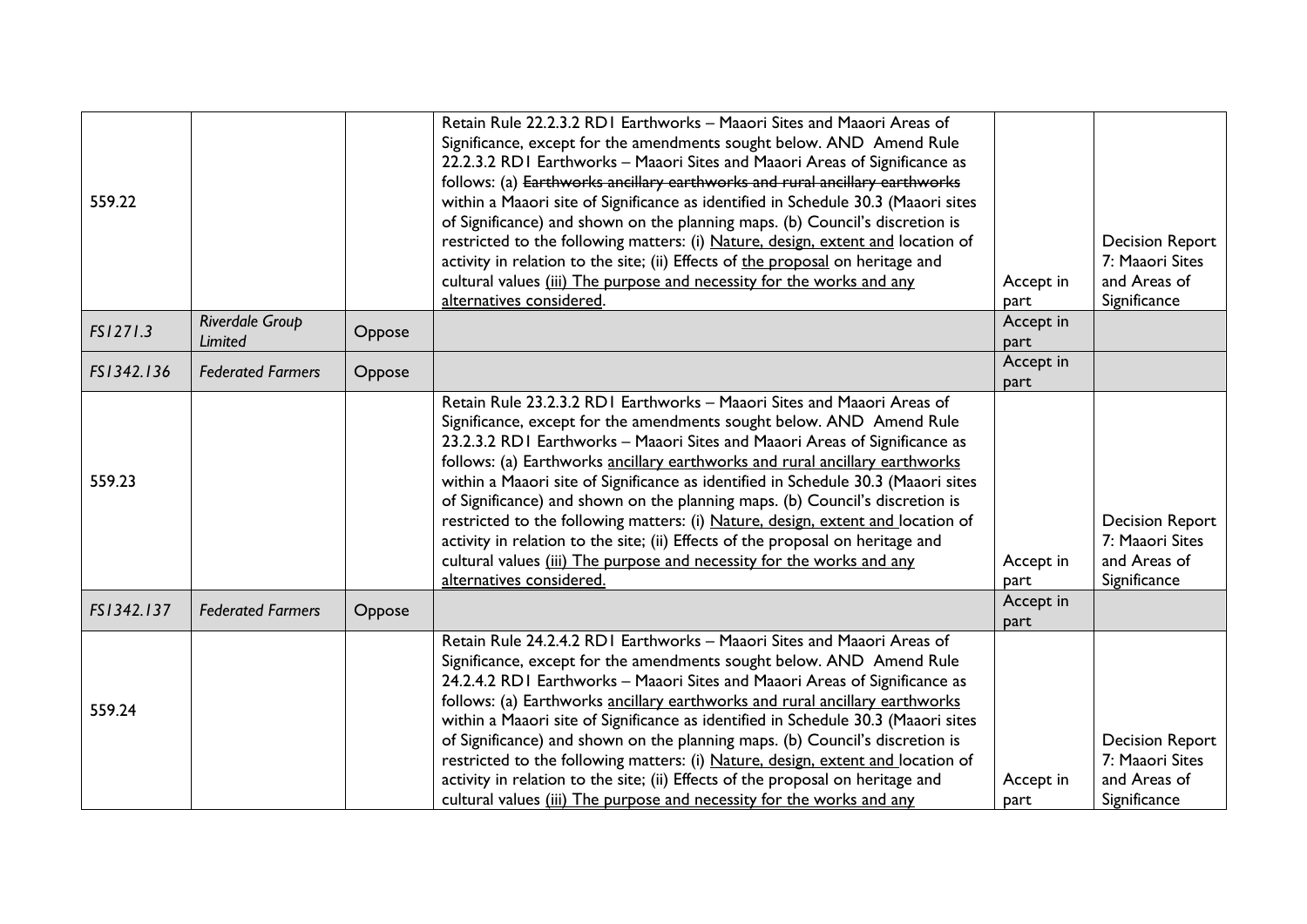|                          |                                             | Retain Rule 22.2.3.2 RD1 Earthworks - Maaori Sites and Maaori Areas of<br>Significance, except for the amendments sought below. AND Amend Rule<br>22.2.3.2 RDI Earthworks - Maaori Sites and Maaori Areas of Significance as<br>follows: (a) Earthworks ancillary earthworks and rural ancillary earthworks<br>within a Maaori site of Significance as identified in Schedule 30.3 (Maaori sites<br>of Significance) and shown on the planning maps. (b) Council's discretion is<br>restricted to the following matters: (i) Nature, design, extent and location of<br>activity in relation to the site; (ii) Effects of the proposal on heritage and<br>cultural values (iii) The purpose and necessity for the works and any | Accept in                                                                                                                                                                   | <b>Decision Report</b><br>7: Maaori Sites<br>and Areas of                 |
|--------------------------|---------------------------------------------|--------------------------------------------------------------------------------------------------------------------------------------------------------------------------------------------------------------------------------------------------------------------------------------------------------------------------------------------------------------------------------------------------------------------------------------------------------------------------------------------------------------------------------------------------------------------------------------------------------------------------------------------------------------------------------------------------------------------------------|-----------------------------------------------------------------------------------------------------------------------------------------------------------------------------|---------------------------------------------------------------------------|
|                          |                                             |                                                                                                                                                                                                                                                                                                                                                                                                                                                                                                                                                                                                                                                                                                                                | part                                                                                                                                                                        | Significance                                                              |
| <b>Limited</b>           | Oppose                                      |                                                                                                                                                                                                                                                                                                                                                                                                                                                                                                                                                                                                                                                                                                                                | part                                                                                                                                                                        |                                                                           |
|                          |                                             |                                                                                                                                                                                                                                                                                                                                                                                                                                                                                                                                                                                                                                                                                                                                | Accept in                                                                                                                                                                   |                                                                           |
|                          |                                             |                                                                                                                                                                                                                                                                                                                                                                                                                                                                                                                                                                                                                                                                                                                                | part                                                                                                                                                                        |                                                                           |
|                          |                                             | Significance, except for the amendments sought below. AND Amend Rule<br>23.2.3.2 RDI Earthworks - Maaori Sites and Maaori Areas of Significance as<br>follows: (a) Earthworks ancillary earthworks and rural ancillary earthworks<br>within a Maaori site of Significance as identified in Schedule 30.3 (Maaori sites<br>of Significance) and shown on the planning maps. (b) Council's discretion is<br>restricted to the following matters: (i) Nature, design, extent and location of<br>activity in relation to the site; (ii) Effects of the proposal on heritage and<br>cultural values (iii) The purpose and necessity for the works and any<br>alternatives considered.                                               | Accept in<br>part                                                                                                                                                           | <b>Decision Report</b><br>7: Maaori Sites<br>and Areas of<br>Significance |
| <b>Federated Farmers</b> | Oppose                                      |                                                                                                                                                                                                                                                                                                                                                                                                                                                                                                                                                                                                                                                                                                                                | Accept in<br>part                                                                                                                                                           |                                                                           |
|                          |                                             | Retain Rule 24.2.4.2 RD1 Earthworks - Maaori Sites and Maaori Areas of<br>Significance, except for the amendments sought below. AND Amend Rule<br>24.2.4.2 RDI Earthworks - Maaori Sites and Maaori Areas of Significance as<br>follows: (a) Earthworks ancillary earthworks and rural ancillary earthworks<br>within a Maaori site of Significance as identified in Schedule 30.3 (Maaori sites<br>of Significance) and shown on the planning maps. (b) Council's discretion is<br>restricted to the following matters: (i) Nature, design, extent and location of<br>activity in relation to the site; (ii) Effects of the proposal on heritage and                                                                          | Accept in                                                                                                                                                                   | <b>Decision Report</b><br>7: Maaori Sites<br>and Areas of<br>Significance |
|                          | Riverdale Group<br><b>Federated Farmers</b> | Oppose                                                                                                                                                                                                                                                                                                                                                                                                                                                                                                                                                                                                                                                                                                                         | alternatives considered.<br>Retain Rule 23.2.3.2 RD1 Earthworks - Maaori Sites and Maaori Areas of<br>cultural values (iii) The purpose and necessity for the works and any | Accept in<br>part                                                         |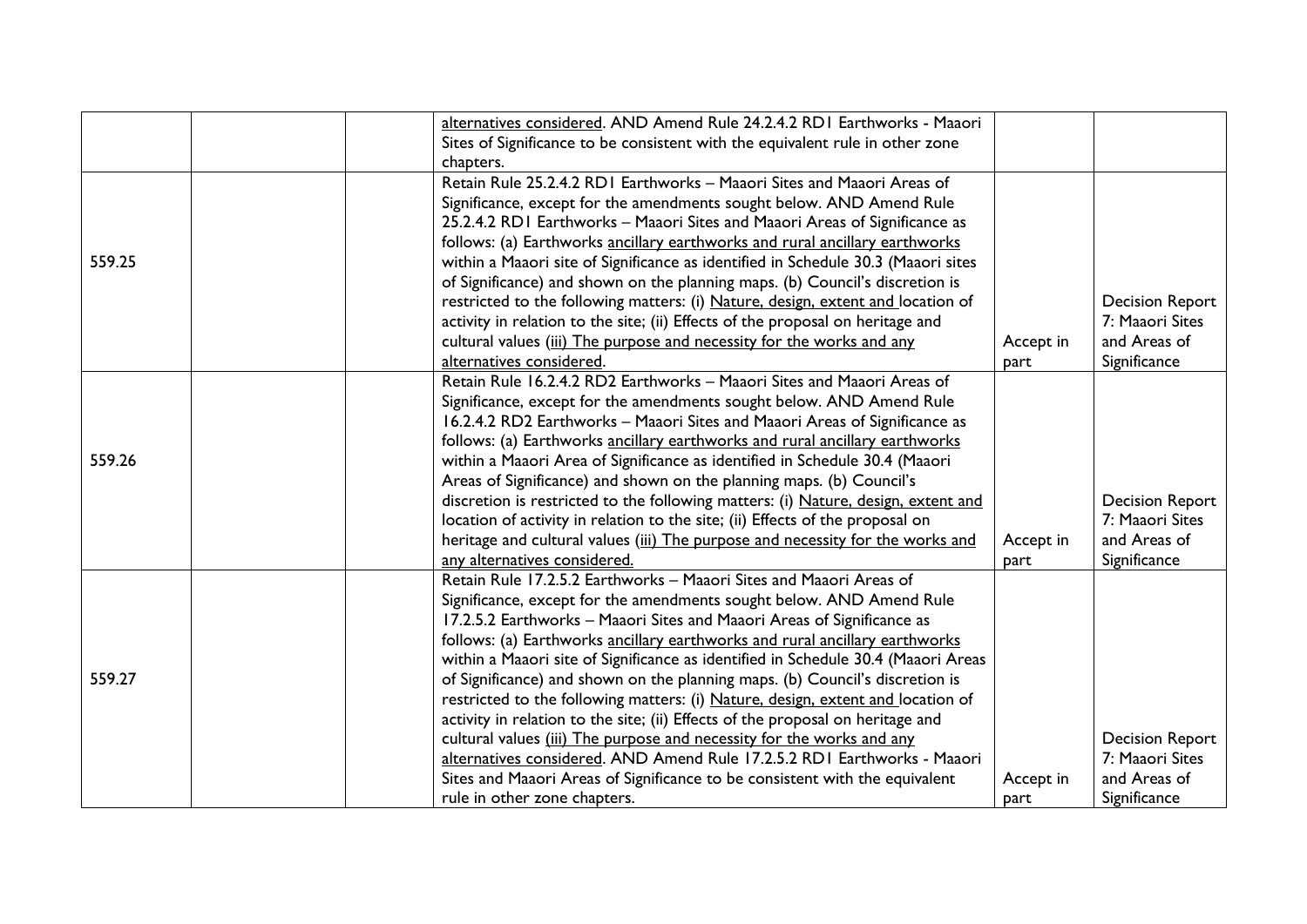|        | alternatives considered. AND Amend Rule 24.2.4.2 RD1 Earthworks - Maaori          |           |                        |
|--------|-----------------------------------------------------------------------------------|-----------|------------------------|
|        | Sites of Significance to be consistent with the equivalent rule in other zone     |           |                        |
|        | chapters.                                                                         |           |                        |
|        | Retain Rule 25.2.4.2 RD1 Earthworks - Maaori Sites and Maaori Areas of            |           |                        |
|        | Significance, except for the amendments sought below. AND Amend Rule              |           |                        |
|        | 25.2.4.2 RDI Earthworks - Maaori Sites and Maaori Areas of Significance as        |           |                        |
|        | follows: (a) Earthworks ancillary earthworks and rural ancillary earthworks       |           |                        |
| 559.25 | within a Maaori site of Significance as identified in Schedule 30.3 (Maaori sites |           |                        |
|        | of Significance) and shown on the planning maps. (b) Council's discretion is      |           |                        |
|        | restricted to the following matters: (i) Nature, design, extent and location of   |           | <b>Decision Report</b> |
|        | activity in relation to the site; (ii) Effects of the proposal on heritage and    |           | 7: Maaori Sites        |
|        | cultural values (iii) The purpose and necessity for the works and any             | Accept in | and Areas of           |
|        | alternatives considered.                                                          | part      | Significance           |
|        | Retain Rule 16.2.4.2 RD2 Earthworks - Maaori Sites and Maaori Areas of            |           |                        |
|        | Significance, except for the amendments sought below. AND Amend Rule              |           |                        |
|        | 16.2.4.2 RD2 Earthworks - Maaori Sites and Maaori Areas of Significance as        |           |                        |
|        | follows: (a) Earthworks ancillary earthworks and rural ancillary earthworks       |           |                        |
| 559.26 | within a Maaori Area of Significance as identified in Schedule 30.4 (Maaori       |           |                        |
|        | Areas of Significance) and shown on the planning maps. (b) Council's              |           |                        |
|        | discretion is restricted to the following matters: (i) Nature, design, extent and |           | <b>Decision Report</b> |
|        | location of activity in relation to the site; (ii) Effects of the proposal on     |           | 7: Maaori Sites        |
|        | heritage and cultural values (iii) The purpose and necessity for the works and    | Accept in | and Areas of           |
|        | any alternatives considered.                                                      | part      | Significance           |
|        | Retain Rule 17.2.5.2 Earthworks - Maaori Sites and Maaori Areas of                |           |                        |
|        | Significance, except for the amendments sought below. AND Amend Rule              |           |                        |
|        | 17.2.5.2 Earthworks - Maaori Sites and Maaori Areas of Significance as            |           |                        |
|        | follows: (a) Earthworks ancillary earthworks and rural ancillary earthworks       |           |                        |
|        | within a Maaori site of Significance as identified in Schedule 30.4 (Maaori Areas |           |                        |
| 559.27 | of Significance) and shown on the planning maps. (b) Council's discretion is      |           |                        |
|        | restricted to the following matters: (i) Nature, design, extent and location of   |           |                        |
|        | activity in relation to the site; (ii) Effects of the proposal on heritage and    |           |                        |
|        | cultural values (iii) The purpose and necessity for the works and any             |           | <b>Decision Report</b> |
|        | alternatives considered. AND Amend Rule 17.2.5.2 RD1 Earthworks - Maaori          |           | 7: Maaori Sites        |
|        | Sites and Maaori Areas of Significance to be consistent with the equivalent       | Accept in | and Areas of           |
|        | rule in other zone chapters.                                                      | part      | Significance           |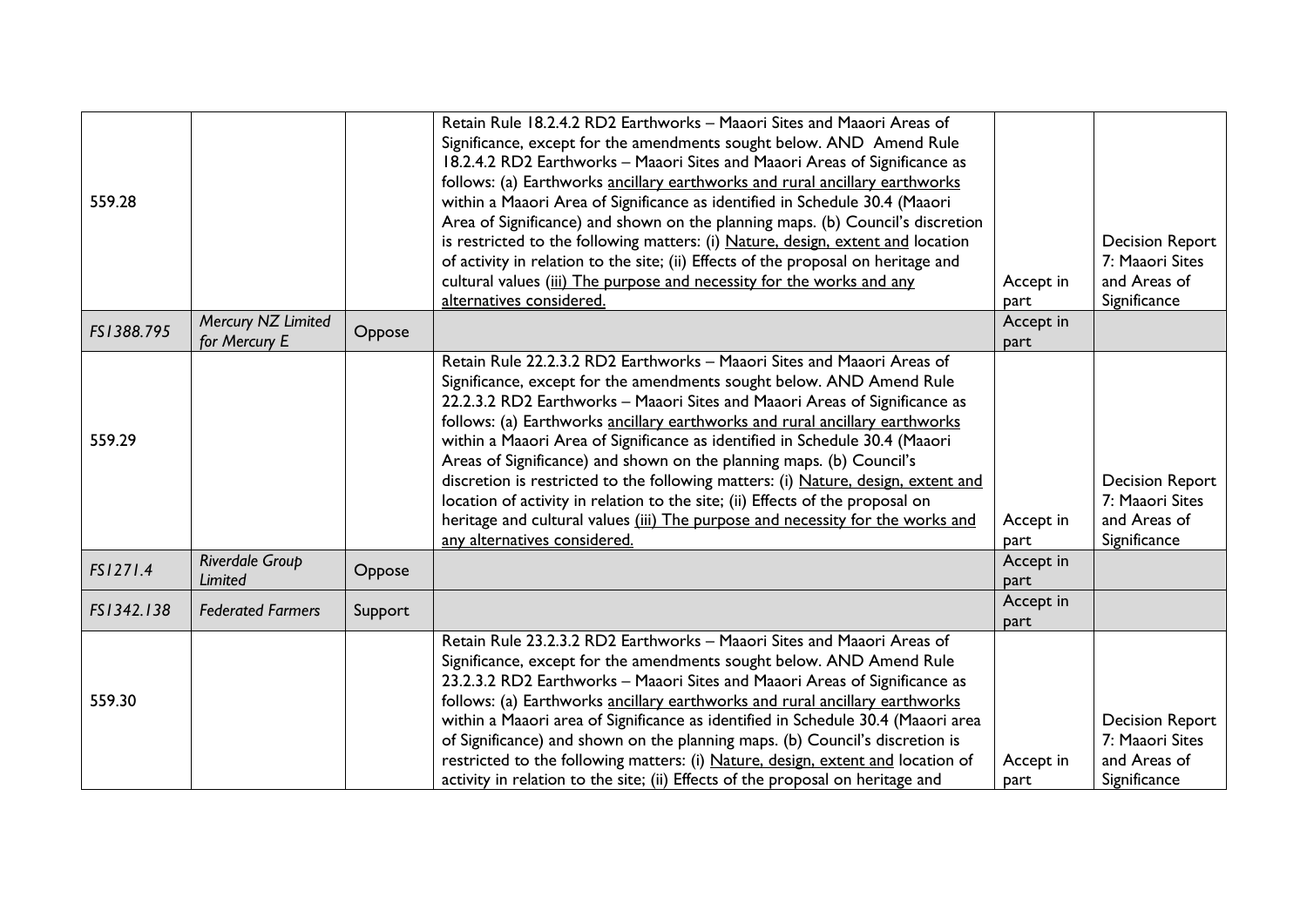| 559.28     |                                     |         | Retain Rule 18.2.4.2 RD2 Earthworks - Maaori Sites and Maaori Areas of<br>Significance, except for the amendments sought below. AND Amend Rule<br>18.2.4.2 RD2 Earthworks - Maaori Sites and Maaori Areas of Significance as<br>follows: (a) Earthworks ancillary earthworks and rural ancillary earthworks<br>within a Maaori Area of Significance as identified in Schedule 30.4 (Maaori<br>Area of Significance) and shown on the planning maps. (b) Council's discretion<br>is restricted to the following matters: (i) Nature, design, extent and location<br>of activity in relation to the site; (ii) Effects of the proposal on heritage and<br>cultural values (iii) The purpose and necessity for the works and any<br>alternatives considered.  | Accept in<br>part | <b>Decision Report</b><br>7: Maaori Sites<br>and Areas of<br>Significance |
|------------|-------------------------------------|---------|------------------------------------------------------------------------------------------------------------------------------------------------------------------------------------------------------------------------------------------------------------------------------------------------------------------------------------------------------------------------------------------------------------------------------------------------------------------------------------------------------------------------------------------------------------------------------------------------------------------------------------------------------------------------------------------------------------------------------------------------------------|-------------------|---------------------------------------------------------------------------|
| FS1388.795 | Mercury NZ Limited<br>for Mercury E | Oppose  |                                                                                                                                                                                                                                                                                                                                                                                                                                                                                                                                                                                                                                                                                                                                                            | Accept in<br>part |                                                                           |
| 559.29     |                                     |         | Retain Rule 22.2.3.2 RD2 Earthworks - Maaori Sites and Maaori Areas of<br>Significance, except for the amendments sought below. AND Amend Rule<br>22.2.3.2 RD2 Earthworks - Maaori Sites and Maaori Areas of Significance as<br>follows: (a) Earthworks ancillary earthworks and rural ancillary earthworks<br>within a Maaori Area of Significance as identified in Schedule 30.4 (Maaori<br>Areas of Significance) and shown on the planning maps. (b) Council's<br>discretion is restricted to the following matters: (i) Nature, design, extent and<br>location of activity in relation to the site; (ii) Effects of the proposal on<br>heritage and cultural values (iii) The purpose and necessity for the works and<br>any alternatives considered. | Accept in<br>part | <b>Decision Report</b><br>7: Maaori Sites<br>and Areas of<br>Significance |
| FS1271.4   | Riverdale Group<br>Limited          | Oppose  |                                                                                                                                                                                                                                                                                                                                                                                                                                                                                                                                                                                                                                                                                                                                                            | Accept in<br>part |                                                                           |
| FS1342.138 | <b>Federated Farmers</b>            | Support |                                                                                                                                                                                                                                                                                                                                                                                                                                                                                                                                                                                                                                                                                                                                                            | Accept in<br>part |                                                                           |
| 559.30     |                                     |         | Retain Rule 23.2.3.2 RD2 Earthworks - Maaori Sites and Maaori Areas of<br>Significance, except for the amendments sought below. AND Amend Rule<br>23.2.3.2 RD2 Earthworks - Maaori Sites and Maaori Areas of Significance as<br>follows: (a) Earthworks ancillary earthworks and rural ancillary earthworks<br>within a Maaori area of Significance as identified in Schedule 30.4 (Maaori area<br>of Significance) and shown on the planning maps. (b) Council's discretion is<br>restricted to the following matters: (i) Nature, design, extent and location of<br>activity in relation to the site; (ii) Effects of the proposal on heritage and                                                                                                       | Accept in<br>part | <b>Decision Report</b><br>7: Maaori Sites<br>and Areas of<br>Significance |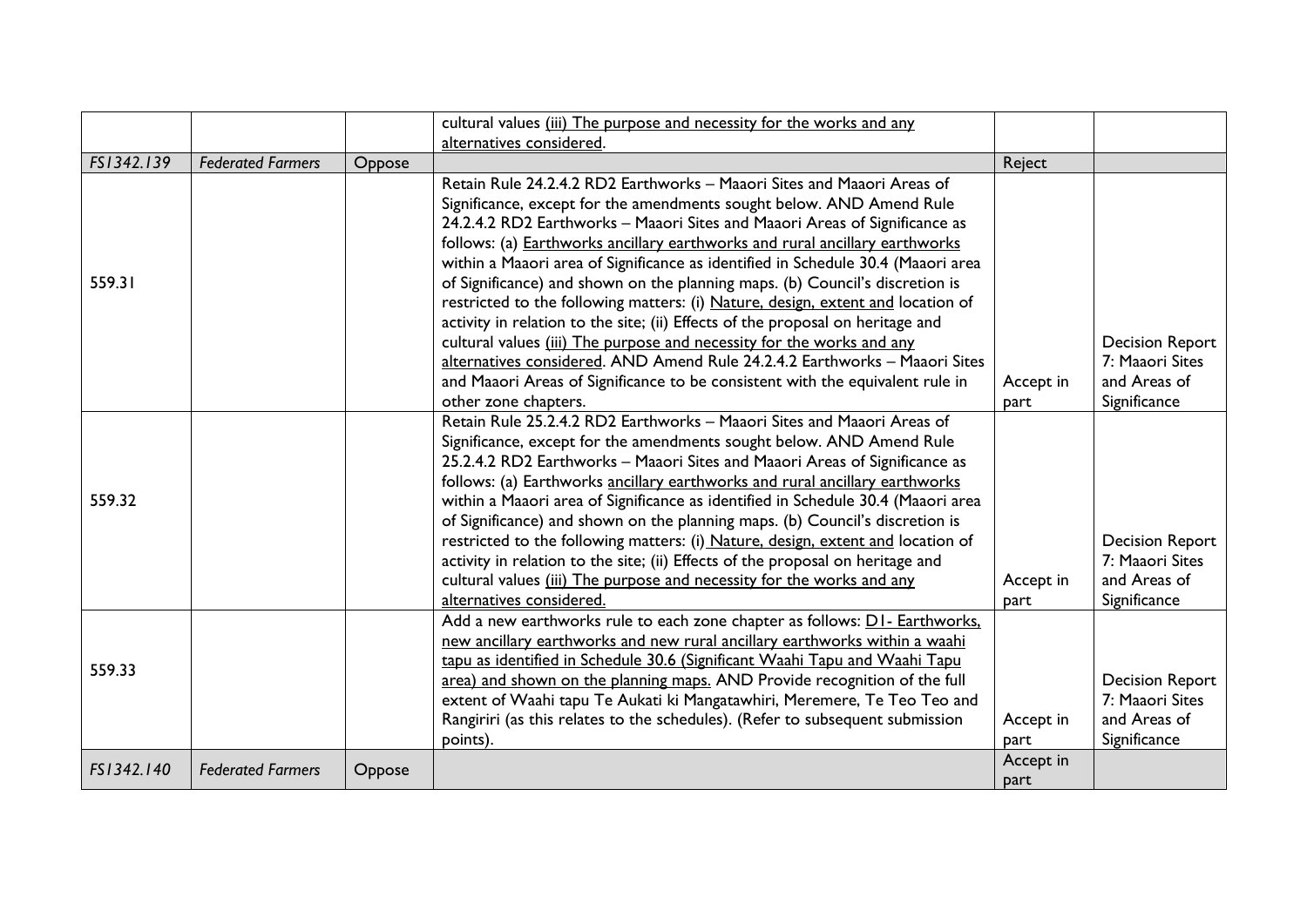|            |                          |        | cultural values (iii) The purpose and necessity for the works and any                                                                                                                                                                                                                                                                                                                                                                                                                                                                                                                                                                                                                                                                                     |                   |                                                                           |
|------------|--------------------------|--------|-----------------------------------------------------------------------------------------------------------------------------------------------------------------------------------------------------------------------------------------------------------------------------------------------------------------------------------------------------------------------------------------------------------------------------------------------------------------------------------------------------------------------------------------------------------------------------------------------------------------------------------------------------------------------------------------------------------------------------------------------------------|-------------------|---------------------------------------------------------------------------|
|            |                          |        | alternatives considered.                                                                                                                                                                                                                                                                                                                                                                                                                                                                                                                                                                                                                                                                                                                                  |                   |                                                                           |
| FS1342.139 | <b>Federated Farmers</b> | Oppose |                                                                                                                                                                                                                                                                                                                                                                                                                                                                                                                                                                                                                                                                                                                                                           | Reject            |                                                                           |
|            |                          |        | Retain Rule 24.2.4.2 RD2 Earthworks - Maaori Sites and Maaori Areas of<br>Significance, except for the amendments sought below. AND Amend Rule<br>24.2.4.2 RD2 Earthworks - Maaori Sites and Maaori Areas of Significance as                                                                                                                                                                                                                                                                                                                                                                                                                                                                                                                              |                   |                                                                           |
| 559.31     |                          |        | follows: (a) Earthworks ancillary earthworks and rural ancillary earthworks<br>within a Maaori area of Significance as identified in Schedule 30.4 (Maaori area<br>of Significance) and shown on the planning maps. (b) Council's discretion is<br>restricted to the following matters: (i) Nature, design, extent and location of<br>activity in relation to the site; (ii) Effects of the proposal on heritage and                                                                                                                                                                                                                                                                                                                                      |                   |                                                                           |
|            |                          |        | cultural values (iii) The purpose and necessity for the works and any<br>alternatives considered. AND Amend Rule 24.2.4.2 Earthworks - Maaori Sites                                                                                                                                                                                                                                                                                                                                                                                                                                                                                                                                                                                                       |                   | <b>Decision Report</b><br>7: Maaori Sites                                 |
|            |                          |        | and Maaori Areas of Significance to be consistent with the equivalent rule in<br>other zone chapters.                                                                                                                                                                                                                                                                                                                                                                                                                                                                                                                                                                                                                                                     | Accept in<br>part | and Areas of<br>Significance                                              |
| 559.32     |                          |        | Retain Rule 25.2.4.2 RD2 Earthworks - Maaori Sites and Maaori Areas of<br>Significance, except for the amendments sought below. AND Amend Rule<br>25.2.4.2 RD2 Earthworks - Maaori Sites and Maaori Areas of Significance as<br>follows: (a) Earthworks ancillary earthworks and rural ancillary earthworks<br>within a Maaori area of Significance as identified in Schedule 30.4 (Maaori area<br>of Significance) and shown on the planning maps. (b) Council's discretion is<br>restricted to the following matters: (i) Nature, design, extent and location of<br>activity in relation to the site; (ii) Effects of the proposal on heritage and<br>cultural values (iii) The purpose and necessity for the works and any<br>alternatives considered. | Accept in<br>part | <b>Decision Report</b><br>7: Maaori Sites<br>and Areas of<br>Significance |
| 559.33     |                          |        | Add a new earthworks rule to each zone chapter as follows: DI- Earthworks,<br>new ancillary earthworks and new rural ancillary earthworks within a waahi<br>tapu as identified in Schedule 30.6 (Significant Waahi Tapu and Waahi Tapu<br>area) and shown on the planning maps. AND Provide recognition of the full<br>extent of Waahi tapu Te Aukati ki Mangatawhiri, Meremere, Te Teo Teo and<br>Rangiriri (as this relates to the schedules). (Refer to subsequent submission<br>points).                                                                                                                                                                                                                                                              | Accept in<br>part | <b>Decision Report</b><br>7: Maaori Sites<br>and Areas of<br>Significance |
| FS1342.140 | <b>Federated Farmers</b> | Oppose |                                                                                                                                                                                                                                                                                                                                                                                                                                                                                                                                                                                                                                                                                                                                                           | Accept in<br>part |                                                                           |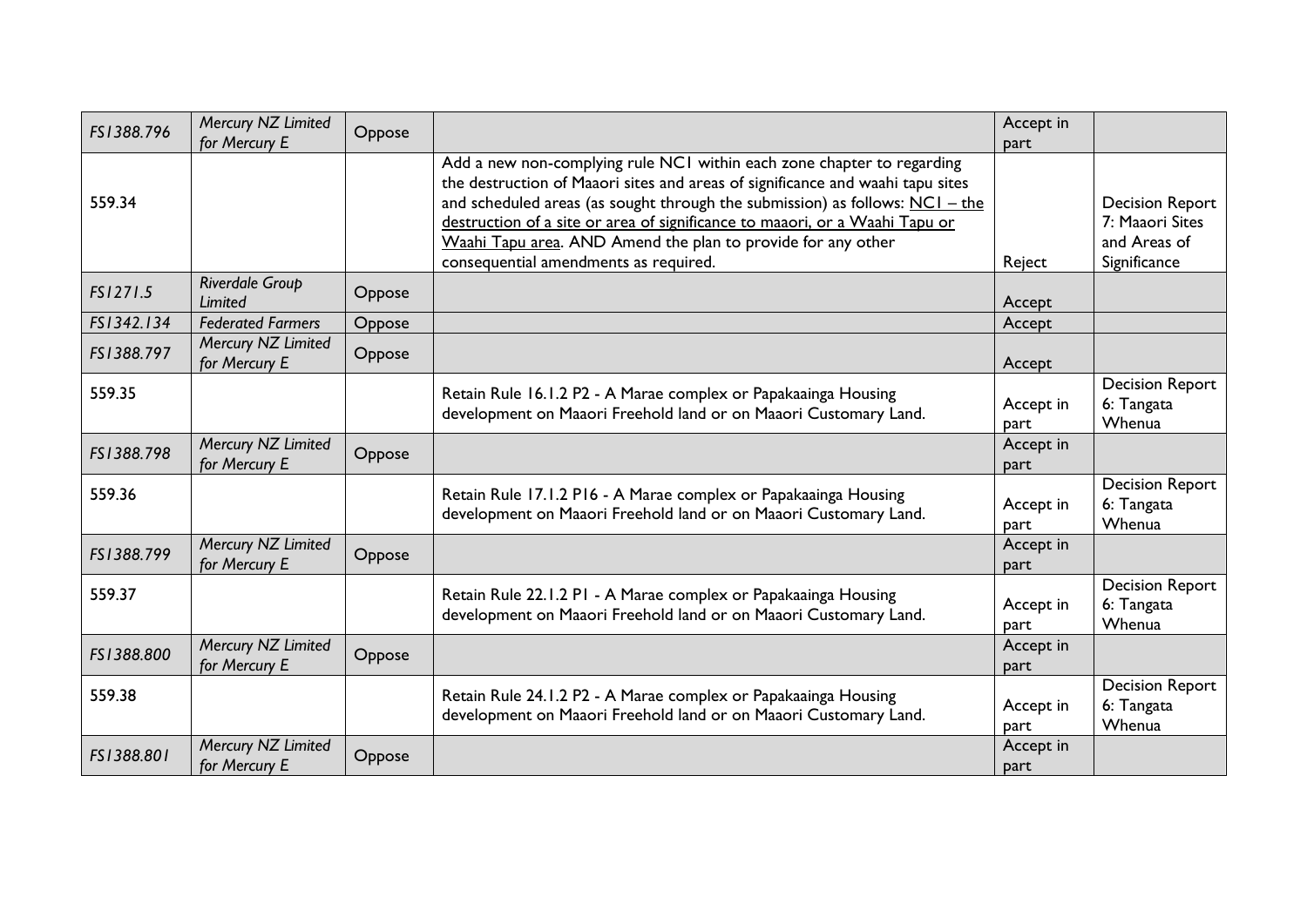| FS1388.796 | Mercury NZ Limited<br>for Mercury E | Oppose |                                                                                                                                                                                                                                                                                                                                                                                                                                    | Accept in<br>part        |                                                                           |
|------------|-------------------------------------|--------|------------------------------------------------------------------------------------------------------------------------------------------------------------------------------------------------------------------------------------------------------------------------------------------------------------------------------------------------------------------------------------------------------------------------------------|--------------------------|---------------------------------------------------------------------------|
| 559.34     |                                     |        | Add a new non-complying rule NCI within each zone chapter to regarding<br>the destruction of Maaori sites and areas of significance and waahi tapu sites<br>and scheduled areas (as sought through the submission) as follows: $NCI - the$<br>destruction of a site or area of significance to maaori, or a Waahi Tapu or<br>Waahi Tapu area. AND Amend the plan to provide for any other<br>consequential amendments as required. | Reject                   | <b>Decision Report</b><br>7: Maaori Sites<br>and Areas of<br>Significance |
| FS1271.5   | Riverdale Group<br><b>Limited</b>   | Oppose |                                                                                                                                                                                                                                                                                                                                                                                                                                    | Accept                   |                                                                           |
| FS1342.134 | <b>Federated Farmers</b>            | Oppose |                                                                                                                                                                                                                                                                                                                                                                                                                                    | Accept                   |                                                                           |
| FS1388.797 | Mercury NZ Limited<br>for Mercury E | Oppose |                                                                                                                                                                                                                                                                                                                                                                                                                                    | Accept                   |                                                                           |
| 559.35     |                                     |        | Retain Rule 16.1.2 P2 - A Marae complex or Papakaainga Housing<br>development on Maaori Freehold land or on Maaori Customary Land.                                                                                                                                                                                                                                                                                                 | Accept in<br><b>part</b> | <b>Decision Report</b><br>6: Tangata<br>Whenua                            |
| FS1388.798 | Mercury NZ Limited<br>for Mercury E | Oppose |                                                                                                                                                                                                                                                                                                                                                                                                                                    | Accept in<br>part        |                                                                           |
| 559.36     |                                     |        | Retain Rule 17.1.2 P16 - A Marae complex or Papakaainga Housing<br>development on Maaori Freehold land or on Maaori Customary Land.                                                                                                                                                                                                                                                                                                | Accept in<br>part        | <b>Decision Report</b><br>6: Tangata<br>Whenua                            |
| FS1388.799 | Mercury NZ Limited<br>for Mercury E | Oppose |                                                                                                                                                                                                                                                                                                                                                                                                                                    | Accept in<br><b>part</b> |                                                                           |
| 559.37     |                                     |        | Retain Rule 22.1.2 P1 - A Marae complex or Papakaainga Housing<br>development on Maaori Freehold land or on Maaori Customary Land.                                                                                                                                                                                                                                                                                                 | Accept in<br>part        | <b>Decision Report</b><br>6: Tangata<br>Whenua                            |
| FS1388.800 | Mercury NZ Limited<br>for Mercury E | Oppose |                                                                                                                                                                                                                                                                                                                                                                                                                                    | Accept in<br>part        |                                                                           |
| 559.38     |                                     |        | Retain Rule 24.1.2 P2 - A Marae complex or Papakaainga Housing<br>development on Maaori Freehold land or on Maaori Customary Land.                                                                                                                                                                                                                                                                                                 | Accept in<br>part        | <b>Decision Report</b><br>6: Tangata<br>Whenua                            |
| FS1388.801 | Mercury NZ Limited<br>for Mercury E | Oppose |                                                                                                                                                                                                                                                                                                                                                                                                                                    | Accept in<br>part        |                                                                           |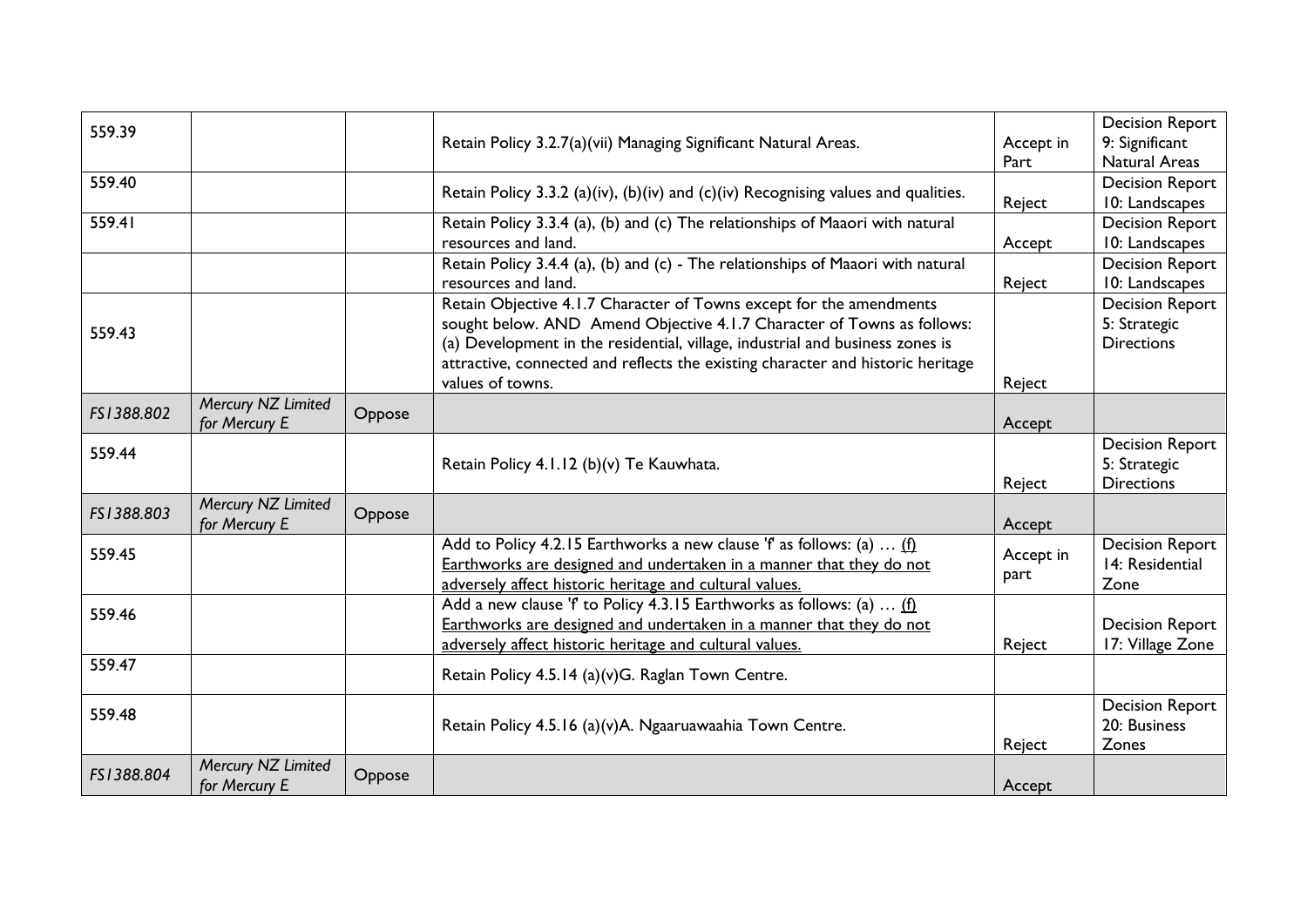| 559.39     |                                     |        | Retain Policy 3.2.7(a)(vii) Managing Significant Natural Areas.                                                                                                                                                                                                                                                                       | Accept in<br>Part | <b>Decision Report</b><br>9: Significant<br><b>Natural Areas</b> |
|------------|-------------------------------------|--------|---------------------------------------------------------------------------------------------------------------------------------------------------------------------------------------------------------------------------------------------------------------------------------------------------------------------------------------|-------------------|------------------------------------------------------------------|
| 559.40     |                                     |        | Retain Policy 3.3.2 (a)(iv), (b)(iv) and (c)(iv) Recognising values and qualities.                                                                                                                                                                                                                                                    | Reject            | <b>Decision Report</b><br>10: Landscapes                         |
| 559.41     |                                     |        | Retain Policy 3.3.4 (a), (b) and (c) The relationships of Maaori with natural<br>resources and land.                                                                                                                                                                                                                                  | Accept            | <b>Decision Report</b><br>10: Landscapes                         |
|            |                                     |        | Retain Policy 3.4.4 (a), (b) and (c) - The relationships of Maaori with natural<br>resources and land.                                                                                                                                                                                                                                | Reject            | <b>Decision Report</b><br>10: Landscapes                         |
| 559.43     |                                     |        | Retain Objective 4.1.7 Character of Towns except for the amendments<br>sought below. AND Amend Objective 4.1.7 Character of Towns as follows:<br>(a) Development in the residential, village, industrial and business zones is<br>attractive, connected and reflects the existing character and historic heritage<br>values of towns. | Reject            | <b>Decision Report</b><br>5: Strategic<br><b>Directions</b>      |
| FS1388.802 | Mercury NZ Limited<br>for Mercury E | Oppose |                                                                                                                                                                                                                                                                                                                                       | Accept            |                                                                  |
| 559.44     |                                     |        | Retain Policy 4.1.12 (b)(v) Te Kauwhata.                                                                                                                                                                                                                                                                                              | Reject            | <b>Decision Report</b><br>5: Strategic<br><b>Directions</b>      |
| FS1388.803 | Mercury NZ Limited<br>for Mercury E | Oppose |                                                                                                                                                                                                                                                                                                                                       | Accept            |                                                                  |
| 559.45     |                                     |        | Add to Policy 4.2.15 Earthworks a new clause 'f' as follows: (a) $(f)$<br>Earthworks are designed and undertaken in a manner that they do not<br>adversely affect historic heritage and cultural values.                                                                                                                              | Accept in<br>part | <b>Decision Report</b><br>14: Residential<br>Zone                |
| 559.46     |                                     |        | Add a new clause 'f' to Policy 4.3.15 Earthworks as follows: (a)  (f)<br>Earthworks are designed and undertaken in a manner that they do not<br>adversely affect historic heritage and cultural values.                                                                                                                               | Reject            | <b>Decision Report</b><br>17: Village Zone                       |
| 559.47     |                                     |        | Retain Policy 4.5.14 (a)(v)G. Raglan Town Centre.                                                                                                                                                                                                                                                                                     |                   |                                                                  |
| 559.48     |                                     |        | Retain Policy 4.5.16 (a)(v)A. Ngaaruawaahia Town Centre.                                                                                                                                                                                                                                                                              | Reject            | <b>Decision Report</b><br>20: Business<br>Zones                  |
| FS1388.804 | Mercury NZ Limited<br>for Mercury E | Oppose |                                                                                                                                                                                                                                                                                                                                       | Accept            |                                                                  |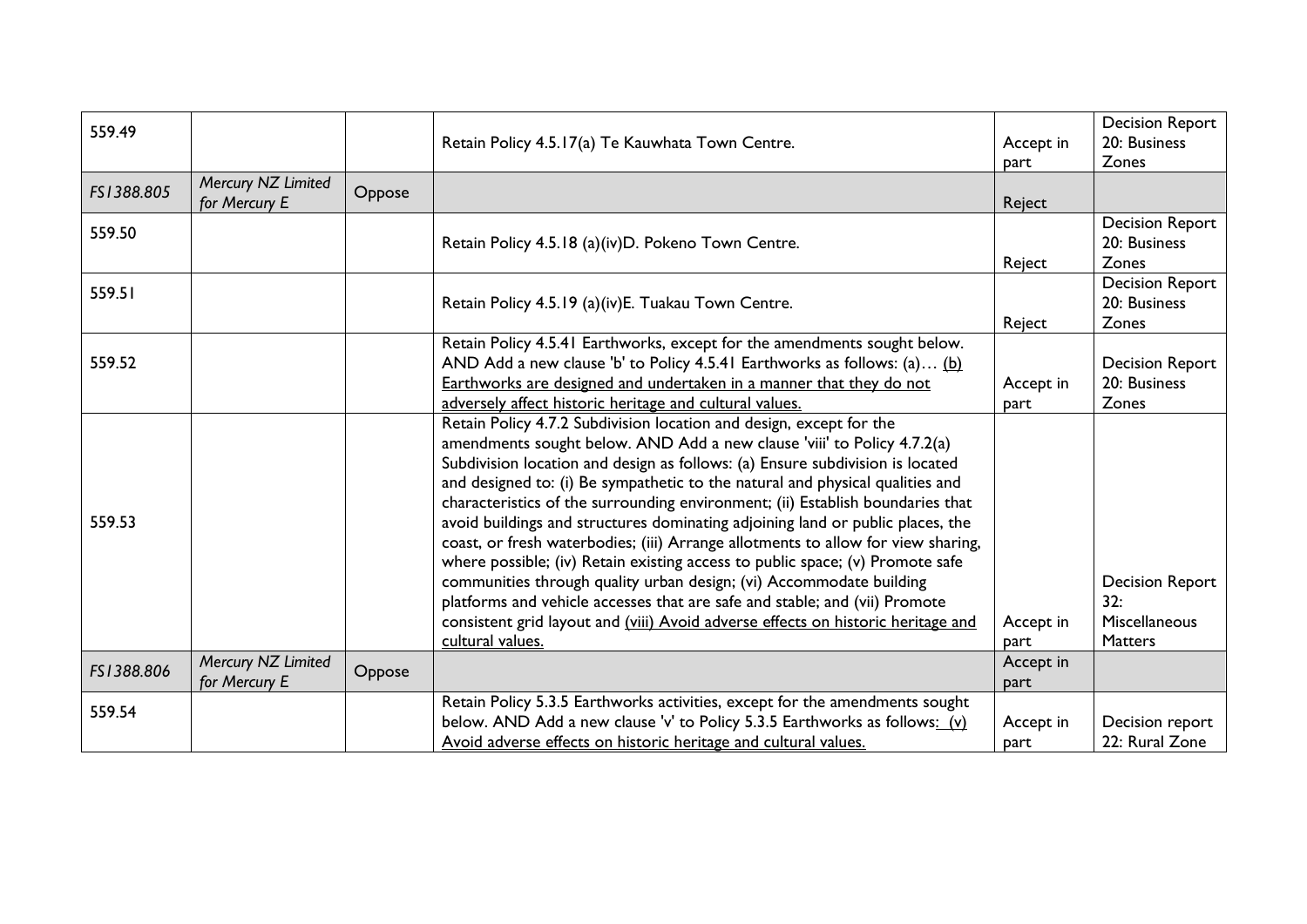| 559.49     |                                     |        | Retain Policy 4.5.17(a) Te Kauwhata Town Centre.                                                                                                                                                                                                                                                                                                                                                                                                                                                                                                                                                                                                                                                                                                                                                                                                                                                                       | Accept in<br>part | <b>Decision Report</b><br>20: Business<br>Zones                  |
|------------|-------------------------------------|--------|------------------------------------------------------------------------------------------------------------------------------------------------------------------------------------------------------------------------------------------------------------------------------------------------------------------------------------------------------------------------------------------------------------------------------------------------------------------------------------------------------------------------------------------------------------------------------------------------------------------------------------------------------------------------------------------------------------------------------------------------------------------------------------------------------------------------------------------------------------------------------------------------------------------------|-------------------|------------------------------------------------------------------|
| FS1388.805 | Mercury NZ Limited<br>for Mercury E | Oppose |                                                                                                                                                                                                                                                                                                                                                                                                                                                                                                                                                                                                                                                                                                                                                                                                                                                                                                                        | Reject            |                                                                  |
| 559.50     |                                     |        | Retain Policy 4.5.18 (a)(iv)D. Pokeno Town Centre.                                                                                                                                                                                                                                                                                                                                                                                                                                                                                                                                                                                                                                                                                                                                                                                                                                                                     | Reject            | <b>Decision Report</b><br>20: Business<br>Zones                  |
| 559.51     |                                     |        | Retain Policy 4.5.19 (a)(iv)E. Tuakau Town Centre.                                                                                                                                                                                                                                                                                                                                                                                                                                                                                                                                                                                                                                                                                                                                                                                                                                                                     | Reject            | <b>Decision Report</b><br>20: Business<br>Zones                  |
| 559.52     |                                     |        | Retain Policy 4.5.41 Earthworks, except for the amendments sought below.<br>AND Add a new clause 'b' to Policy 4.5.41 Earthworks as follows: (a) (b)<br>Earthworks are designed and undertaken in a manner that they do not<br>adversely affect historic heritage and cultural values.                                                                                                                                                                                                                                                                                                                                                                                                                                                                                                                                                                                                                                 | Accept in<br>part | <b>Decision Report</b><br>20: Business<br>Zones                  |
| 559.53     |                                     |        | Retain Policy 4.7.2 Subdivision location and design, except for the<br>amendments sought below. AND Add a new clause 'viii' to Policy 4.7.2(a)<br>Subdivision location and design as follows: (a) Ensure subdivision is located<br>and designed to: (i) Be sympathetic to the natural and physical qualities and<br>characteristics of the surrounding environment; (ii) Establish boundaries that<br>avoid buildings and structures dominating adjoining land or public places, the<br>coast, or fresh waterbodies; (iii) Arrange allotments to allow for view sharing,<br>where possible; (iv) Retain existing access to public space; (v) Promote safe<br>communities through quality urban design; (vi) Accommodate building<br>platforms and vehicle accesses that are safe and stable; and (vii) Promote<br>consistent grid layout and (viii) Avoid adverse effects on historic heritage and<br>cultural values. | Accept in<br>part | <b>Decision Report</b><br>32:<br>Miscellaneous<br><b>Matters</b> |
| FS1388.806 | Mercury NZ Limited<br>for Mercury E | Oppose |                                                                                                                                                                                                                                                                                                                                                                                                                                                                                                                                                                                                                                                                                                                                                                                                                                                                                                                        | Accept in<br>part |                                                                  |
| 559.54     |                                     |        | Retain Policy 5.3.5 Earthworks activities, except for the amendments sought<br>below. AND Add a new clause 'v' to Policy 5.3.5 Earthworks as follows: (v)<br>Avoid adverse effects on historic heritage and cultural values.                                                                                                                                                                                                                                                                                                                                                                                                                                                                                                                                                                                                                                                                                           | Accept in<br>part | Decision report<br>22: Rural Zone                                |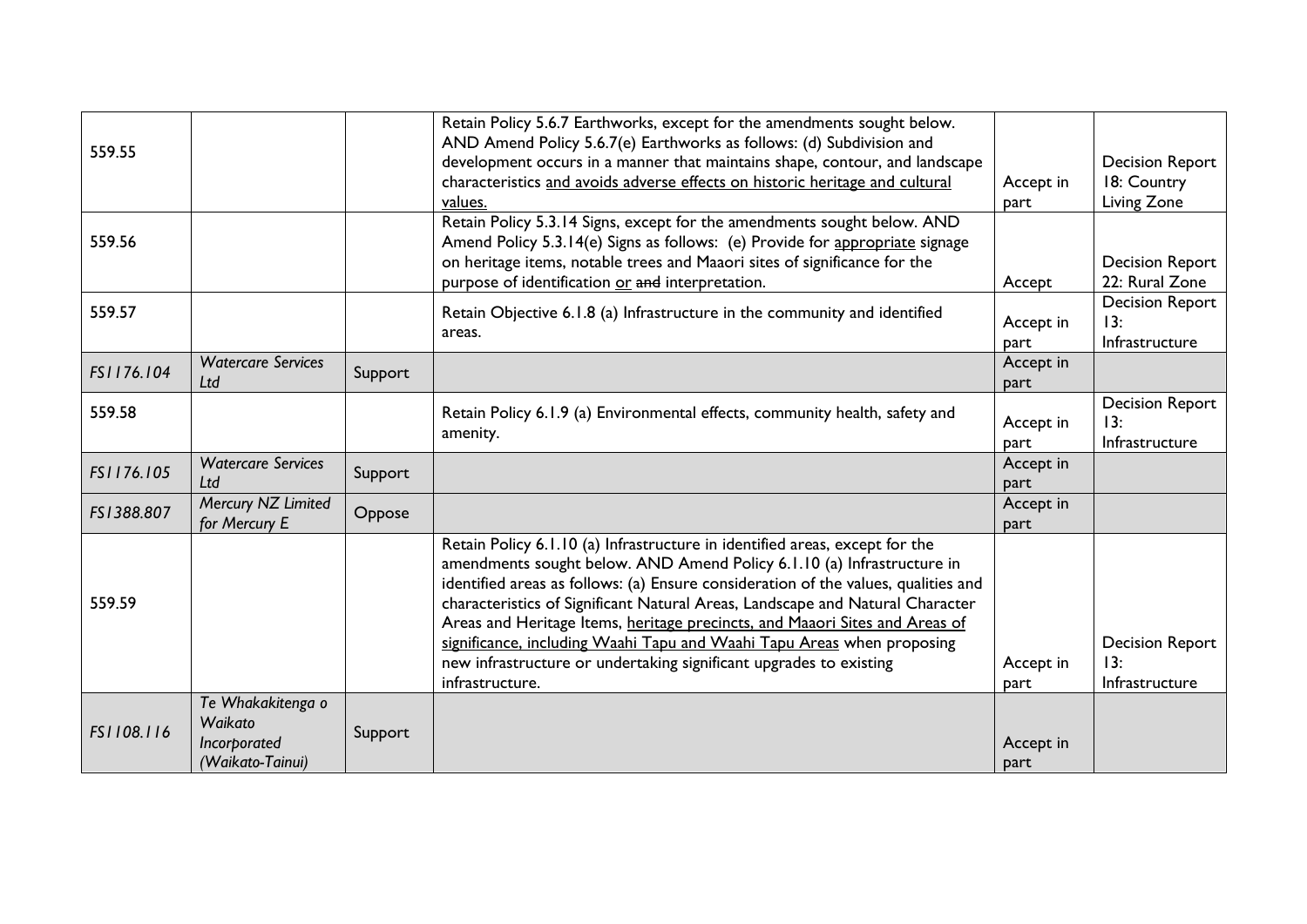| 559.55     |                                                                  |         | Retain Policy 5.6.7 Earthworks, except for the amendments sought below.<br>AND Amend Policy 5.6.7(e) Earthworks as follows: (d) Subdivision and<br>development occurs in a manner that maintains shape, contour, and landscape<br>characteristics and avoids adverse effects on historic heritage and cultural<br>values.                                                                                                                                                                                                                                                      | Accept in<br>part | <b>Decision Report</b><br>18: Country<br>Living Zone |
|------------|------------------------------------------------------------------|---------|--------------------------------------------------------------------------------------------------------------------------------------------------------------------------------------------------------------------------------------------------------------------------------------------------------------------------------------------------------------------------------------------------------------------------------------------------------------------------------------------------------------------------------------------------------------------------------|-------------------|------------------------------------------------------|
| 559.56     |                                                                  |         | Retain Policy 5.3.14 Signs, except for the amendments sought below. AND<br>Amend Policy 5.3.14(e) Signs as follows: (e) Provide for appropriate signage<br>on heritage items, notable trees and Maaori sites of significance for the<br>purpose of identification or and interpretation.                                                                                                                                                                                                                                                                                       | Accept            | <b>Decision Report</b><br>22: Rural Zone             |
| 559.57     |                                                                  |         | Retain Objective 6.1.8 (a) Infrastructure in the community and identified<br>areas.                                                                                                                                                                                                                                                                                                                                                                                                                                                                                            | Accept in<br>part | <b>Decision Report</b><br>13:<br>Infrastructure      |
| FS1176.104 | <b>Watercare Services</b><br>Ltd                                 | Support |                                                                                                                                                                                                                                                                                                                                                                                                                                                                                                                                                                                | Accept in<br>part |                                                      |
| 559.58     |                                                                  |         | Retain Policy 6.1.9 (a) Environmental effects, community health, safety and<br>amenity.                                                                                                                                                                                                                                                                                                                                                                                                                                                                                        | Accept in<br>part | <b>Decision Report</b><br>13:<br>Infrastructure      |
| FS1176.105 | <b>Watercare Services</b><br>Ltd                                 | Support |                                                                                                                                                                                                                                                                                                                                                                                                                                                                                                                                                                                | Accept in<br>part |                                                      |
| FS1388.807 | Mercury NZ Limited<br>for Mercury E                              | Oppose  |                                                                                                                                                                                                                                                                                                                                                                                                                                                                                                                                                                                | Accept in<br>part |                                                      |
| 559.59     |                                                                  |         | Retain Policy 6.1.10 (a) Infrastructure in identified areas, except for the<br>amendments sought below. AND Amend Policy 6.1.10 (a) Infrastructure in<br>identified areas as follows: (a) Ensure consideration of the values, qualities and<br>characteristics of Significant Natural Areas, Landscape and Natural Character<br>Areas and Heritage Items, heritage precincts, and Maaori Sites and Areas of<br>significance, including Waahi Tapu and Waahi Tapu Areas when proposing<br>new infrastructure or undertaking significant upgrades to existing<br>infrastructure. | Accept in<br>part | <b>Decision Report</b><br>13:<br>Infrastructure      |
| FS1108.116 | Te Whakakitenga o<br>Waikato<br>Incorporated<br>(Waikato-Tainui) | Support |                                                                                                                                                                                                                                                                                                                                                                                                                                                                                                                                                                                | Accept in<br>part |                                                      |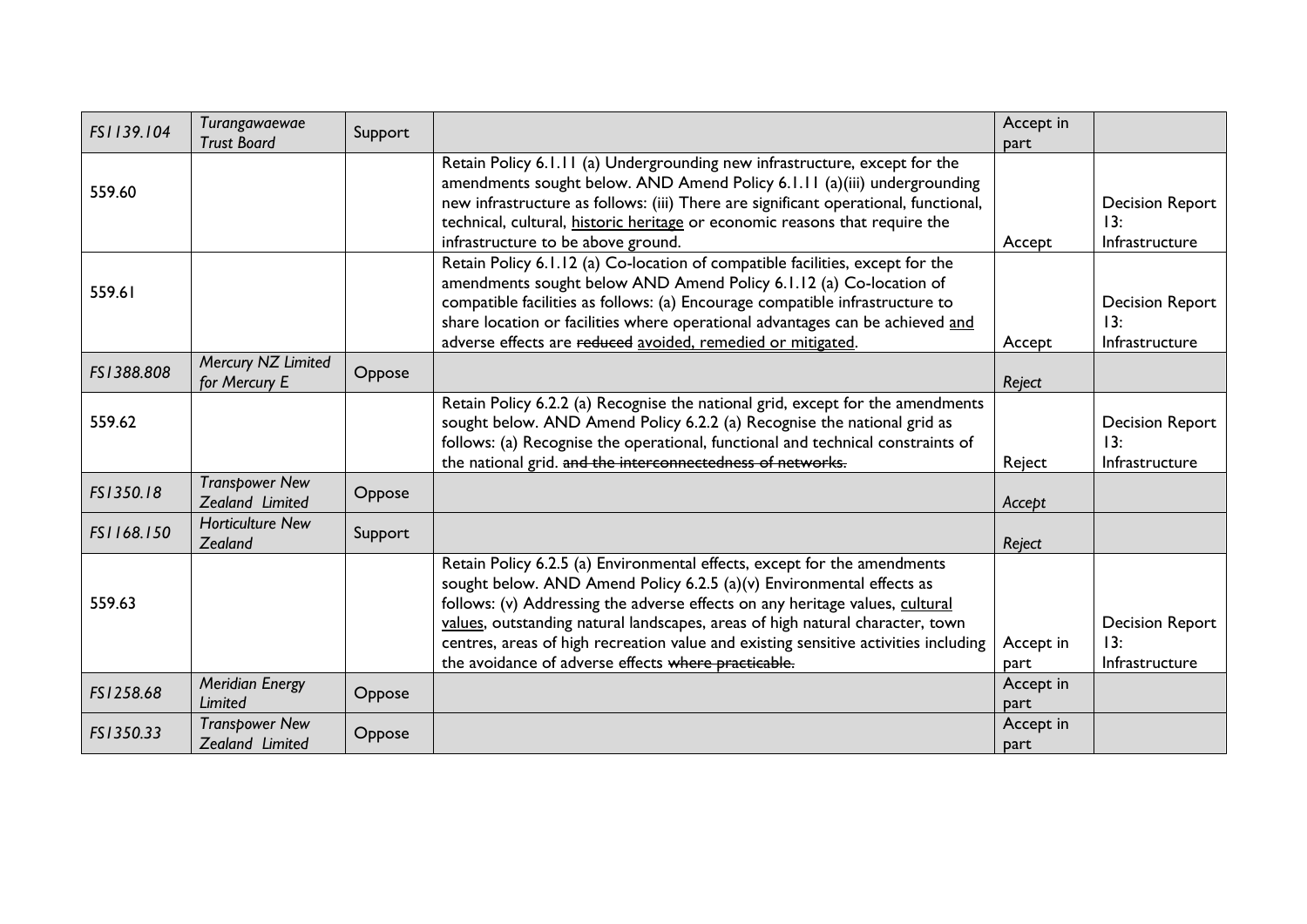| FS1139.104 | Turangawaewae<br><b>Trust Board</b>      | Support |                                                                                                                                                                                                                                                                                                                                                                                                                                                                 | Accept in<br>part |                                                 |
|------------|------------------------------------------|---------|-----------------------------------------------------------------------------------------------------------------------------------------------------------------------------------------------------------------------------------------------------------------------------------------------------------------------------------------------------------------------------------------------------------------------------------------------------------------|-------------------|-------------------------------------------------|
| 559.60     |                                          |         | Retain Policy 6.1.11 (a) Undergrounding new infrastructure, except for the<br>amendments sought below. AND Amend Policy 6.1.11 (a)(iii) undergrounding<br>new infrastructure as follows: (iii) There are significant operational, functional,<br>technical, cultural, historic heritage or economic reasons that require the<br>infrastructure to be above ground.                                                                                              | Accept            | <b>Decision Report</b><br>13:<br>Infrastructure |
| 559.61     |                                          |         | Retain Policy 6.1.12 (a) Co-location of compatible facilities, except for the<br>amendments sought below AND Amend Policy 6.1.12 (a) Co-location of<br>compatible facilities as follows: (a) Encourage compatible infrastructure to<br>share location or facilities where operational advantages can be achieved and<br>adverse effects are reduced avoided, remedied or mitigated.                                                                             | Accept            | <b>Decision Report</b><br>13:<br>Infrastructure |
| FS1388.808 | Mercury NZ Limited<br>for Mercury E      | Oppose  |                                                                                                                                                                                                                                                                                                                                                                                                                                                                 | Reject            |                                                 |
| 559.62     |                                          |         | Retain Policy 6.2.2 (a) Recognise the national grid, except for the amendments<br>sought below. AND Amend Policy 6.2.2 (a) Recognise the national grid as<br>follows: (a) Recognise the operational, functional and technical constraints of<br>the national grid. and the interconnectedness of networks.                                                                                                                                                      | Reject            | <b>Decision Report</b><br>13:<br>Infrastructure |
| FS1350.18  | <b>Transpower New</b><br>Zealand Limited | Oppose  |                                                                                                                                                                                                                                                                                                                                                                                                                                                                 | Accept            |                                                 |
| FS1168.150 | <b>Horticulture New</b><br>Zealand       | Support |                                                                                                                                                                                                                                                                                                                                                                                                                                                                 | Reject            |                                                 |
| 559.63     |                                          |         | Retain Policy 6.2.5 (a) Environmental effects, except for the amendments<br>sought below. AND Amend Policy 6.2.5 (a)(v) Environmental effects as<br>follows: (v) Addressing the adverse effects on any heritage values, cultural<br>values, outstanding natural landscapes, areas of high natural character, town<br>centres, areas of high recreation value and existing sensitive activities including<br>the avoidance of adverse effects where practicable. | Accept in<br>part | <b>Decision Report</b><br>13:<br>Infrastructure |
| FS1258.68  | <b>Meridian Energy</b><br>Limited        | Oppose  |                                                                                                                                                                                                                                                                                                                                                                                                                                                                 | Accept in<br>part |                                                 |
| FS1350.33  | <b>Transpower New</b><br>Zealand Limited | Oppose  |                                                                                                                                                                                                                                                                                                                                                                                                                                                                 | Accept in<br>part |                                                 |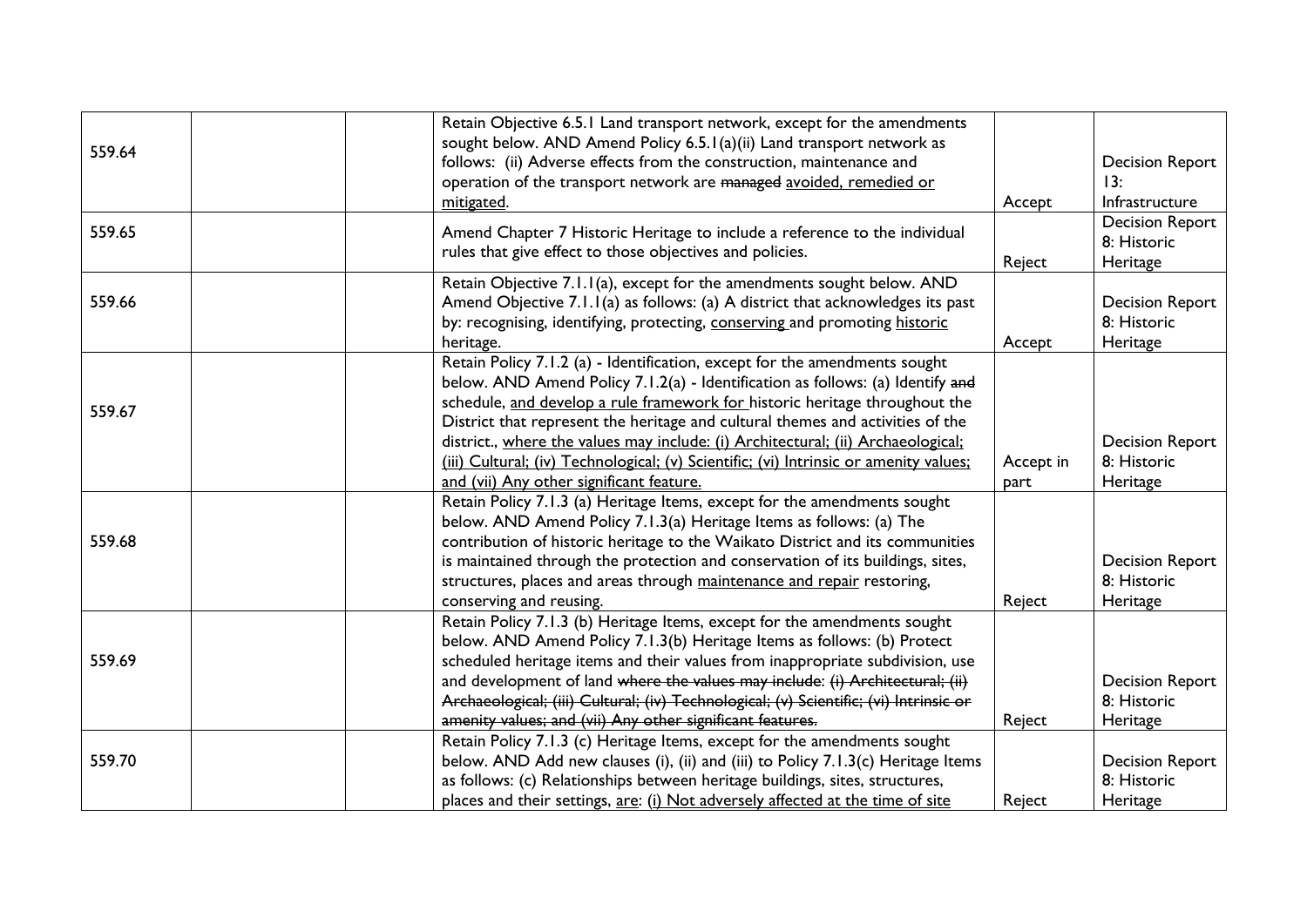|        | Retain Objective 6.5.1 Land transport network, except for the amendments                                                                            |           |                        |
|--------|-----------------------------------------------------------------------------------------------------------------------------------------------------|-----------|------------------------|
| 559.64 | sought below. AND Amend Policy 6.5.1(a)(ii) Land transport network as<br>follows: (ii) Adverse effects from the construction, maintenance and       |           | <b>Decision Report</b> |
|        | operation of the transport network are managed avoided, remedied or                                                                                 |           | 13:                    |
|        | mitigated.                                                                                                                                          | Accept    | Infrastructure         |
|        |                                                                                                                                                     |           | <b>Decision Report</b> |
| 559.65 | Amend Chapter 7 Historic Heritage to include a reference to the individual                                                                          |           | 8: Historic            |
|        | rules that give effect to those objectives and policies.                                                                                            | Reject    | Heritage               |
|        | Retain Objective 7.1.1(a), except for the amendments sought below. AND                                                                              |           |                        |
| 559.66 | Amend Objective 7.1.1(a) as follows: (a) A district that acknowledges its past                                                                      |           | <b>Decision Report</b> |
|        | by: recognising, identifying, protecting, conserving and promoting historic                                                                         |           | 8: Historic            |
|        | heritage.                                                                                                                                           | Accept    | Heritage               |
|        | Retain Policy 7.1.2 (a) - Identification, except for the amendments sought                                                                          |           |                        |
|        | below. AND Amend Policy 7.1.2(a) - Identification as follows: (a) Identify and                                                                      |           |                        |
| 559.67 | schedule, and develop a rule framework for historic heritage throughout the                                                                         |           |                        |
|        | District that represent the heritage and cultural themes and activities of the                                                                      |           |                        |
|        | district., where the values may include: (i) Architectural; (ii) Archaeological;                                                                    |           | <b>Decision Report</b> |
|        | (iii) Cultural; (iv) Technological; (v) Scientific; (vi) Intrinsic or amenity values;                                                               | Accept in | 8: Historic            |
|        | and (vii) Any other significant feature.                                                                                                            | part      | Heritage               |
|        | Retain Policy 7.1.3 (a) Heritage Items, except for the amendments sought                                                                            |           |                        |
|        | below. AND Amend Policy 7.1.3(a) Heritage Items as follows: (a) The                                                                                 |           |                        |
| 559.68 | contribution of historic heritage to the Waikato District and its communities                                                                       |           |                        |
|        | is maintained through the protection and conservation of its buildings, sites,                                                                      |           | <b>Decision Report</b> |
|        | structures, places and areas through maintenance and repair restoring,                                                                              |           | 8: Historic            |
|        | conserving and reusing.                                                                                                                             | Reject    | Heritage               |
|        | Retain Policy 7.1.3 (b) Heritage Items, except for the amendments sought<br>below. AND Amend Policy 7.1.3(b) Heritage Items as follows: (b) Protect |           |                        |
| 559.69 | scheduled heritage items and their values from inappropriate subdivision, use                                                                       |           |                        |
|        | and development of land where the values may include: (i) Architectural; (ii)                                                                       |           | <b>Decision Report</b> |
|        | Archaeological; (iii) Cultural; (iv) Technological; (v) Scientific; (vi) Intrinsic or                                                               |           | 8: Historic            |
|        | amenity values; and (vii) Any other significant features.                                                                                           | Reject    | Heritage               |
|        | Retain Policy 7.1.3 (c) Heritage Items, except for the amendments sought                                                                            |           |                        |
| 559.70 | below. AND Add new clauses (i), (ii) and (iii) to Policy 7.1.3(c) Heritage Items                                                                    |           | <b>Decision Report</b> |
|        | as follows: (c) Relationships between heritage buildings, sites, structures,                                                                        |           | 8: Historic            |
|        | places and their settings, are: (i) Not adversely affected at the time of site                                                                      | Reject    | Heritage               |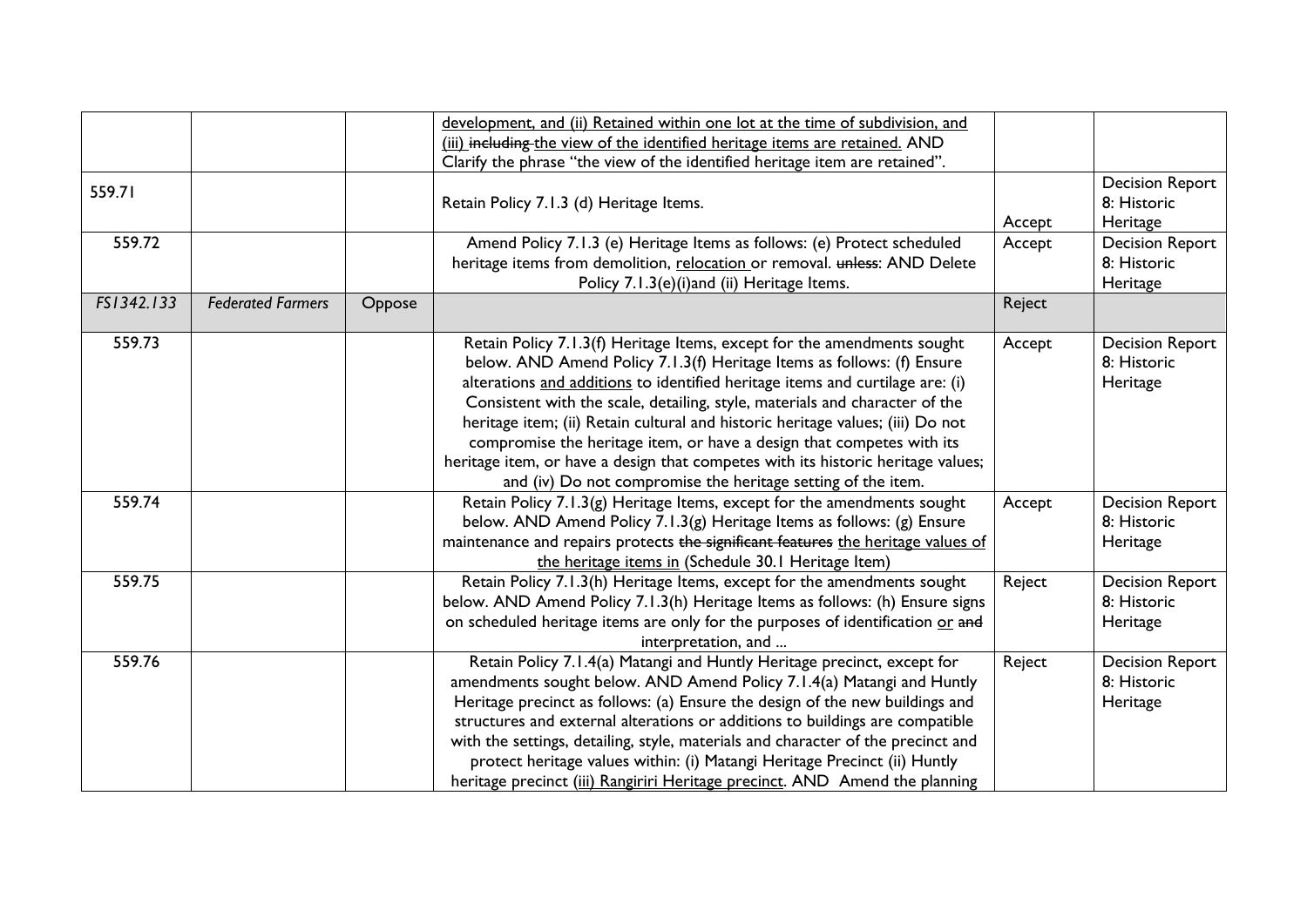|            |                          |        | development, and (ii) Retained within one lot at the time of subdivision, and    |        |                        |
|------------|--------------------------|--------|----------------------------------------------------------------------------------|--------|------------------------|
|            |                          |        | (iii) including the view of the identified heritage items are retained. AND      |        |                        |
|            |                          |        | Clarify the phrase "the view of the identified heritage item are retained".      |        |                        |
| 559.71     |                          |        |                                                                                  |        | <b>Decision Report</b> |
|            |                          |        | Retain Policy 7.1.3 (d) Heritage Items.                                          |        | 8: Historic            |
|            |                          |        |                                                                                  | Accept | Heritage               |
| 559.72     |                          |        | Amend Policy 7.1.3 (e) Heritage Items as follows: (e) Protect scheduled          | Accept | <b>Decision Report</b> |
|            |                          |        | heritage items from demolition, relocation or removal. unless: AND Delete        |        | 8: Historic            |
|            |                          |        | Policy 7.1.3(e)(i)and (ii) Heritage Items.                                       |        | Heritage               |
| FS1342.133 | <b>Federated Farmers</b> | Oppose |                                                                                  | Reject |                        |
| 559.73     |                          |        | Retain Policy 7.1.3(f) Heritage Items, except for the amendments sought          | Accept | <b>Decision Report</b> |
|            |                          |        | below. AND Amend Policy 7.1.3(f) Heritage Items as follows: (f) Ensure           |        | 8: Historic            |
|            |                          |        | alterations and additions to identified heritage items and curtilage are: (i)    |        | Heritage               |
|            |                          |        | Consistent with the scale, detailing, style, materials and character of the      |        |                        |
|            |                          |        | heritage item; (ii) Retain cultural and historic heritage values; (iii) Do not   |        |                        |
|            |                          |        | compromise the heritage item, or have a design that competes with its            |        |                        |
|            |                          |        | heritage item, or have a design that competes with its historic heritage values; |        |                        |
|            |                          |        | and (iv) Do not compromise the heritage setting of the item.                     |        |                        |
| 559.74     |                          |        | Retain Policy $7.1.3(g)$ Heritage Items, except for the amendments sought        | Accept | <b>Decision Report</b> |
|            |                          |        | below. AND Amend Policy 7.1.3(g) Heritage Items as follows: (g) Ensure           |        | 8: Historic            |
|            |                          |        | maintenance and repairs protects the significant features the heritage values of |        | Heritage               |
|            |                          |        | the heritage items in (Schedule 30.1 Heritage Item)                              |        |                        |
| 559.75     |                          |        | Retain Policy 7.1.3(h) Heritage Items, except for the amendments sought          | Reject | <b>Decision Report</b> |
|            |                          |        | below. AND Amend Policy 7.1.3(h) Heritage Items as follows: (h) Ensure signs     |        | 8: Historic            |
|            |                          |        | on scheduled heritage items are only for the purposes of identification or and   |        | Heritage               |
|            |                          |        | interpretation, and                                                              |        |                        |
| 559.76     |                          |        | Retain Policy 7.1.4(a) Matangi and Huntly Heritage precinct, except for          | Reject | <b>Decision Report</b> |
|            |                          |        | amendments sought below. AND Amend Policy 7.1.4(a) Matangi and Huntly            |        | 8: Historic            |
|            |                          |        | Heritage precinct as follows: (a) Ensure the design of the new buildings and     |        | Heritage               |
|            |                          |        | structures and external alterations or additions to buildings are compatible     |        |                        |
|            |                          |        | with the settings, detailing, style, materials and character of the precinct and |        |                        |
|            |                          |        | protect heritage values within: (i) Matangi Heritage Precinct (ii) Huntly        |        |                        |
|            |                          |        | heritage precinct (iii) Rangiriri Heritage precinct. AND Amend the planning      |        |                        |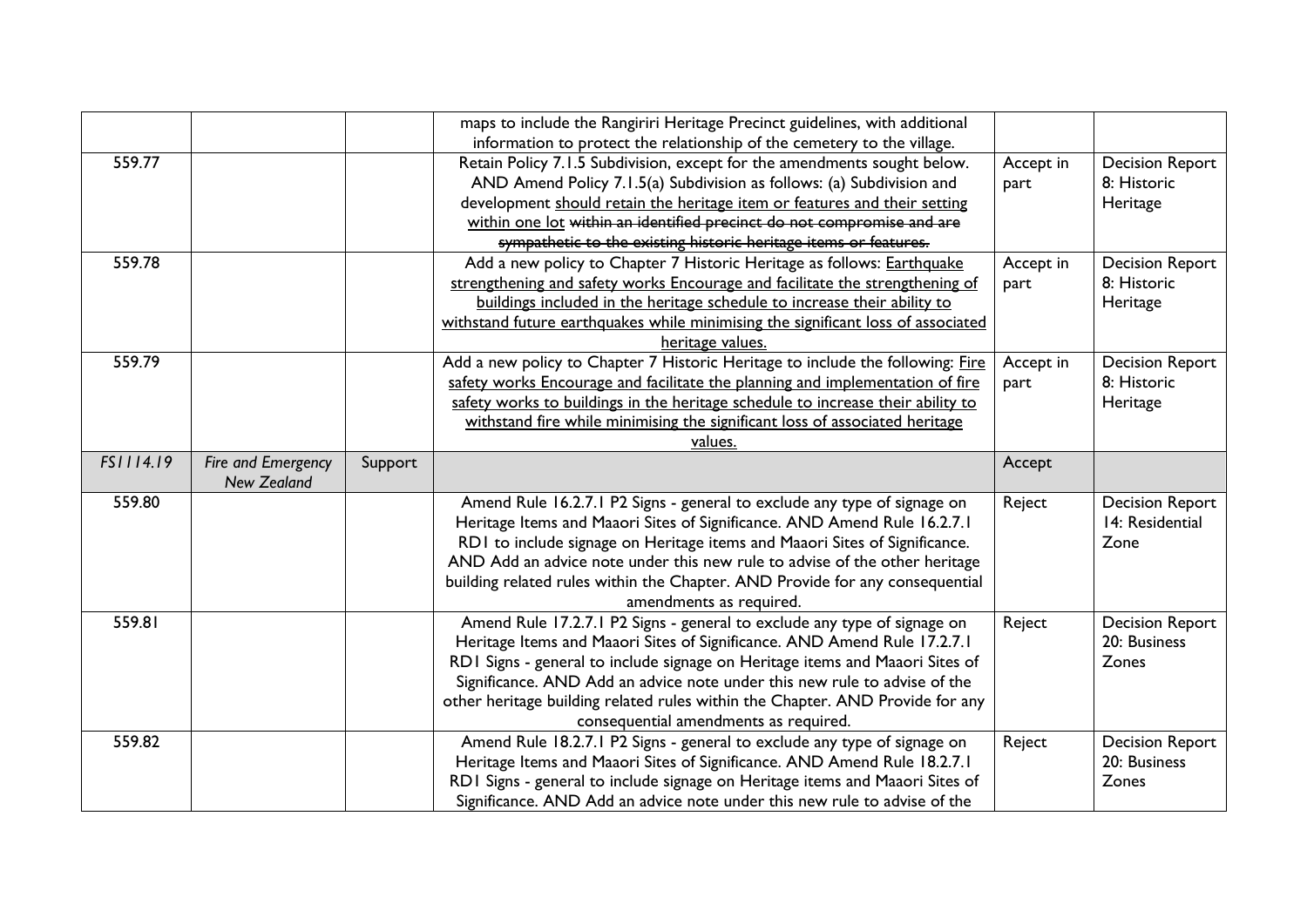|           |                    |         | maps to include the Rangiriri Heritage Precinct guidelines, with additional                                                                               |           |                        |
|-----------|--------------------|---------|-----------------------------------------------------------------------------------------------------------------------------------------------------------|-----------|------------------------|
|           |                    |         | information to protect the relationship of the cemetery to the village.                                                                                   |           |                        |
| 559.77    |                    |         | Retain Policy 7.1.5 Subdivision, except for the amendments sought below.                                                                                  | Accept in | <b>Decision Report</b> |
|           |                    |         | AND Amend Policy 7.1.5(a) Subdivision as follows: (a) Subdivision and                                                                                     | part      | 8: Historic            |
|           |                    |         | development should retain the heritage item or features and their setting                                                                                 |           | Heritage               |
|           |                    |         | within one lot within an identified precinct do not compromise and are                                                                                    |           |                        |
|           |                    |         | sympathetic to the existing historic heritage items or features.                                                                                          |           |                        |
| 559.78    |                    |         | Add a new policy to Chapter 7 Historic Heritage as follows: Earthquake                                                                                    | Accept in | <b>Decision Report</b> |
|           |                    |         | strengthening and safety works Encourage and facilitate the strengthening of                                                                              | part      | 8: Historic            |
|           |                    |         | buildings included in the heritage schedule to increase their ability to                                                                                  |           | Heritage               |
|           |                    |         | withstand future earthquakes while minimising the significant loss of associated                                                                          |           |                        |
|           |                    |         | heritage values.                                                                                                                                          |           |                        |
| 559.79    |                    |         | Add a new policy to Chapter 7 Historic Heritage to include the following: Fire                                                                            | Accept in | <b>Decision Report</b> |
|           |                    |         | safety works Encourage and facilitate the planning and implementation of fire                                                                             | part      | 8: Historic            |
|           |                    |         | safety works to buildings in the heritage schedule to increase their ability to                                                                           |           | Heritage               |
|           |                    |         | withstand fire while minimising the significant loss of associated heritage                                                                               |           |                        |
|           |                    |         | values.                                                                                                                                                   |           |                        |
| FS1114.19 | Fire and Emergency | Support |                                                                                                                                                           | Accept    |                        |
|           | <b>New Zealand</b> |         |                                                                                                                                                           |           |                        |
| 559.80    |                    |         | Amend Rule 16.2.7.1 P2 Signs - general to exclude any type of signage on                                                                                  | Reject    | <b>Decision Report</b> |
|           |                    |         | Heritage Items and Maaori Sites of Significance. AND Amend Rule 16.2.7.1                                                                                  |           | 14: Residential        |
|           |                    |         | RD1 to include signage on Heritage items and Maaori Sites of Significance.                                                                                |           | Zone                   |
|           |                    |         | AND Add an advice note under this new rule to advise of the other heritage                                                                                |           |                        |
|           |                    |         | building related rules within the Chapter. AND Provide for any consequential                                                                              |           |                        |
|           |                    |         | amendments as required.                                                                                                                                   |           |                        |
| 559.81    |                    |         | Amend Rule 17.2.7.1 P2 Signs - general to exclude any type of signage on                                                                                  | Reject    | <b>Decision Report</b> |
|           |                    |         | Heritage Items and Maaori Sites of Significance. AND Amend Rule 17.2.7.1                                                                                  |           | 20: Business           |
|           |                    |         | RDI Signs - general to include signage on Heritage items and Maaori Sites of                                                                              |           | Zones                  |
|           |                    |         | Significance. AND Add an advice note under this new rule to advise of the                                                                                 |           |                        |
|           |                    |         | other heritage building related rules within the Chapter. AND Provide for any                                                                             |           |                        |
|           |                    |         | consequential amendments as required.                                                                                                                     |           |                        |
| 559.82    |                    |         | Amend Rule 18.2.7.1 P2 Signs - general to exclude any type of signage on                                                                                  | Reject    | <b>Decision Report</b> |
|           |                    |         |                                                                                                                                                           |           |                        |
|           |                    |         | Heritage Items and Maaori Sites of Significance. AND Amend Rule 18.2.7.1                                                                                  |           | 20: Business           |
|           |                    |         | RDI Signs - general to include signage on Heritage items and Maaori Sites of<br>Significance. AND Add an advice note under this new rule to advise of the |           | Zones                  |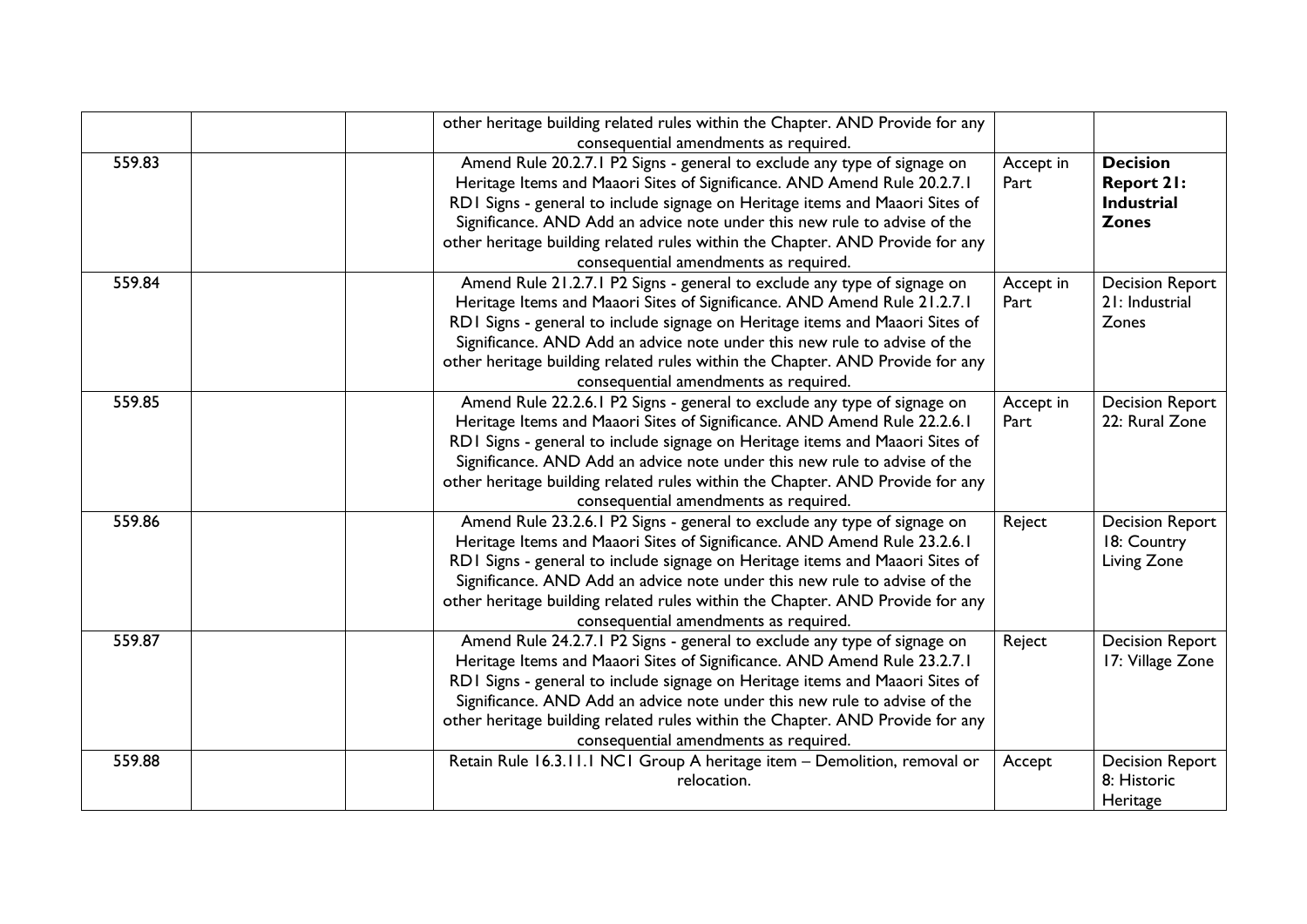|        | other heritage building related rules within the Chapter. AND Provide for any                                                                                                                                                                                                                                                                                                                                                               |                   |                                                                           |
|--------|---------------------------------------------------------------------------------------------------------------------------------------------------------------------------------------------------------------------------------------------------------------------------------------------------------------------------------------------------------------------------------------------------------------------------------------------|-------------------|---------------------------------------------------------------------------|
|        | consequential amendments as required.                                                                                                                                                                                                                                                                                                                                                                                                       |                   |                                                                           |
| 559.83 | Amend Rule 20.2.7.1 P2 Signs - general to exclude any type of signage on<br>Heritage Items and Maaori Sites of Significance. AND Amend Rule 20.2.7.1<br>RDI Signs - general to include signage on Heritage items and Maaori Sites of<br>Significance. AND Add an advice note under this new rule to advise of the<br>other heritage building related rules within the Chapter. AND Provide for any<br>consequential amendments as required. | Accept in<br>Part | <b>Decision</b><br><b>Report 21:</b><br><b>Industrial</b><br><b>Zones</b> |
| 559.84 | Amend Rule 21.2.7.1 P2 Signs - general to exclude any type of signage on<br>Heritage Items and Maaori Sites of Significance. AND Amend Rule 21.2.7.1<br>RDI Signs - general to include signage on Heritage items and Maaori Sites of<br>Significance. AND Add an advice note under this new rule to advise of the<br>other heritage building related rules within the Chapter. AND Provide for any<br>consequential amendments as required. | Accept in<br>Part | <b>Decision Report</b><br>21: Industrial<br>Zones                         |
| 559.85 | Amend Rule 22.2.6.1 P2 Signs - general to exclude any type of signage on<br>Heritage Items and Maaori Sites of Significance. AND Amend Rule 22.2.6.1<br>RDI Signs - general to include signage on Heritage items and Maaori Sites of<br>Significance. AND Add an advice note under this new rule to advise of the<br>other heritage building related rules within the Chapter. AND Provide for any<br>consequential amendments as required. | Accept in<br>Part | <b>Decision Report</b><br>22: Rural Zone                                  |
| 559.86 | Amend Rule 23.2.6.1 P2 Signs - general to exclude any type of signage on<br>Heritage Items and Maaori Sites of Significance. AND Amend Rule 23.2.6.1<br>RDI Signs - general to include signage on Heritage items and Maaori Sites of<br>Significance. AND Add an advice note under this new rule to advise of the<br>other heritage building related rules within the Chapter. AND Provide for any<br>consequential amendments as required. | Reject            | <b>Decision Report</b><br>18: Country<br>Living Zone                      |
| 559.87 | Amend Rule 24.2.7.1 P2 Signs - general to exclude any type of signage on<br>Heritage Items and Maaori Sites of Significance. AND Amend Rule 23.2.7.1<br>RDI Signs - general to include signage on Heritage items and Maaori Sites of<br>Significance. AND Add an advice note under this new rule to advise of the<br>other heritage building related rules within the Chapter. AND Provide for any<br>consequential amendments as required. | Reject            | <b>Decision Report</b><br>17: Village Zone                                |
| 559.88 | Retain Rule 16.3.11.1 NC1 Group A heritage item - Demolition, removal or<br>relocation.                                                                                                                                                                                                                                                                                                                                                     | Accept            | <b>Decision Report</b><br>8: Historic<br>Heritage                         |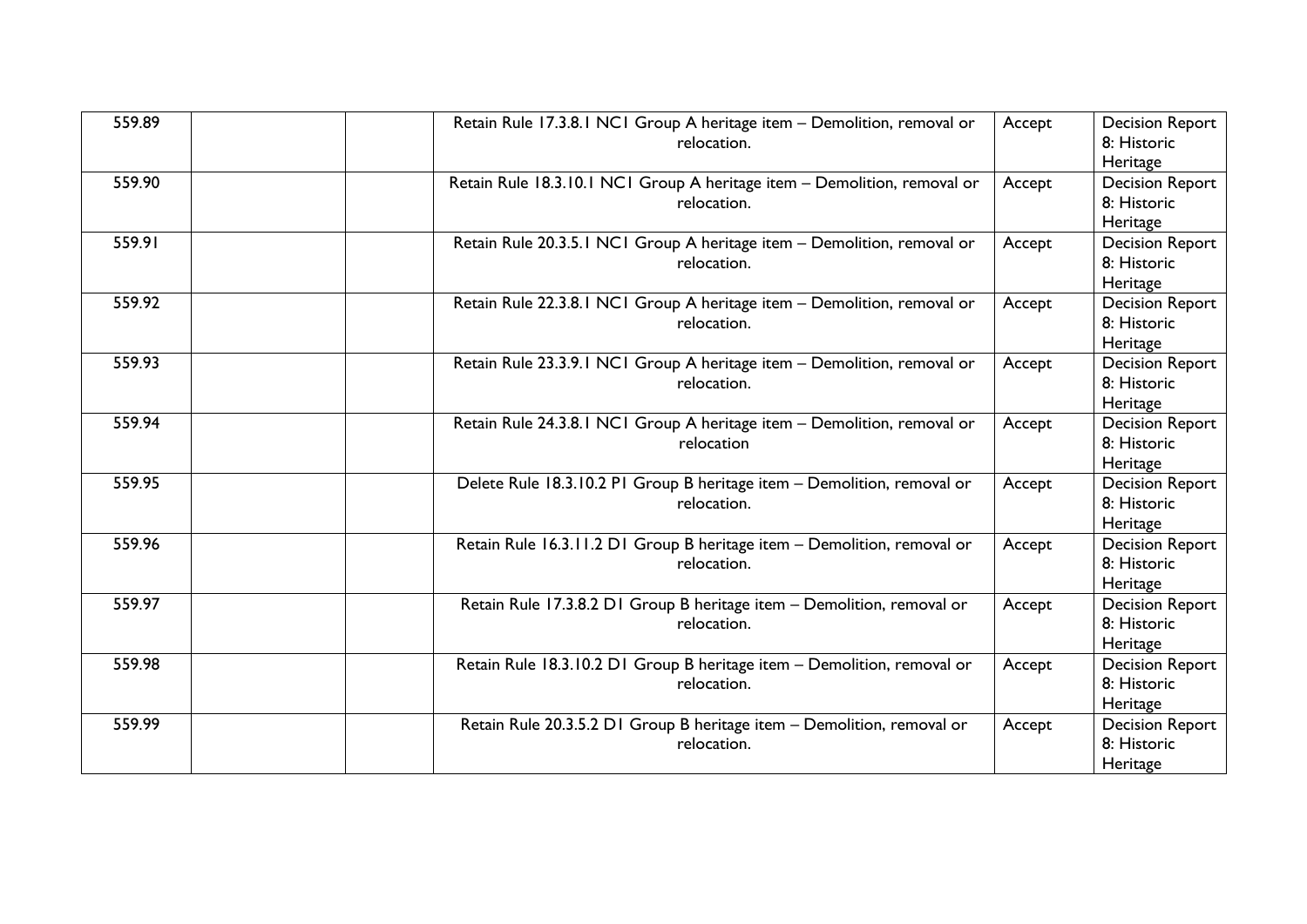| 559.89 | Retain Rule 17.3.8.1 NC1 Group A heritage item - Demolition, removal or<br>relocation.  | Accept | <b>Decision Report</b><br>8: Historic<br>Heritage |
|--------|-----------------------------------------------------------------------------------------|--------|---------------------------------------------------|
| 559.90 | Retain Rule 18.3.10.1 NC1 Group A heritage item - Demolition, removal or<br>relocation. | Accept | <b>Decision Report</b><br>8: Historic<br>Heritage |
| 559.91 | Retain Rule 20.3.5.1 NC1 Group A heritage item - Demolition, removal or<br>relocation.  | Accept | <b>Decision Report</b><br>8: Historic<br>Heritage |
| 559.92 | Retain Rule 22.3.8.1 NC1 Group A heritage item - Demolition, removal or<br>relocation.  | Accept | <b>Decision Report</b><br>8: Historic<br>Heritage |
| 559.93 | Retain Rule 23.3.9.1 NC1 Group A heritage item - Demolition, removal or<br>relocation.  | Accept | <b>Decision Report</b><br>8: Historic<br>Heritage |
| 559.94 | Retain Rule 24.3.8.1 NC1 Group A heritage item - Demolition, removal or<br>relocation   | Accept | <b>Decision Report</b><br>8: Historic<br>Heritage |
| 559.95 | Delete Rule 18.3.10.2 P1 Group B heritage item - Demolition, removal or<br>relocation.  | Accept | <b>Decision Report</b><br>8: Historic<br>Heritage |
| 559.96 | Retain Rule 16.3.11.2 D1 Group B heritage item - Demolition, removal or<br>relocation.  | Accept | <b>Decision Report</b><br>8: Historic<br>Heritage |
| 559.97 | Retain Rule 17.3.8.2 D1 Group B heritage item - Demolition, removal or<br>relocation.   | Accept | <b>Decision Report</b><br>8: Historic<br>Heritage |
| 559.98 | Retain Rule 18.3.10.2 D1 Group B heritage item - Demolition, removal or<br>relocation.  | Accept | <b>Decision Report</b><br>8: Historic<br>Heritage |
| 559.99 | Retain Rule 20.3.5.2 D1 Group B heritage item - Demolition, removal or<br>relocation.   | Accept | <b>Decision Report</b><br>8: Historic<br>Heritage |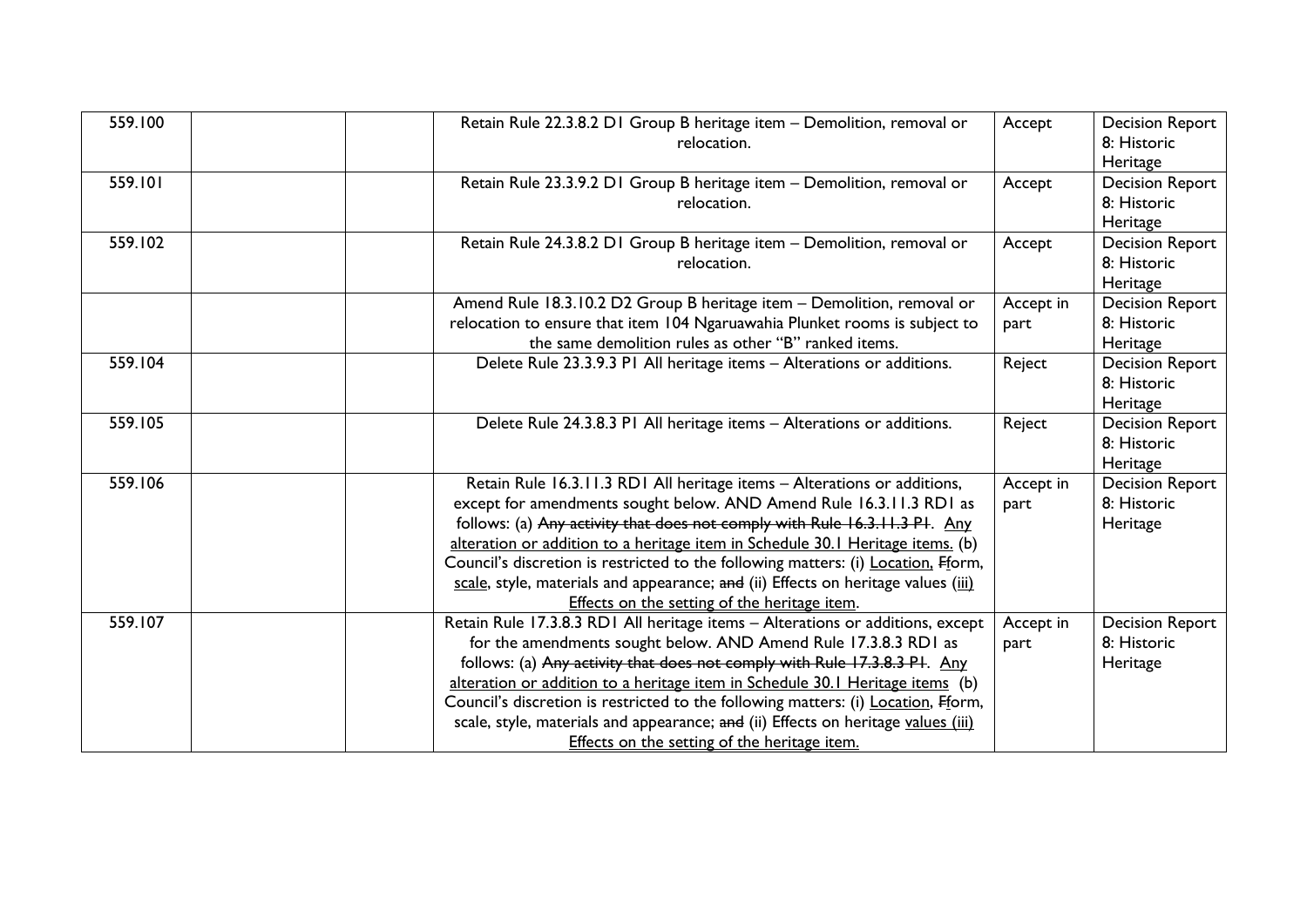| 559.100 | Retain Rule 22.3.8.2 D1 Group B heritage item - Demolition, removal or<br>relocation.                                                                                                                                                                                                                                                                                                                                                                                                                                                     | Accept            | <b>Decision Report</b><br>8: Historic<br>Heritage |
|---------|-------------------------------------------------------------------------------------------------------------------------------------------------------------------------------------------------------------------------------------------------------------------------------------------------------------------------------------------------------------------------------------------------------------------------------------------------------------------------------------------------------------------------------------------|-------------------|---------------------------------------------------|
| 559.101 | Retain Rule 23.3.9.2 D1 Group B heritage item - Demolition, removal or<br>relocation.                                                                                                                                                                                                                                                                                                                                                                                                                                                     | Accept            | <b>Decision Report</b><br>8: Historic<br>Heritage |
| 559.102 | Retain Rule 24.3.8.2 D1 Group B heritage item - Demolition, removal or<br>relocation.                                                                                                                                                                                                                                                                                                                                                                                                                                                     | Accept            | <b>Decision Report</b><br>8: Historic<br>Heritage |
|         | Amend Rule 18.3.10.2 D2 Group B heritage item - Demolition, removal or<br>relocation to ensure that item 104 Ngaruawahia Plunket rooms is subject to<br>the same demolition rules as other "B" ranked items.                                                                                                                                                                                                                                                                                                                              | Accept in<br>part | <b>Decision Report</b><br>8: Historic<br>Heritage |
| 559.104 | Delete Rule 23.3.9.3 PI All heritage items - Alterations or additions.                                                                                                                                                                                                                                                                                                                                                                                                                                                                    | Reject            | <b>Decision Report</b><br>8: Historic<br>Heritage |
| 559.105 | Delete Rule 24.3.8.3 P1 All heritage items - Alterations or additions.                                                                                                                                                                                                                                                                                                                                                                                                                                                                    | Reject            | <b>Decision Report</b><br>8: Historic<br>Heritage |
| 559.106 | Retain Rule 16.3.11.3 RD1 All heritage items - Alterations or additions,<br>except for amendments sought below. AND Amend Rule 16.3.11.3 RD1 as<br>follows: (a) Any activity that does not comply with Rule 16.3.11.3 P1. Any<br>alteration or addition to a heritage item in Schedule 30.1 Heritage items. (b)<br>Council's discretion is restricted to the following matters: (i) Location, Fform,<br>scale, style, materials and appearance; and (ii) Effects on heritage values (iii)<br>Effects on the setting of the heritage item. | Accept in<br>part | <b>Decision Report</b><br>8: Historic<br>Heritage |
| 559.107 | Retain Rule 17.3.8.3 RD1 All heritage items - Alterations or additions, except<br>for the amendments sought below. AND Amend Rule 17.3.8.3 RD1 as<br>follows: (a) Any activity that does not comply with Rule 17.3.8.3 P1. Any<br>alteration or addition to a heritage item in Schedule 30.1 Heritage items (b)<br>Council's discretion is restricted to the following matters: (i) Location, Fform,<br>scale, style, materials and appearance; and (ii) Effects on heritage values (iii)<br>Effects on the setting of the heritage item. | Accept in<br>part | <b>Decision Report</b><br>8: Historic<br>Heritage |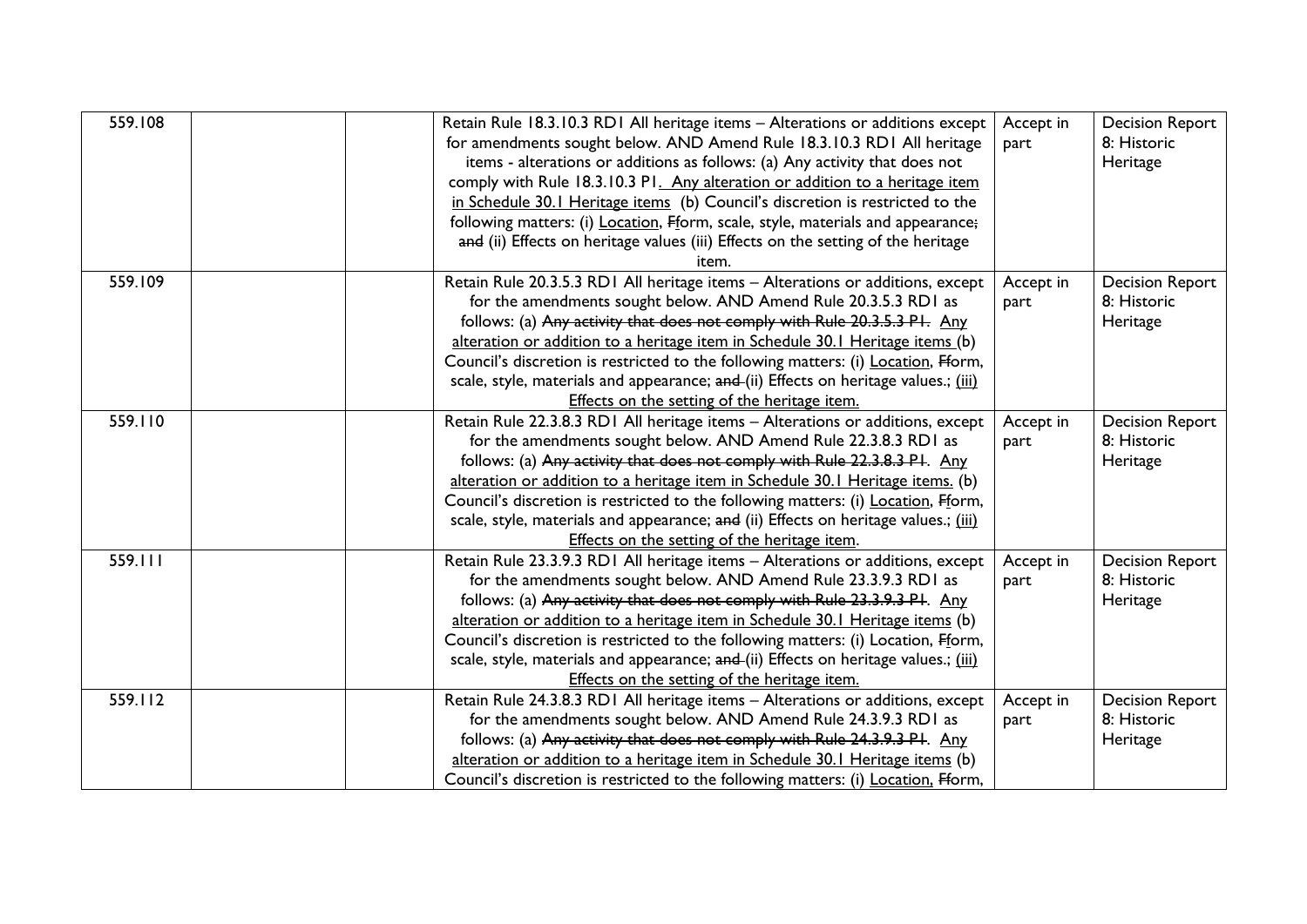| 559.108 | Retain Rule 18.3.10.3 RD1 All heritage items - Alterations or additions except<br>for amendments sought below. AND Amend Rule 18.3.10.3 RD1 All heritage<br>items - alterations or additions as follows: (a) Any activity that does not<br>comply with Rule 18.3.10.3 P1. Any alteration or addition to a heritage item<br>in Schedule 30.1 Heritage items (b) Council's discretion is restricted to the<br>following matters: (i) Location, Fform, scale, style, materials and appearance;<br>and (ii) Effects on heritage values (iii) Effects on the setting of the heritage<br>item. | Accept in<br>part | <b>Decision Report</b><br>8: Historic<br>Heritage |
|---------|------------------------------------------------------------------------------------------------------------------------------------------------------------------------------------------------------------------------------------------------------------------------------------------------------------------------------------------------------------------------------------------------------------------------------------------------------------------------------------------------------------------------------------------------------------------------------------------|-------------------|---------------------------------------------------|
| 559.109 | Retain Rule 20.3.5.3 RD1 All heritage items - Alterations or additions, except<br>for the amendments sought below. AND Amend Rule 20.3.5.3 RDI as<br>follows: (a) Any activity that does not comply with Rule 20.3.5.3 PI. Any<br>alteration or addition to a heritage item in Schedule 30.1 Heritage items (b)<br>Council's discretion is restricted to the following matters: (i) Location, Fform,<br>scale, style, materials and appearance; and (ii) Effects on heritage values.; (iii)<br>Effects on the setting of the heritage item.                                              | Accept in<br>part | <b>Decision Report</b><br>8: Historic<br>Heritage |
| 559.110 | Retain Rule 22.3.8.3 RD1 All heritage items - Alterations or additions, except<br>for the amendments sought below. AND Amend Rule 22.3.8.3 RDI as<br>follows: (a) Any activity that does not comply with Rule 22.3.8.3 PI. Any<br>alteration or addition to a heritage item in Schedule 30.1 Heritage items. (b)<br>Council's discretion is restricted to the following matters: (i) Location, Fform,<br>scale, style, materials and appearance; and (ii) Effects on heritage values.; (iii)<br>Effects on the setting of the heritage item.                                             | Accept in<br>part | <b>Decision Report</b><br>8: Historic<br>Heritage |
| 559.111 | Retain Rule 23.3.9.3 RD1 All heritage items - Alterations or additions, except<br>for the amendments sought below. AND Amend Rule 23.3.9.3 RDI as<br>follows: (a) Any activity that does not comply with Rule 23.3.9.3 PI. Any<br>alteration or addition to a heritage item in Schedule 30.1 Heritage items (b)<br>Council's discretion is restricted to the following matters: (i) Location, Fform,<br>scale, style, materials and appearance; and (ii) Effects on heritage values.; (iii)<br>Effects on the setting of the heritage item.                                              | Accept in<br>part | <b>Decision Report</b><br>8: Historic<br>Heritage |
| 559.112 | Retain Rule 24.3.8.3 RD1 All heritage items - Alterations or additions, except<br>for the amendments sought below. AND Amend Rule 24.3.9.3 RDI as<br>follows: (a) Any activity that does not comply with Rule 24.3.9.3 PI. Any<br>alteration or addition to a heritage item in Schedule 30.1 Heritage items (b)<br>Council's discretion is restricted to the following matters: (i) Location, Fform,                                                                                                                                                                                     | Accept in<br>part | <b>Decision Report</b><br>8: Historic<br>Heritage |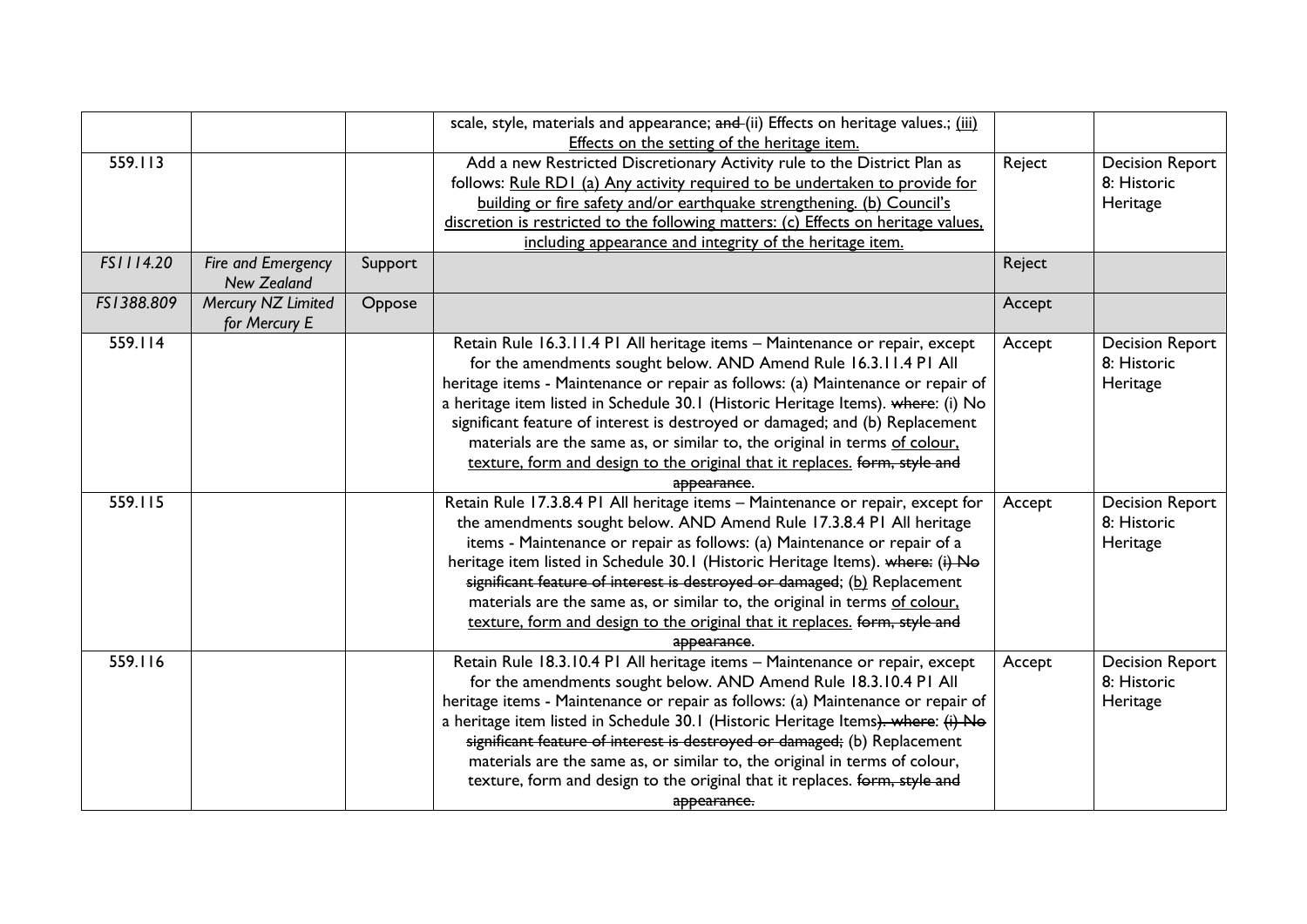|            |                    |         | scale, style, materials and appearance; and (ii) Effects on heritage values.; (iii) |        |                        |
|------------|--------------------|---------|-------------------------------------------------------------------------------------|--------|------------------------|
|            |                    |         | Effects on the setting of the heritage item.                                        |        |                        |
| 559.113    |                    |         | Add a new Restricted Discretionary Activity rule to the District Plan as            | Reject | <b>Decision Report</b> |
|            |                    |         | follows: Rule RD1 (a) Any activity required to be undertaken to provide for         |        | 8: Historic            |
|            |                    |         | building or fire safety and/or earthquake strengthening. (b) Council's              |        | Heritage               |
|            |                    |         | discretion is restricted to the following matters: (c) Effects on heritage values,  |        |                        |
|            |                    |         | including appearance and integrity of the heritage item.                            |        |                        |
| FS1114.20  | Fire and Emergency | Support |                                                                                     | Reject |                        |
|            | <b>New Zealand</b> |         |                                                                                     |        |                        |
| FS1388.809 | Mercury NZ Limited | Oppose  |                                                                                     | Accept |                        |
|            | for Mercury E      |         |                                                                                     |        |                        |
| 559.114    |                    |         | Retain Rule 16.3.11.4 P1 All heritage items - Maintenance or repair, except         | Accept | <b>Decision Report</b> |
|            |                    |         | for the amendments sought below. AND Amend Rule 16.3.11.4 PI All                    |        | 8: Historic            |
|            |                    |         | heritage items - Maintenance or repair as follows: (a) Maintenance or repair of     |        | Heritage               |
|            |                    |         | a heritage item listed in Schedule 30.1 (Historic Heritage Items). where: (i) No    |        |                        |
|            |                    |         | significant feature of interest is destroyed or damaged; and (b) Replacement        |        |                        |
|            |                    |         | materials are the same as, or similar to, the original in terms of colour,          |        |                        |
|            |                    |         | texture, form and design to the original that it replaces. form, style and          |        |                        |
|            |                    |         | appearance.                                                                         |        |                        |
| 559.115    |                    |         | Retain Rule 17.3.8.4 P1 All heritage items - Maintenance or repair, except for      | Accept | <b>Decision Report</b> |
|            |                    |         | the amendments sought below. AND Amend Rule 17.3.8.4 PI All heritage                |        | 8: Historic            |
|            |                    |         | items - Maintenance or repair as follows: (a) Maintenance or repair of a            |        | Heritage               |
|            |                    |         | heritage item listed in Schedule 30.1 (Historic Heritage Items). where: (i) No      |        |                        |
|            |                    |         | significant feature of interest is destroyed or damaged; (b) Replacement            |        |                        |
|            |                    |         | materials are the same as, or similar to, the original in terms of colour,          |        |                        |
|            |                    |         | texture, form and design to the original that it replaces. form, style and          |        |                        |
|            |                    |         | appearance.                                                                         |        |                        |
| 559.116    |                    |         | Retain Rule 18.3.10.4 P1 All heritage items - Maintenance or repair, except         | Accept | <b>Decision Report</b> |
|            |                    |         | for the amendments sought below. AND Amend Rule 18.3.10.4 PI All                    |        | 8: Historic            |
|            |                    |         | heritage items - Maintenance or repair as follows: (a) Maintenance or repair of     |        | Heritage               |
|            |                    |         | a heritage item listed in Schedule 30.1 (Historic Heritage Items). where: (i) No    |        |                        |
|            |                    |         | significant feature of interest is destroyed or damaged; (b) Replacement            |        |                        |
|            |                    |         | materials are the same as, or similar to, the original in terms of colour,          |        |                        |
|            |                    |         | texture, form and design to the original that it replaces. form, style and          |        |                        |
|            |                    |         | appearance.                                                                         |        |                        |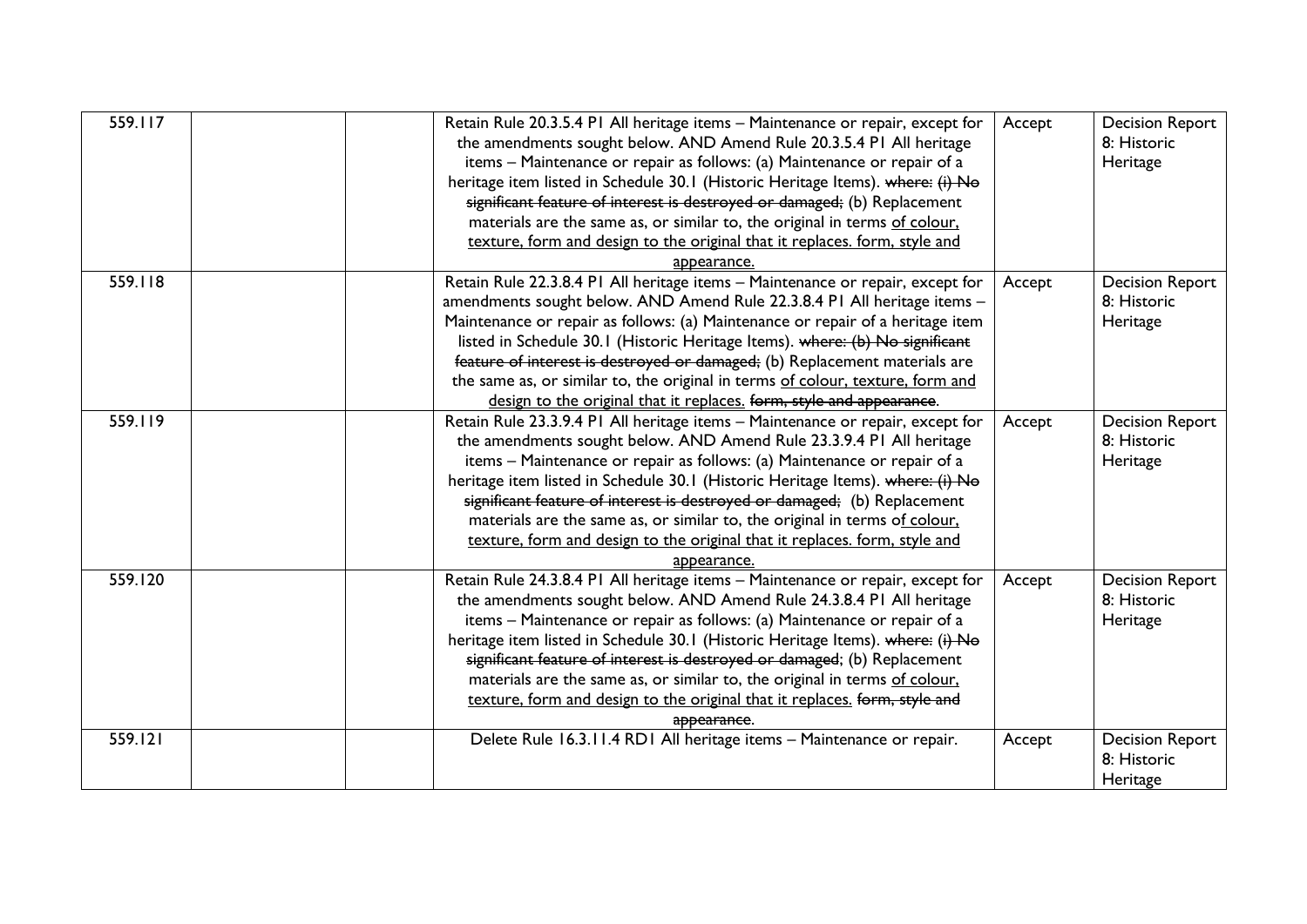| 559.117 | Retain Rule 20.3.5.4 PI All heritage items - Maintenance or repair, except for<br>the amendments sought below. AND Amend Rule 20.3.5.4 PI All heritage<br>items - Maintenance or repair as follows: (a) Maintenance or repair of a<br>heritage item listed in Schedule 30.1 (Historic Heritage Items). where: (i) No<br>significant feature of interest is destroyed or damaged; (b) Replacement<br>materials are the same as, or similar to, the original in terms of colour,<br>texture, form and design to the original that it replaces. form, style and<br>appearance. | Accept | <b>Decision Report</b><br>8: Historic<br>Heritage |
|---------|-----------------------------------------------------------------------------------------------------------------------------------------------------------------------------------------------------------------------------------------------------------------------------------------------------------------------------------------------------------------------------------------------------------------------------------------------------------------------------------------------------------------------------------------------------------------------------|--------|---------------------------------------------------|
| 559.118 | Retain Rule 22.3.8.4 PI All heritage items - Maintenance or repair, except for<br>amendments sought below. AND Amend Rule 22.3.8.4 PI All heritage items -<br>Maintenance or repair as follows: (a) Maintenance or repair of a heritage item<br>listed in Schedule 30.1 (Historic Heritage Items). where: (b) No significant<br>feature of interest is destroyed or damaged; (b) Replacement materials are<br>the same as, or similar to, the original in terms of colour, texture, form and<br>design to the original that it replaces. form, style and appearance.        | Accept | <b>Decision Report</b><br>8: Historic<br>Heritage |
| 559.119 | Retain Rule 23.3.9.4 PI All heritage items - Maintenance or repair, except for<br>the amendments sought below. AND Amend Rule 23.3.9.4 PI All heritage<br>items - Maintenance or repair as follows: (a) Maintenance or repair of a<br>heritage item listed in Schedule 30.1 (Historic Heritage Items). where: (i) No<br>significant feature of interest is destroyed or damaged; (b) Replacement<br>materials are the same as, or similar to, the original in terms of colour,<br>texture, form and design to the original that it replaces. form, style and<br>appearance. | Accept | <b>Decision Report</b><br>8: Historic<br>Heritage |
| 559.120 | Retain Rule 24.3.8.4 PI All heritage items - Maintenance or repair, except for<br>the amendments sought below. AND Amend Rule 24.3.8.4 PI All heritage<br>items - Maintenance or repair as follows: (a) Maintenance or repair of a<br>heritage item listed in Schedule 30.1 (Historic Heritage Items). where: (i) No<br>significant feature of interest is destroyed or damaged; (b) Replacement<br>materials are the same as, or similar to, the original in terms of colour.<br>texture, form and design to the original that it replaces. form, style and<br>appearance. | Accept | <b>Decision Report</b><br>8: Historic<br>Heritage |
| 559.121 | Delete Rule 16.3.11.4 RD1 All heritage items - Maintenance or repair.                                                                                                                                                                                                                                                                                                                                                                                                                                                                                                       | Accept | <b>Decision Report</b><br>8: Historic<br>Heritage |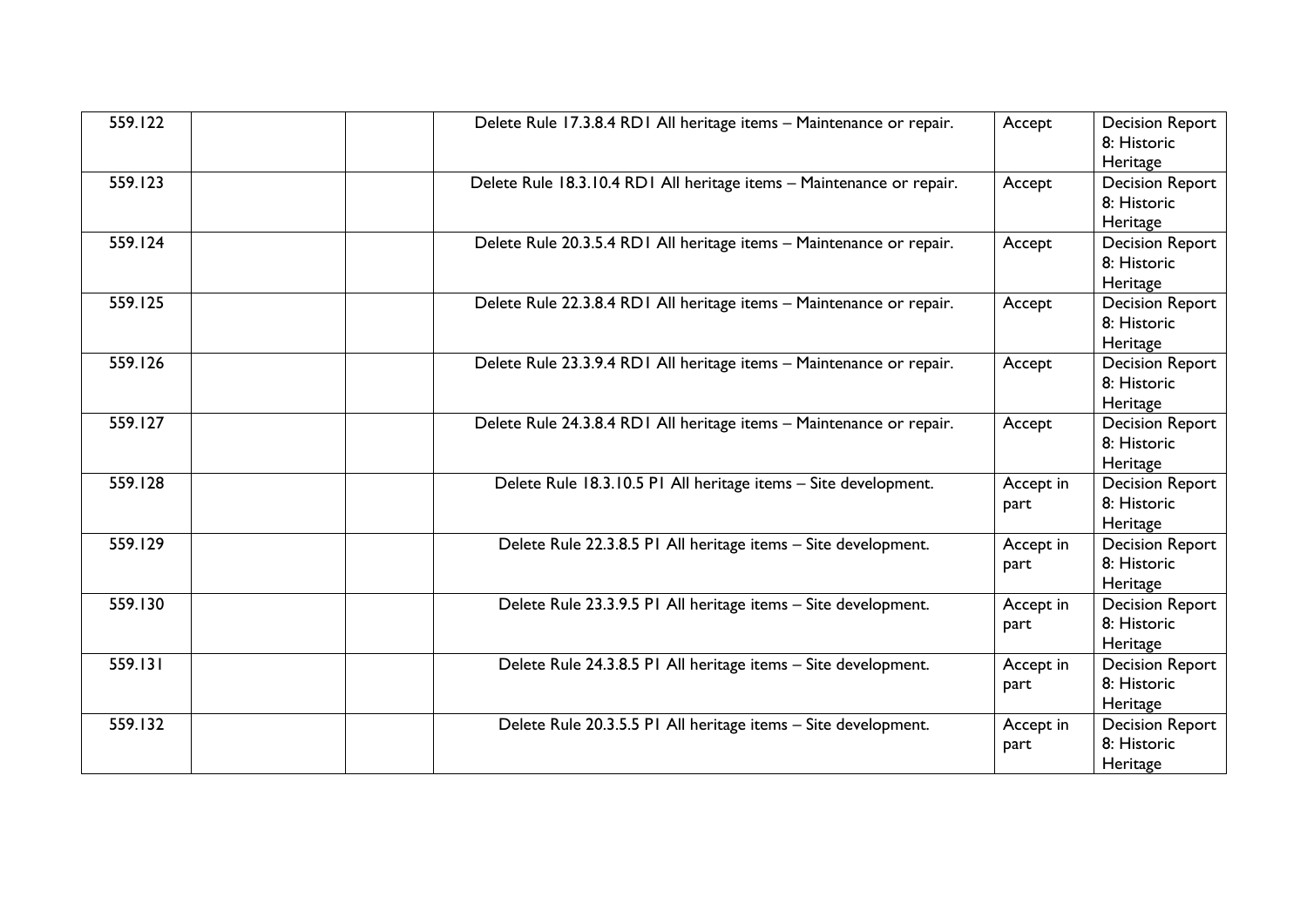| 559.122 | Delete Rule 17.3.8.4 RD1 All heritage items - Maintenance or repair.  | Accept            | <b>Decision Report</b><br>8: Historic<br>Heritage |
|---------|-----------------------------------------------------------------------|-------------------|---------------------------------------------------|
| 559.123 | Delete Rule 18.3.10.4 RD1 All heritage items - Maintenance or repair. | Accept            | <b>Decision Report</b><br>8: Historic<br>Heritage |
| 559.124 | Delete Rule 20.3.5.4 RD1 All heritage items - Maintenance or repair.  | Accept            | <b>Decision Report</b><br>8: Historic<br>Heritage |
| 559.125 | Delete Rule 22.3.8.4 RD1 All heritage items - Maintenance or repair.  | Accept            | <b>Decision Report</b><br>8: Historic<br>Heritage |
| 559.126 | Delete Rule 23.3.9.4 RD1 All heritage items - Maintenance or repair.  | Accept            | <b>Decision Report</b><br>8: Historic<br>Heritage |
| 559.127 | Delete Rule 24.3.8.4 RD1 All heritage items - Maintenance or repair.  | Accept            | <b>Decision Report</b><br>8: Historic<br>Heritage |
| 559.128 | Delete Rule 18.3.10.5 P1 All heritage items - Site development.       | Accept in<br>part | <b>Decision Report</b><br>8: Historic<br>Heritage |
| 559.129 | Delete Rule 22.3.8.5 PI All heritage items - Site development.        | Accept in<br>part | <b>Decision Report</b><br>8: Historic<br>Heritage |
| 559.130 | Delete Rule 23.3.9.5 PI All heritage items - Site development.        | Accept in<br>part | <b>Decision Report</b><br>8: Historic<br>Heritage |
| 559.131 | Delete Rule 24.3.8.5 PI All heritage items - Site development.        | Accept in<br>part | <b>Decision Report</b><br>8: Historic<br>Heritage |
| 559.132 | Delete Rule 20.3.5.5 PI All heritage items - Site development.        | Accept in<br>part | <b>Decision Report</b><br>8: Historic<br>Heritage |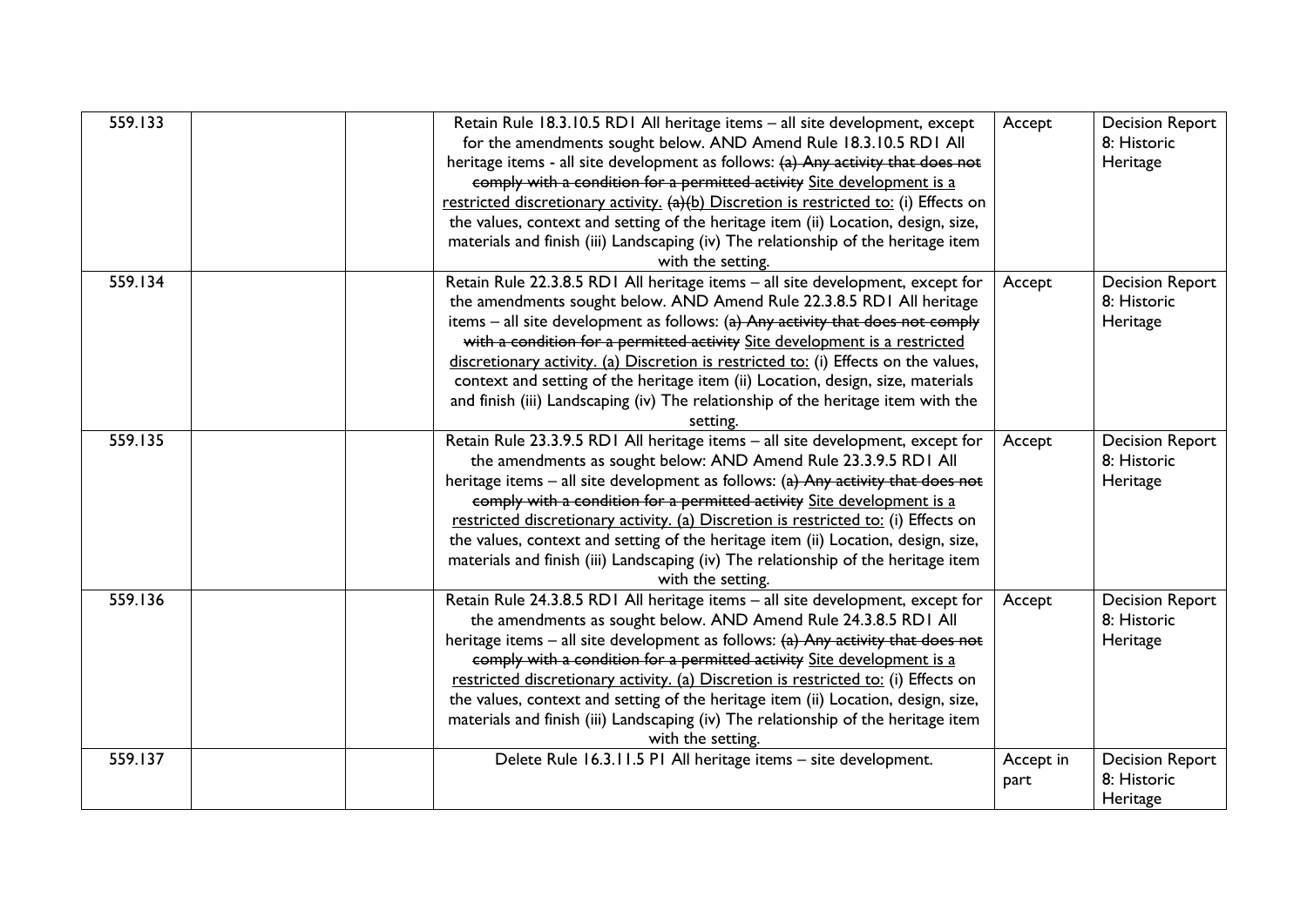| 559.133 | Retain Rule 18.3.10.5 RD1 All heritage items - all site development, except<br>for the amendments sought below. AND Amend Rule 18.3.10.5 RD1 All<br>heritage items - all site development as follows: (a) Any activity that does not<br>comply with a condition for a permitted activity Site development is a<br>restricted discretionary activity. (a)(b) Discretion is restricted to: (i) Effects on<br>the values, context and setting of the heritage item (ii) Location, design, size,<br>materials and finish (iii) Landscaping (iv) The relationship of the heritage item<br>with the setting.   | Accept            | <b>Decision Report</b><br>8: Historic<br>Heritage |
|---------|----------------------------------------------------------------------------------------------------------------------------------------------------------------------------------------------------------------------------------------------------------------------------------------------------------------------------------------------------------------------------------------------------------------------------------------------------------------------------------------------------------------------------------------------------------------------------------------------------------|-------------------|---------------------------------------------------|
| 559.134 | Retain Rule 22.3.8.5 RD1 All heritage items - all site development, except for<br>the amendments sought below. AND Amend Rule 22.3.8.5 RD1 All heritage<br>items $-$ all site development as follows: (a) Any activity that does not comply<br>with a condition for a permitted activity Site development is a restricted<br>discretionary activity. (a) Discretion is restricted to: (i) Effects on the values,<br>context and setting of the heritage item (ii) Location, design, size, materials<br>and finish (iii) Landscaping (iv) The relationship of the heritage item with the<br>setting.      | Accept            | <b>Decision Report</b><br>8: Historic<br>Heritage |
| 559.135 | Retain Rule 23.3.9.5 RD1 All heritage items - all site development, except for<br>the amendments as sought below: AND Amend Rule 23.3.9.5 RD1 All<br>heritage items $-$ all site development as follows: (a) Any activity that does not<br>comply with a condition for a permitted activity Site development is a<br>restricted discretionary activity. (a) Discretion is restricted to: (i) Effects on<br>the values, context and setting of the heritage item (ii) Location, design, size,<br>materials and finish (iii) Landscaping (iv) The relationship of the heritage item<br>with the setting.   | Accept            | <b>Decision Report</b><br>8: Historic<br>Heritage |
| 559.136 | Retain Rule 24.3.8.5 RD1 All heritage items - all site development, except for<br>the amendments as sought below. AND Amend Rule 24.3.8.5 RD1 All<br>heritage items $-$ all site development as follows: $(a)$ Any activity that does not<br>comply with a condition for a permitted activity Site development is a<br>restricted discretionary activity. (a) Discretion is restricted to: (i) Effects on<br>the values, context and setting of the heritage item (ii) Location, design, size,<br>materials and finish (iii) Landscaping (iv) The relationship of the heritage item<br>with the setting. | Accept            | <b>Decision Report</b><br>8: Historic<br>Heritage |
| 559.137 | Delete Rule 16.3.11.5 P1 All heritage items - site development.                                                                                                                                                                                                                                                                                                                                                                                                                                                                                                                                          | Accept in<br>part | <b>Decision Report</b><br>8: Historic<br>Heritage |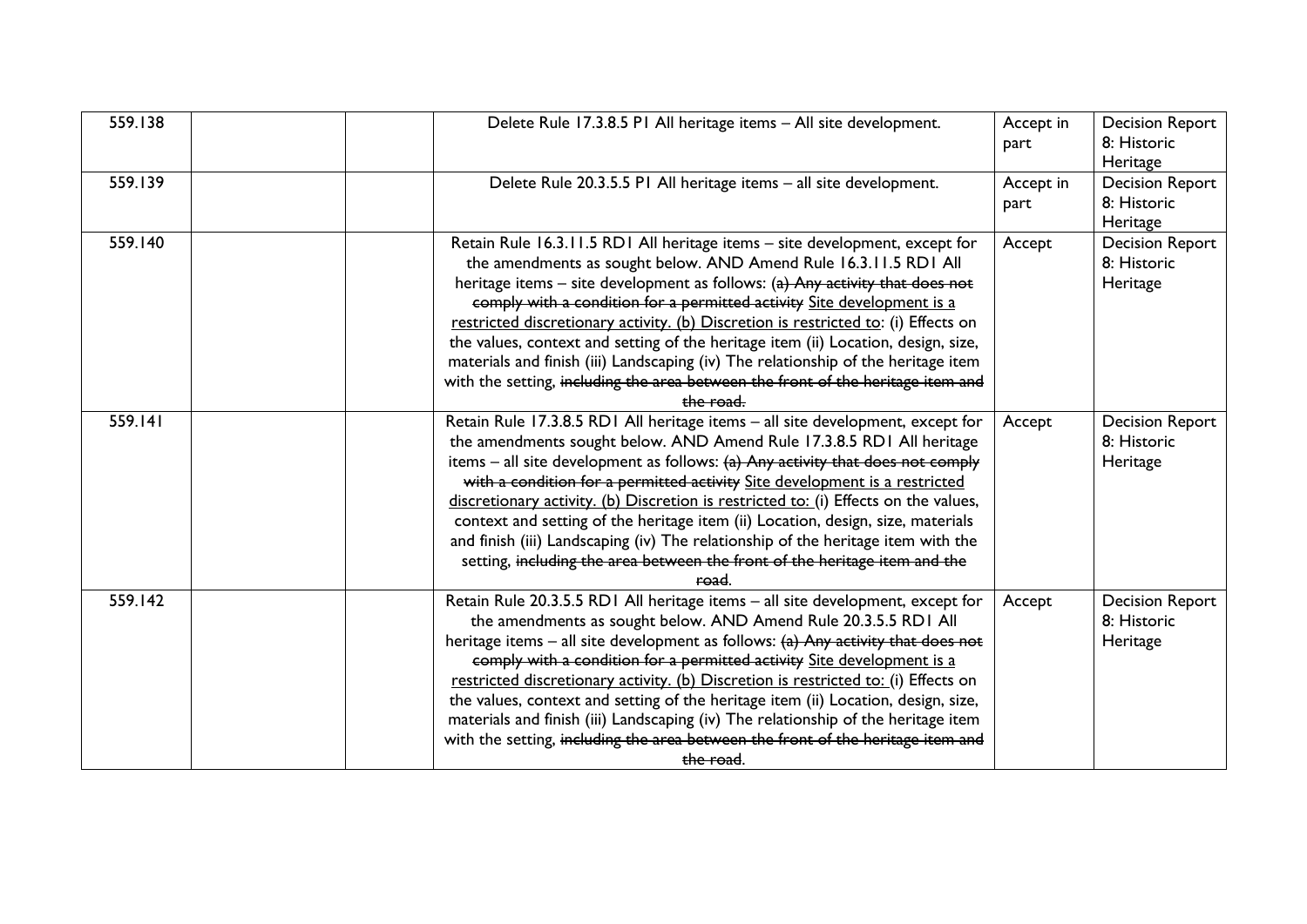| 559.138 | Delete Rule 17.3.8.5 P1 All heritage items - All site development.                                                                                                                                                                                                                                                                                                                                                                                                                                                                                                                                                                                                                | Accept in<br>part | <b>Decision Report</b><br>8: Historic<br>Heritage |
|---------|-----------------------------------------------------------------------------------------------------------------------------------------------------------------------------------------------------------------------------------------------------------------------------------------------------------------------------------------------------------------------------------------------------------------------------------------------------------------------------------------------------------------------------------------------------------------------------------------------------------------------------------------------------------------------------------|-------------------|---------------------------------------------------|
| 559.139 | Delete Rule 20.3.5.5 PI All heritage items - all site development.                                                                                                                                                                                                                                                                                                                                                                                                                                                                                                                                                                                                                | Accept in<br>part | <b>Decision Report</b><br>8: Historic<br>Heritage |
| 559.140 | Retain Rule 16.3.11.5 RD1 All heritage items - site development, except for<br>the amendments as sought below. AND Amend Rule 16.3.11.5 RD1 All<br>heritage items - site development as follows: (a) Any activity that does not<br>comply with a condition for a permitted activity Site development is a<br>restricted discretionary activity. (b) Discretion is restricted to: (i) Effects on<br>the values, context and setting of the heritage item (ii) Location, design, size,<br>materials and finish (iii) Landscaping (iv) The relationship of the heritage item<br>with the setting, including the area between the front of the heritage item and<br>the road.         | Accept            | <b>Decision Report</b><br>8: Historic<br>Heritage |
| 559.141 | Retain Rule 17.3.8.5 RD1 All heritage items - all site development, except for<br>the amendments sought below. AND Amend Rule 17.3.8.5 RD1 All heritage<br>items $-$ all site development as follows: $(a)$ Any activity that does not comply<br>with a condition for a permitted activity Site development is a restricted<br>discretionary activity. (b) Discretion is restricted to: (i) Effects on the values,<br>context and setting of the heritage item (ii) Location, design, size, materials<br>and finish (iii) Landscaping (iv) The relationship of the heritage item with the<br>setting, including the area between the front of the heritage item and the<br>road.  | Accept            | <b>Decision Report</b><br>8: Historic<br>Heritage |
| 559.142 | Retain Rule 20.3.5.5 RD1 All heritage items - all site development, except for<br>the amendments as sought below. AND Amend Rule 20.3.5.5 RD1 All<br>heritage items – all site development as follows: $(a)$ Any activity that does not<br>comply with a condition for a permitted activity Site development is a<br>restricted discretionary activity. (b) Discretion is restricted to: (i) Effects on<br>the values, context and setting of the heritage item (ii) Location, design, size,<br>materials and finish (iii) Landscaping (iv) The relationship of the heritage item<br>with the setting, including the area between the front of the heritage item and<br>the road. | Accept            | <b>Decision Report</b><br>8: Historic<br>Heritage |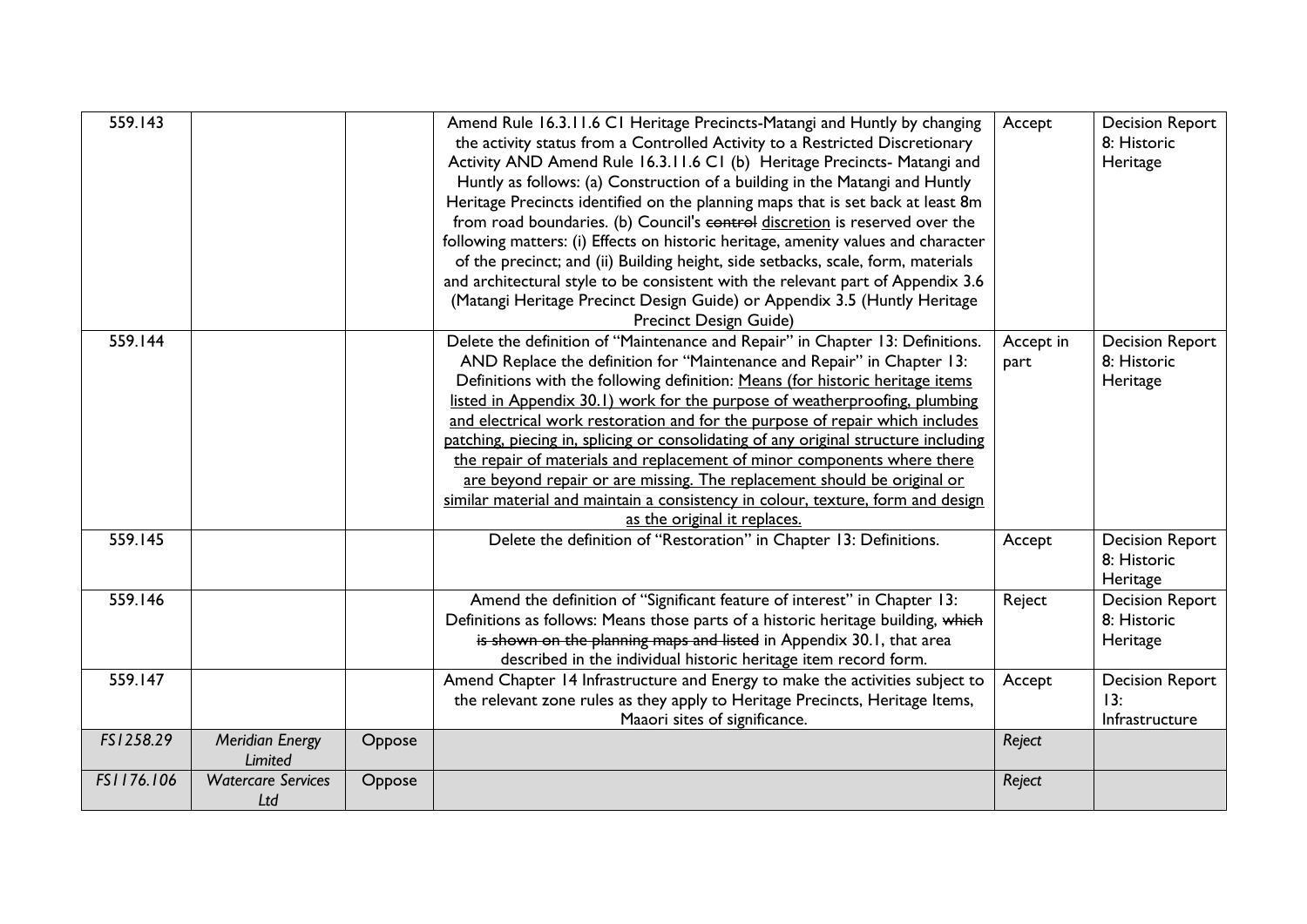| 559.143    |                                  |        | Amend Rule 16.3.11.6 C1 Heritage Precincts-Matangi and Huntly by changing<br>the activity status from a Controlled Activity to a Restricted Discretionary<br>Activity AND Amend Rule 16.3.11.6 C1 (b) Heritage Precincts- Matangi and<br>Huntly as follows: (a) Construction of a building in the Matangi and Huntly<br>Heritage Precincts identified on the planning maps that is set back at least 8m<br>from road boundaries. (b) Council's control discretion is reserved over the<br>following matters: (i) Effects on historic heritage, amenity values and character<br>of the precinct; and (ii) Building height, side setbacks, scale, form, materials<br>and architectural style to be consistent with the relevant part of Appendix 3.6<br>(Matangi Heritage Precinct Design Guide) or Appendix 3.5 (Huntly Heritage<br>Precinct Design Guide) | Accept            | <b>Decision Report</b><br>8: Historic<br>Heritage |
|------------|----------------------------------|--------|-----------------------------------------------------------------------------------------------------------------------------------------------------------------------------------------------------------------------------------------------------------------------------------------------------------------------------------------------------------------------------------------------------------------------------------------------------------------------------------------------------------------------------------------------------------------------------------------------------------------------------------------------------------------------------------------------------------------------------------------------------------------------------------------------------------------------------------------------------------|-------------------|---------------------------------------------------|
| 559.144    |                                  |        | Delete the definition of "Maintenance and Repair" in Chapter 13: Definitions.<br>AND Replace the definition for "Maintenance and Repair" in Chapter 13:<br>Definitions with the following definition: Means (for historic heritage items<br>listed in Appendix 30.1) work for the purpose of weatherproofing, plumbing<br>and electrical work restoration and for the purpose of repair which includes<br>patching, piecing in, splicing or consolidating of any original structure including<br>the repair of materials and replacement of minor components where there<br>are beyond repair or are missing. The replacement should be original or<br>similar material and maintain a consistency in colour, texture, form and design<br>as the original it replaces.                                                                                    | Accept in<br>part | <b>Decision Report</b><br>8: Historic<br>Heritage |
| 559.145    |                                  |        | Delete the definition of "Restoration" in Chapter 13: Definitions.                                                                                                                                                                                                                                                                                                                                                                                                                                                                                                                                                                                                                                                                                                                                                                                        | Accept            | <b>Decision Report</b><br>8: Historic<br>Heritage |
| 559.146    |                                  |        | Amend the definition of "Significant feature of interest" in Chapter 13:<br>Definitions as follows: Means those parts of a historic heritage building, which<br>is shown on the planning maps and listed in Appendix 30.1, that area<br>described in the individual historic heritage item record form.                                                                                                                                                                                                                                                                                                                                                                                                                                                                                                                                                   | Reject            | <b>Decision Report</b><br>8: Historic<br>Heritage |
| 559.147    |                                  |        | Amend Chapter 14 Infrastructure and Energy to make the activities subject to<br>the relevant zone rules as they apply to Heritage Precincts, Heritage Items,<br>Maaori sites of significance.                                                                                                                                                                                                                                                                                                                                                                                                                                                                                                                                                                                                                                                             | Accept            | <b>Decision Report</b><br>13:<br>Infrastructure   |
| FS1258.29  | Meridian Energy<br>Limited       | Oppose |                                                                                                                                                                                                                                                                                                                                                                                                                                                                                                                                                                                                                                                                                                                                                                                                                                                           | Reject            |                                                   |
| FS1176.106 | <b>Watercare Services</b><br>Ltd | Oppose |                                                                                                                                                                                                                                                                                                                                                                                                                                                                                                                                                                                                                                                                                                                                                                                                                                                           | Reject            |                                                   |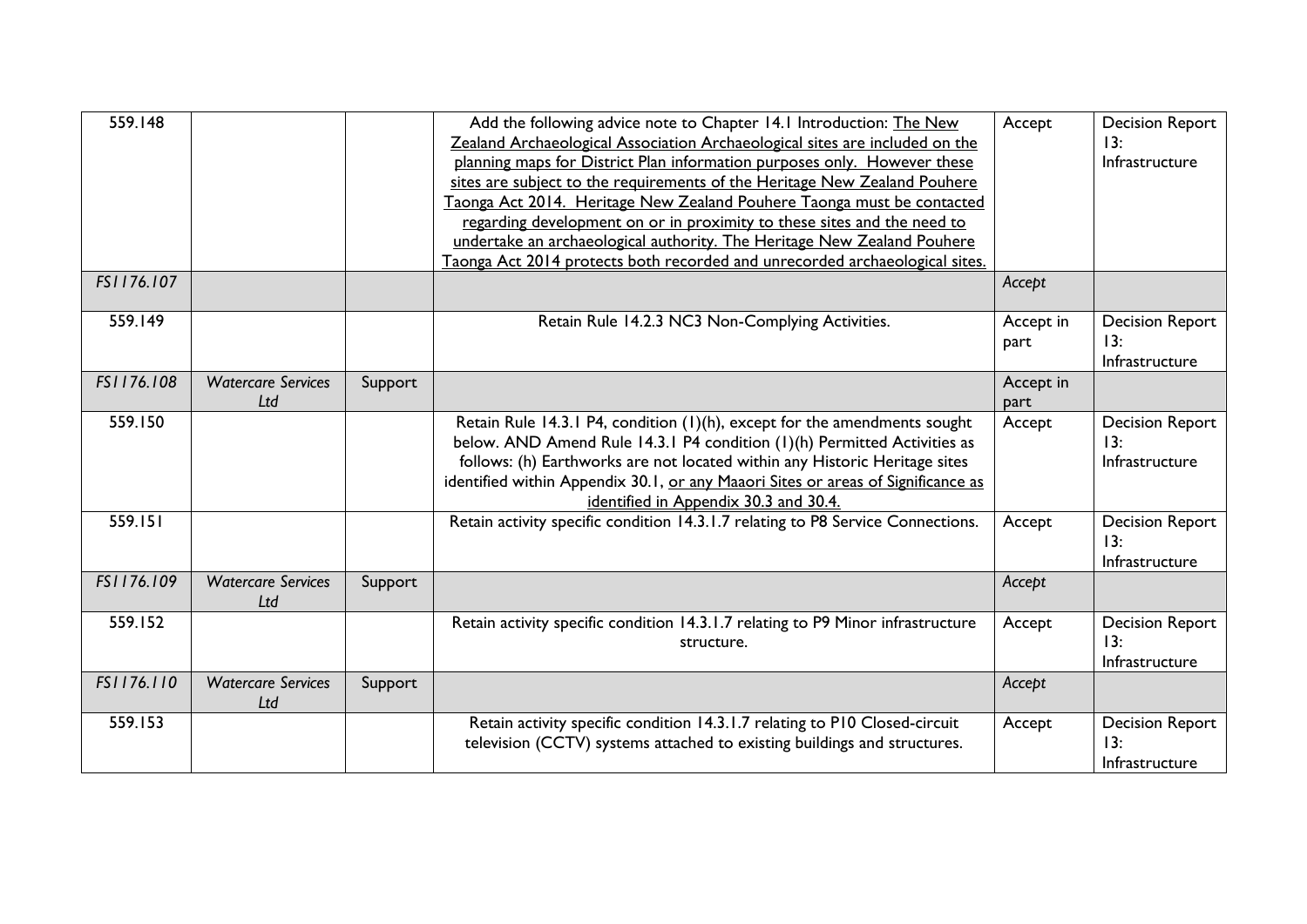| 559.148    |                                  |         | Add the following advice note to Chapter 14.1 Introduction: The New<br>Zealand Archaeological Association Archaeological sites are included on the<br>planning maps for District Plan information purposes only. However these<br>sites are subject to the requirements of the Heritage New Zealand Pouhere<br>Taonga Act 2014. Heritage New Zealand Pouhere Taonga must be contacted<br>regarding development on or in proximity to these sites and the need to<br>undertake an archaeological authority. The Heritage New Zealand Pouhere<br>Taonga Act 2014 protects both recorded and unrecorded archaeological sites. | Accept            | <b>Decision Report</b><br>13:<br>Infrastructure |
|------------|----------------------------------|---------|----------------------------------------------------------------------------------------------------------------------------------------------------------------------------------------------------------------------------------------------------------------------------------------------------------------------------------------------------------------------------------------------------------------------------------------------------------------------------------------------------------------------------------------------------------------------------------------------------------------------------|-------------------|-------------------------------------------------|
| FS1176.107 |                                  |         |                                                                                                                                                                                                                                                                                                                                                                                                                                                                                                                                                                                                                            | Accept            |                                                 |
| 559.149    |                                  |         | Retain Rule 14.2.3 NC3 Non-Complying Activities.                                                                                                                                                                                                                                                                                                                                                                                                                                                                                                                                                                           | Accept in<br>part | <b>Decision Report</b><br>13:<br>Infrastructure |
| FS1176.108 | <b>Watercare Services</b><br>Ltd | Support |                                                                                                                                                                                                                                                                                                                                                                                                                                                                                                                                                                                                                            | Accept in<br>part |                                                 |
| 559.150    |                                  |         | Retain Rule 14.3.1 P4, condition (1)(h), except for the amendments sought<br>below. AND Amend Rule 14.3.1 P4 condition (1)(h) Permitted Activities as<br>follows: (h) Earthworks are not located within any Historic Heritage sites<br>identified within Appendix 30.1, or any Maaori Sites or areas of Significance as<br>identified in Appendix 30.3 and 30.4.                                                                                                                                                                                                                                                           | Accept            | <b>Decision Report</b><br>13:<br>Infrastructure |
| 559.151    |                                  |         | Retain activity specific condition 14.3.1.7 relating to P8 Service Connections.                                                                                                                                                                                                                                                                                                                                                                                                                                                                                                                                            | Accept            | <b>Decision Report</b><br>13:<br>Infrastructure |
| FS1176.109 | <b>Watercare Services</b><br>Ltd | Support |                                                                                                                                                                                                                                                                                                                                                                                                                                                                                                                                                                                                                            | Accept            |                                                 |
| 559.152    |                                  |         | Retain activity specific condition 14.3.1.7 relating to P9 Minor infrastructure<br>structure.                                                                                                                                                                                                                                                                                                                                                                                                                                                                                                                              | Accept            | <b>Decision Report</b><br>13:<br>Infrastructure |
| FS1176.110 | <b>Watercare Services</b><br>Ltd | Support |                                                                                                                                                                                                                                                                                                                                                                                                                                                                                                                                                                                                                            | Accept            |                                                 |
| 559.153    |                                  |         | Retain activity specific condition 14.3.1.7 relating to P10 Closed-circuit<br>television (CCTV) systems attached to existing buildings and structures.                                                                                                                                                                                                                                                                                                                                                                                                                                                                     | Accept            | <b>Decision Report</b><br>13:<br>Infrastructure |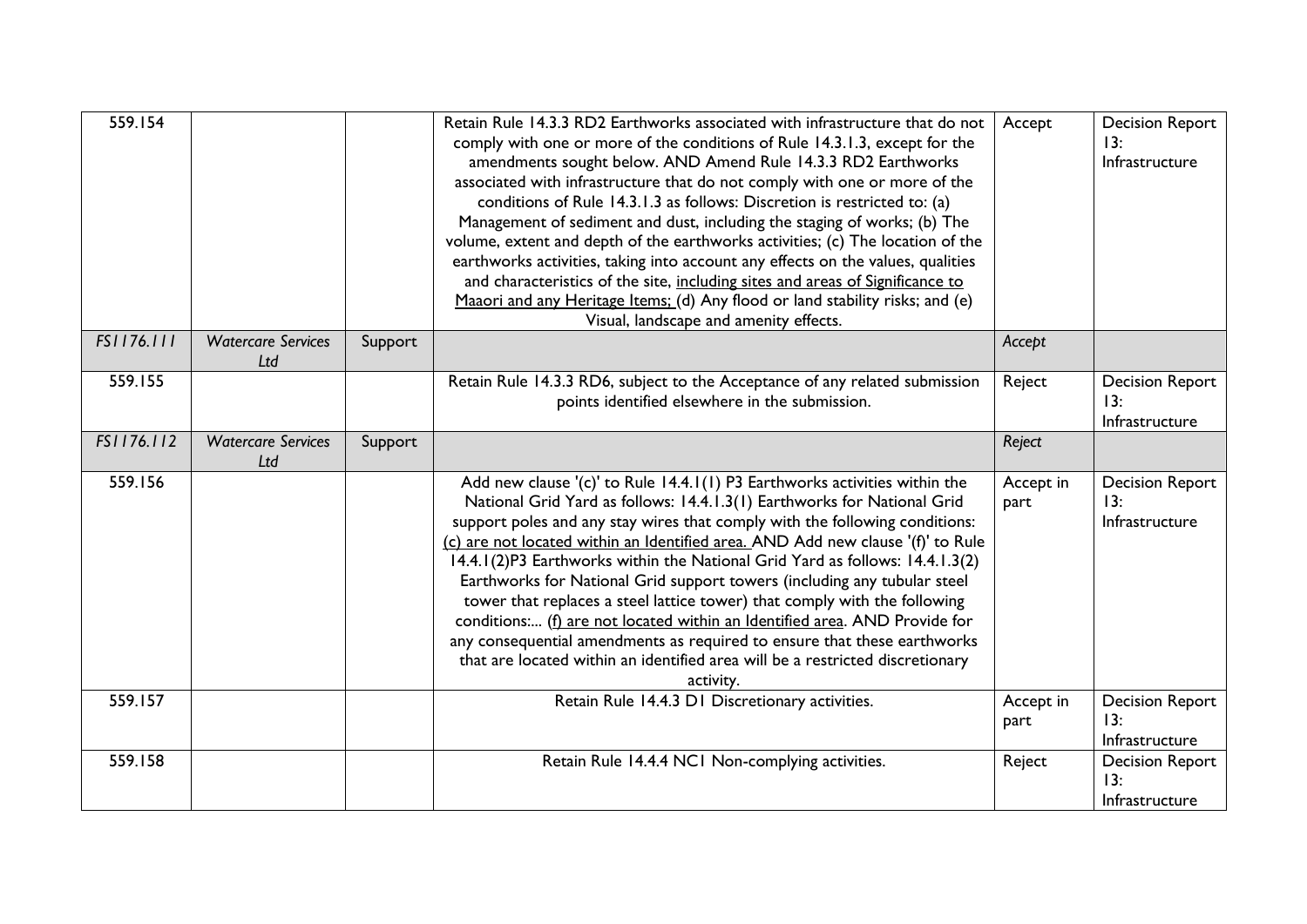| 559.154    |                                  |         | Retain Rule 14.3.3 RD2 Earthworks associated with infrastructure that do not<br>comply with one or more of the conditions of Rule 14.3.1.3, except for the<br>amendments sought below. AND Amend Rule 14.3.3 RD2 Earthworks<br>associated with infrastructure that do not comply with one or more of the<br>conditions of Rule 14.3.1.3 as follows: Discretion is restricted to: (a)<br>Management of sediment and dust, including the staging of works; (b) The<br>volume, extent and depth of the earthworks activities; (c) The location of the<br>earthworks activities, taking into account any effects on the values, qualities<br>and characteristics of the site, including sites and areas of Significance to<br>Maaori and any Heritage Items; (d) Any flood or land stability risks; and (e)<br>Visual, landscape and amenity effects. | Accept            | <b>Decision Report</b><br>13:<br>Infrastructure |
|------------|----------------------------------|---------|---------------------------------------------------------------------------------------------------------------------------------------------------------------------------------------------------------------------------------------------------------------------------------------------------------------------------------------------------------------------------------------------------------------------------------------------------------------------------------------------------------------------------------------------------------------------------------------------------------------------------------------------------------------------------------------------------------------------------------------------------------------------------------------------------------------------------------------------------|-------------------|-------------------------------------------------|
| FS1176.111 | <b>Watercare Services</b><br>Ltd | Support |                                                                                                                                                                                                                                                                                                                                                                                                                                                                                                                                                                                                                                                                                                                                                                                                                                                   | Accept            |                                                 |
| 559.155    |                                  |         | Retain Rule 14.3.3 RD6, subject to the Acceptance of any related submission<br>points identified elsewhere in the submission.                                                                                                                                                                                                                                                                                                                                                                                                                                                                                                                                                                                                                                                                                                                     | Reject            | <b>Decision Report</b><br>13:<br>Infrastructure |
| FS1176.112 | <b>Watercare Services</b><br>Ltd | Support |                                                                                                                                                                                                                                                                                                                                                                                                                                                                                                                                                                                                                                                                                                                                                                                                                                                   | Reject            |                                                 |
| 559.156    |                                  |         | Add new clause '(c)' to Rule 14.4.1(1) P3 Earthworks activities within the<br>National Grid Yard as follows: 14.4.1.3(1) Earthworks for National Grid<br>support poles and any stay wires that comply with the following conditions:<br>(c) are not located within an Identified area. AND Add new clause '(f)' to Rule<br>14.4.1(2)P3 Earthworks within the National Grid Yard as follows: 14.4.1.3(2)<br>Earthworks for National Grid support towers (including any tubular steel<br>tower that replaces a steel lattice tower) that comply with the following<br>conditions: (f) are not located within an Identified area. AND Provide for<br>any consequential amendments as required to ensure that these earthworks<br>that are located within an identified area will be a restricted discretionary<br>activity.                          | Accept in<br>part | <b>Decision Report</b><br>13:<br>Infrastructure |
| 559.157    |                                  |         | Retain Rule 14.4.3 D1 Discretionary activities.                                                                                                                                                                                                                                                                                                                                                                                                                                                                                                                                                                                                                                                                                                                                                                                                   | Accept in<br>part | <b>Decision Report</b><br>13:<br>Infrastructure |
| 559.158    |                                  |         | Retain Rule 14.4.4 NC1 Non-complying activities.                                                                                                                                                                                                                                                                                                                                                                                                                                                                                                                                                                                                                                                                                                                                                                                                  | Reject            | <b>Decision Report</b><br>13:<br>Infrastructure |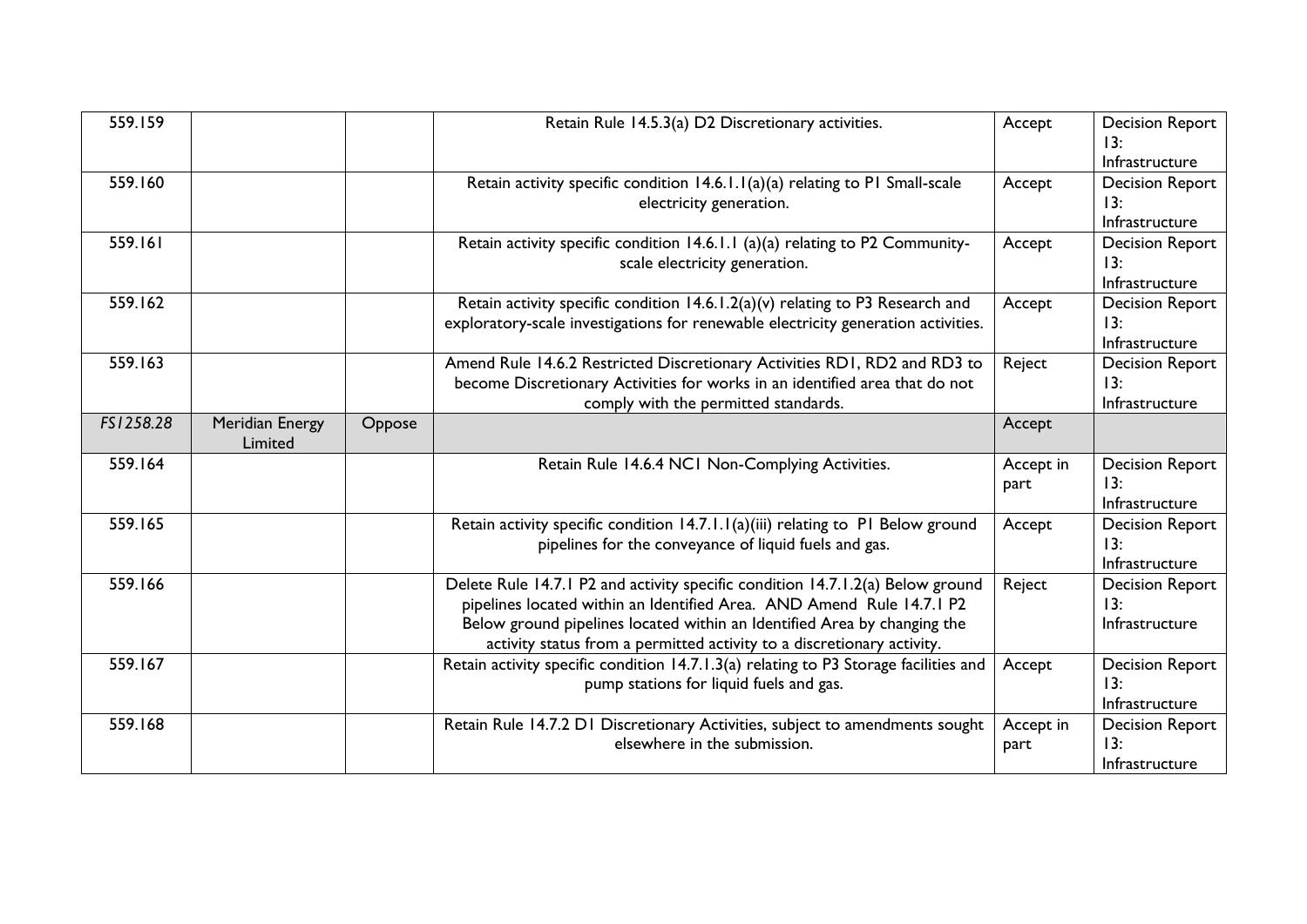| 559.159   |                            |        | Retain Rule 14.5.3(a) D2 Discretionary activities.                                                                                                                                                                                                                                                            | Accept            | <b>Decision Report</b><br>13:<br>Infrastructure |
|-----------|----------------------------|--------|---------------------------------------------------------------------------------------------------------------------------------------------------------------------------------------------------------------------------------------------------------------------------------------------------------------|-------------------|-------------------------------------------------|
| 559.160   |                            |        | Retain activity specific condition 14.6.1.1(a)(a) relating to P1 Small-scale<br>electricity generation.                                                                                                                                                                                                       | Accept            | <b>Decision Report</b><br>13:<br>Infrastructure |
| 559.161   |                            |        | Retain activity specific condition 14.6.1.1 (a)(a) relating to P2 Community-<br>scale electricity generation.                                                                                                                                                                                                 | Accept            | <b>Decision Report</b><br>13:<br>Infrastructure |
| 559.162   |                            |        | Retain activity specific condition 14.6.1.2(a)(v) relating to P3 Research and<br>exploratory-scale investigations for renewable electricity generation activities.                                                                                                                                            | Accept            | <b>Decision Report</b><br>13:<br>Infrastructure |
| 559.163   |                            |        | Amend Rule 14.6.2 Restricted Discretionary Activities RD1, RD2 and RD3 to<br>become Discretionary Activities for works in an identified area that do not<br>comply with the permitted standards.                                                                                                              | Reject            | <b>Decision Report</b><br>13:<br>Infrastructure |
| FS1258.28 | Meridian Energy<br>Limited | Oppose |                                                                                                                                                                                                                                                                                                               | Accept            |                                                 |
| 559.164   |                            |        | Retain Rule 14.6.4 NC1 Non-Complying Activities.                                                                                                                                                                                                                                                              | Accept in<br>part | <b>Decision Report</b><br>13:<br>Infrastructure |
| 559.165   |                            |        | Retain activity specific condition 14.7.1.1(a)(iii) relating to PI Below ground<br>pipelines for the conveyance of liquid fuels and gas.                                                                                                                                                                      | Accept            | <b>Decision Report</b><br>13:<br>Infrastructure |
| 559.166   |                            |        | Delete Rule 14.7.1 P2 and activity specific condition 14.7.1.2(a) Below ground<br>pipelines located within an Identified Area. AND Amend Rule 14.7.1 P2<br>Below ground pipelines located within an Identified Area by changing the<br>activity status from a permitted activity to a discretionary activity. | Reject            | <b>Decision Report</b><br>13:<br>Infrastructure |
| 559.167   |                            |        | Retain activity specific condition 14.7.1.3(a) relating to P3 Storage facilities and<br>pump stations for liquid fuels and gas.                                                                                                                                                                               | Accept            | <b>Decision Report</b><br>13:<br>Infrastructure |
| 559.168   |                            |        | Retain Rule 14.7.2 D1 Discretionary Activities, subject to amendments sought<br>elsewhere in the submission.                                                                                                                                                                                                  | Accept in<br>part | <b>Decision Report</b><br>13:<br>Infrastructure |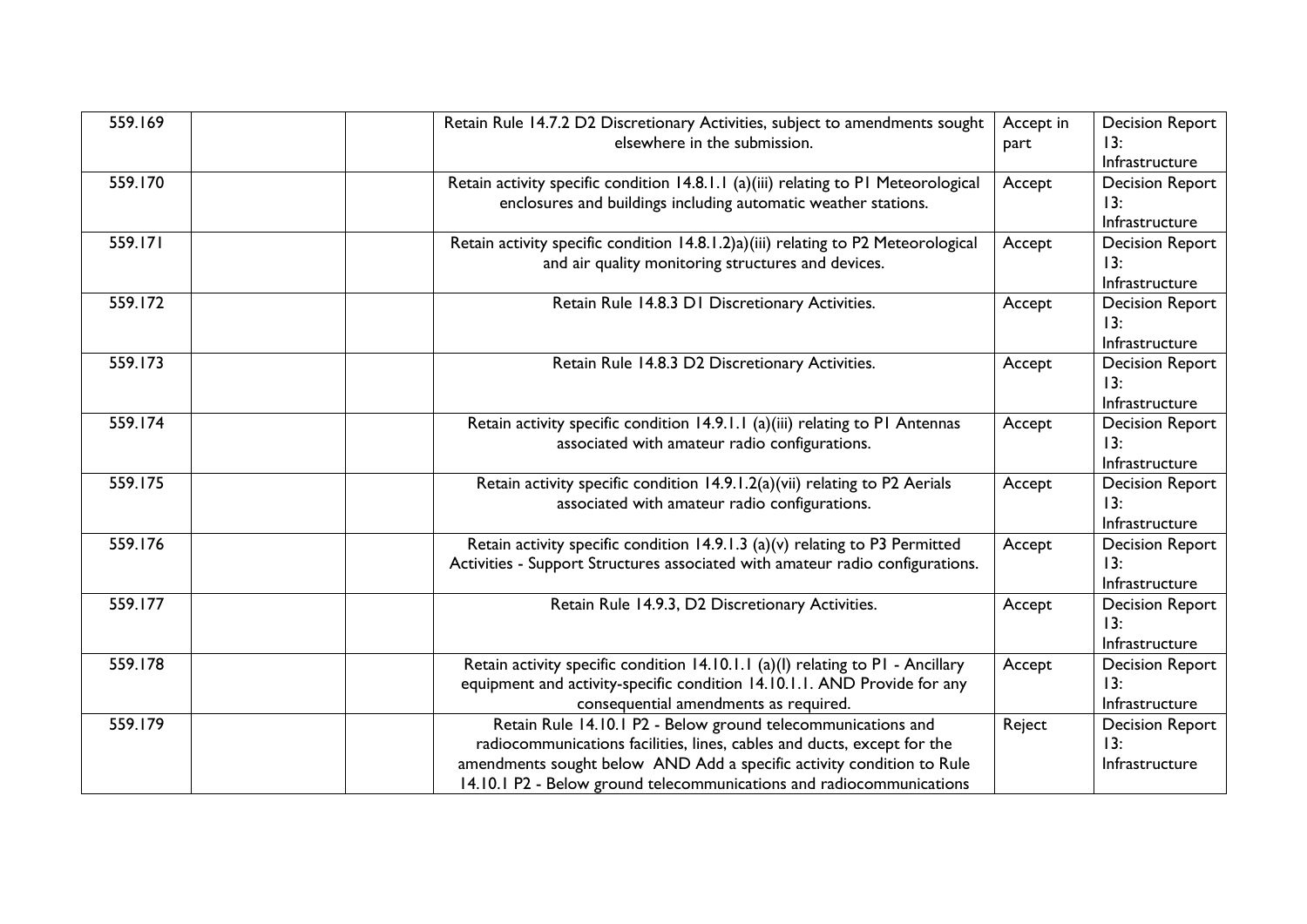| 559.169 | Retain Rule 14.7.2 D2 Discretionary Activities, subject to amendments sought       | Accept in | <b>Decision Report</b> |
|---------|------------------------------------------------------------------------------------|-----------|------------------------|
|         | elsewhere in the submission.                                                       | part      | 13:                    |
|         |                                                                                    |           | Infrastructure         |
| 559.170 | Retain activity specific condition 14.8.1.1 (a)(iii) relating to P1 Meteorological | Accept    | <b>Decision Report</b> |
|         | enclosures and buildings including automatic weather stations.                     |           | 13:                    |
|         |                                                                                    |           | Infrastructure         |
| 559.171 | Retain activity specific condition 14.8.1.2)a)(iii) relating to P2 Meteorological  | Accept    | <b>Decision Report</b> |
|         | and air quality monitoring structures and devices.                                 |           | 13:                    |
|         |                                                                                    |           | Infrastructure         |
| 559.172 | Retain Rule 14.8.3 D1 Discretionary Activities.                                    | Accept    | <b>Decision Report</b> |
|         |                                                                                    |           | 13:                    |
|         |                                                                                    |           | Infrastructure         |
| 559.173 | Retain Rule 14.8.3 D2 Discretionary Activities.                                    | Accept    | <b>Decision Report</b> |
|         |                                                                                    |           | 13:                    |
|         |                                                                                    |           | Infrastructure         |
| 559.174 | Retain activity specific condition 14.9.1.1 (a)(iii) relating to P1 Antennas       | Accept    | <b>Decision Report</b> |
|         | associated with amateur radio configurations.                                      |           | 13:                    |
|         |                                                                                    |           | Infrastructure         |
| 559.175 | Retain activity specific condition 14.9.1.2(a)(vii) relating to P2 Aerials         | Accept    | <b>Decision Report</b> |
|         | associated with amateur radio configurations.                                      |           | 13:                    |
|         |                                                                                    |           | Infrastructure         |
| 559.176 | Retain activity specific condition 14.9.1.3 (a)(v) relating to P3 Permitted        | Accept    | <b>Decision Report</b> |
|         | Activities - Support Structures associated with amateur radio configurations.      |           | 13:                    |
|         |                                                                                    |           | Infrastructure         |
| 559.177 | Retain Rule 14.9.3, D2 Discretionary Activities.                                   | Accept    | <b>Decision Report</b> |
|         |                                                                                    |           | 13:                    |
|         |                                                                                    |           | Infrastructure         |
| 559.178 | Retain activity specific condition 14.10.1.1 (a)(l) relating to P1 - Ancillary     | Accept    | <b>Decision Report</b> |
|         | equipment and activity-specific condition 14.10.1.1. AND Provide for any           |           | 13:                    |
|         | consequential amendments as required.                                              |           | Infrastructure         |
| 559.179 | Retain Rule 14.10.1 P2 - Below ground telecommunications and                       | Reject    | <b>Decision Report</b> |
|         | radiocommunications facilities, lines, cables and ducts, except for the            |           | 13:                    |
|         | amendments sought below AND Add a specific activity condition to Rule              |           | Infrastructure         |
|         | 14.10.1 P2 - Below ground telecommunications and radiocommunications               |           |                        |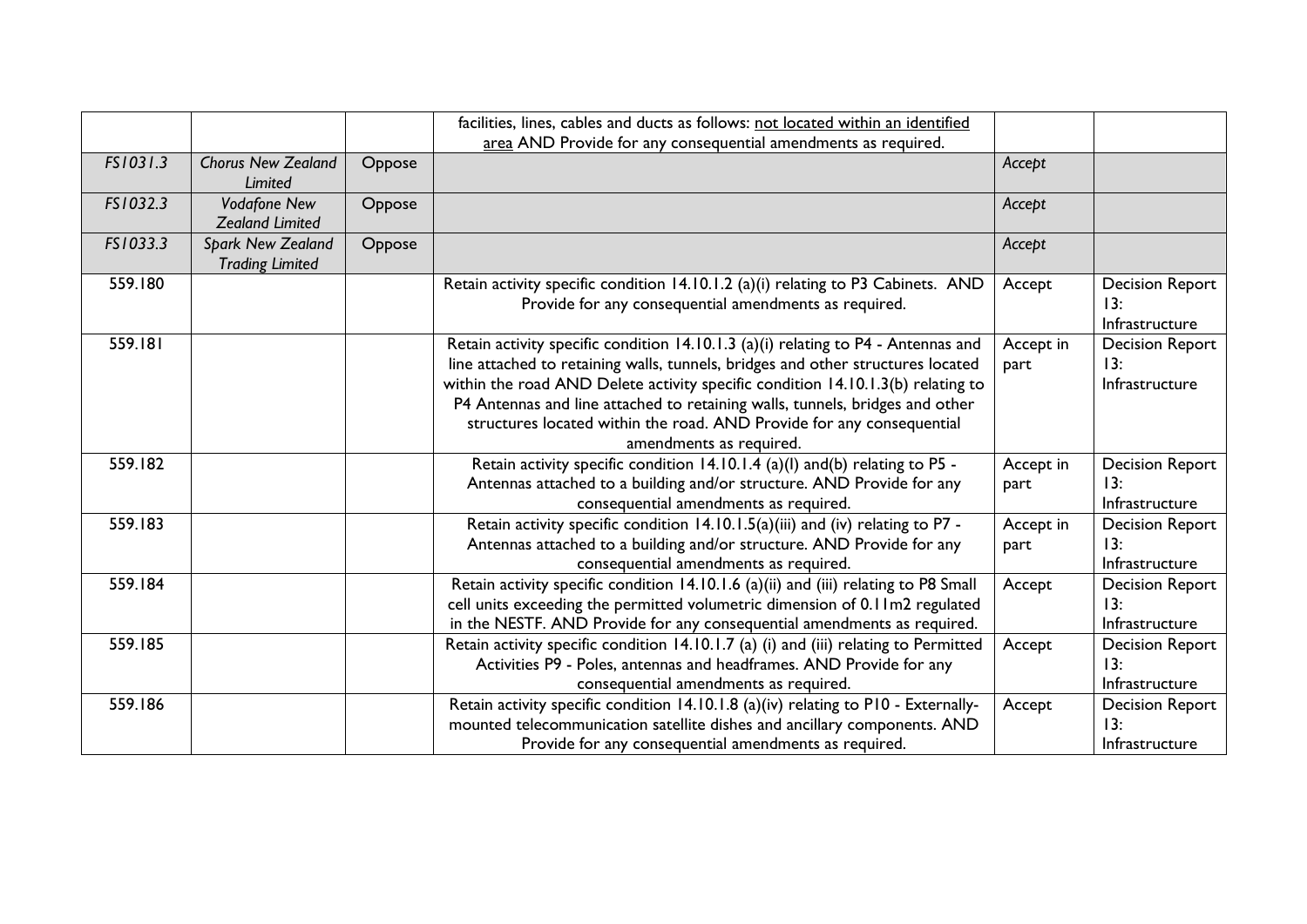|          |                                                    |        | facilities, lines, cables and ducts as follows: not located within an identified<br>area AND Provide for any consequential amendments as required.                                                                                                                                                                                                                                                                                          |                   |                                                 |
|----------|----------------------------------------------------|--------|---------------------------------------------------------------------------------------------------------------------------------------------------------------------------------------------------------------------------------------------------------------------------------------------------------------------------------------------------------------------------------------------------------------------------------------------|-------------------|-------------------------------------------------|
|          |                                                    |        |                                                                                                                                                                                                                                                                                                                                                                                                                                             |                   |                                                 |
| FS1031.3 | <b>Chorus New Zealand</b><br>Limited               | Oppose |                                                                                                                                                                                                                                                                                                                                                                                                                                             | Accept            |                                                 |
| FS1032.3 | <b>Vodafone New</b><br><b>Zealand Limited</b>      | Oppose |                                                                                                                                                                                                                                                                                                                                                                                                                                             | Accept            |                                                 |
| FS1033.3 | <b>Spark New Zealand</b><br><b>Trading Limited</b> | Oppose |                                                                                                                                                                                                                                                                                                                                                                                                                                             | Accept            |                                                 |
| 559.180  |                                                    |        | Retain activity specific condition 14.10.1.2 (a)(i) relating to P3 Cabinets. AND<br>Provide for any consequential amendments as required.                                                                                                                                                                                                                                                                                                   | Accept            | <b>Decision Report</b><br>13:<br>Infrastructure |
| 559.181  |                                                    |        | Retain activity specific condition 14.10.1.3 (a)(i) relating to P4 - Antennas and<br>line attached to retaining walls, tunnels, bridges and other structures located<br>within the road AND Delete activity specific condition 14.10.1.3(b) relating to<br>P4 Antennas and line attached to retaining walls, tunnels, bridges and other<br>structures located within the road. AND Provide for any consequential<br>amendments as required. | Accept in<br>part | <b>Decision Report</b><br>13:<br>Infrastructure |
| 559.182  |                                                    |        | Retain activity specific condition 14.10.1.4 (a)(l) and(b) relating to P5 -<br>Antennas attached to a building and/or structure. AND Provide for any<br>consequential amendments as required.                                                                                                                                                                                                                                               | Accept in<br>part | <b>Decision Report</b><br>13:<br>Infrastructure |
| 559.183  |                                                    |        | Retain activity specific condition 14.10.1.5(a)(iii) and (iv) relating to P7 -<br>Antennas attached to a building and/or structure. AND Provide for any<br>consequential amendments as required.                                                                                                                                                                                                                                            | Accept in<br>part | <b>Decision Report</b><br>13:<br>Infrastructure |
| 559.184  |                                                    |        | Retain activity specific condition 14.10.1.6 (a)(ii) and (iii) relating to P8 Small<br>cell units exceeding the permitted volumetric dimension of 0.11m2 regulated<br>in the NESTF. AND Provide for any consequential amendments as required.                                                                                                                                                                                               | Accept            | <b>Decision Report</b><br>13:<br>Infrastructure |
| 559.185  |                                                    |        | Retain activity specific condition 14.10.1.7 (a) (i) and (iii) relating to Permitted<br>Activities P9 - Poles, antennas and headframes. AND Provide for any<br>consequential amendments as required.                                                                                                                                                                                                                                        | Accept            | <b>Decision Report</b><br>13:<br>Infrastructure |
| 559.186  |                                                    |        | Retain activity specific condition 14.10.1.8 (a)(iv) relating to P10 - Externally-<br>mounted telecommunication satellite dishes and ancillary components. AND<br>Provide for any consequential amendments as required.                                                                                                                                                                                                                     | Accept            | <b>Decision Report</b><br>13:<br>Infrastructure |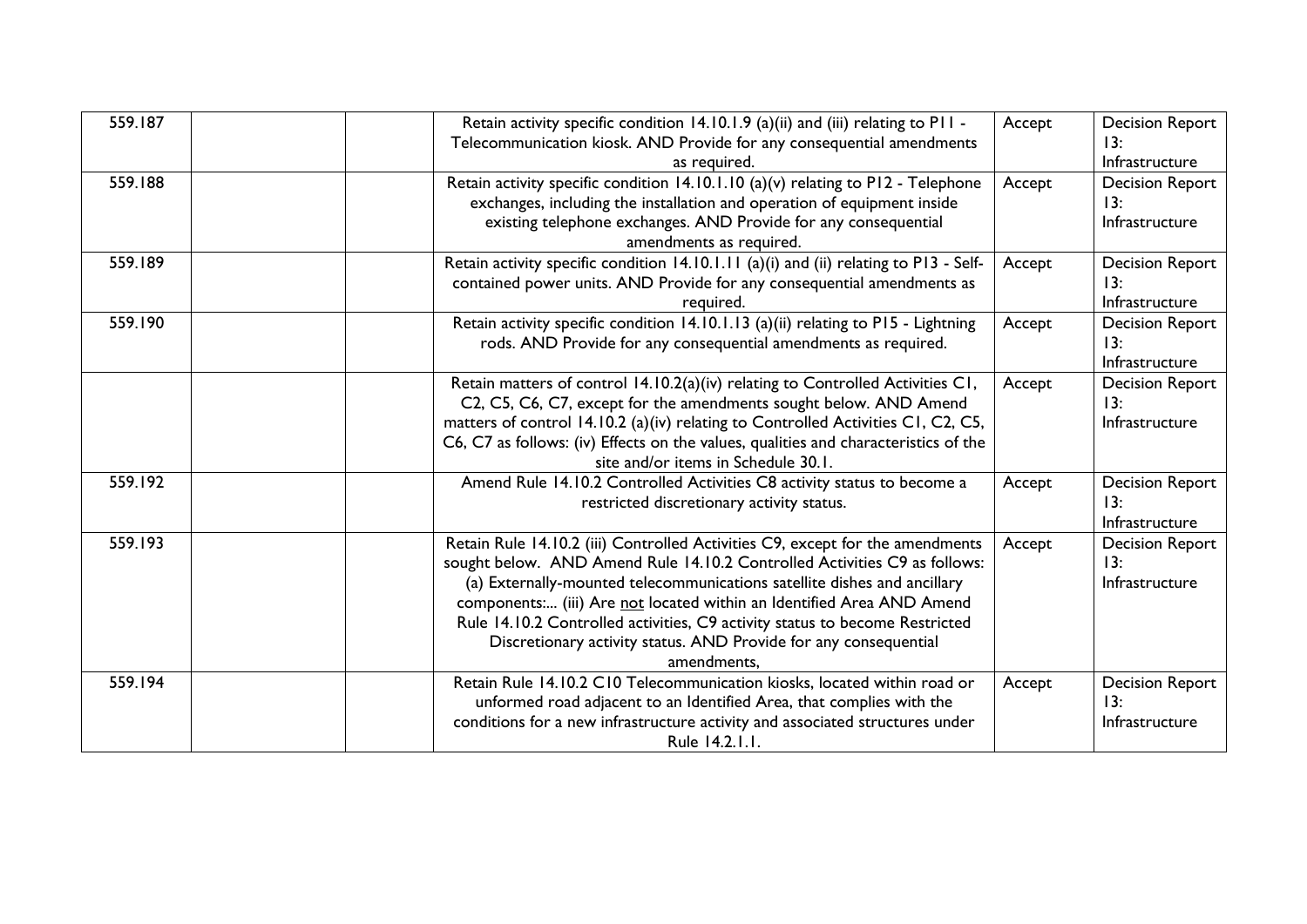| 559.187 | Retain activity specific condition 14.10.1.9 (a)(ii) and (iii) relating to P11 -<br>Telecommunication kiosk. AND Provide for any consequential amendments<br>as required.                                                                                                                                                                                                                                                                                                         | Accept | <b>Decision Report</b><br>13:<br>Infrastructure |
|---------|-----------------------------------------------------------------------------------------------------------------------------------------------------------------------------------------------------------------------------------------------------------------------------------------------------------------------------------------------------------------------------------------------------------------------------------------------------------------------------------|--------|-------------------------------------------------|
| 559.188 | Retain activity specific condition 14.10.1.10 (a)(v) relating to P12 - Telephone<br>exchanges, including the installation and operation of equipment inside<br>existing telephone exchanges. AND Provide for any consequential<br>amendments as required.                                                                                                                                                                                                                         | Accept | <b>Decision Report</b><br>13:<br>Infrastructure |
| 559.189 | Retain activity specific condition 14.10.1.11 (a)(i) and (ii) relating to P13 - Self-<br>contained power units. AND Provide for any consequential amendments as<br>required.                                                                                                                                                                                                                                                                                                      | Accept | <b>Decision Report</b><br>13:<br>Infrastructure |
| 559.190 | Retain activity specific condition 14.10.1.13 (a)(ii) relating to P15 - Lightning<br>rods. AND Provide for any consequential amendments as required.                                                                                                                                                                                                                                                                                                                              | Accept | <b>Decision Report</b><br>13:<br>Infrastructure |
|         | Retain matters of control 14.10.2(a)(iv) relating to Controlled Activities C1,<br>C2, C5, C6, C7, except for the amendments sought below. AND Amend<br>matters of control 14.10.2 (a)(iv) relating to Controlled Activities C1, C2, C5,<br>C6, C7 as follows: (iv) Effects on the values, qualities and characteristics of the<br>site and/or items in Schedule 30.1.                                                                                                             | Accept | <b>Decision Report</b><br>13:<br>Infrastructure |
| 559.192 | Amend Rule 14.10.2 Controlled Activities C8 activity status to become a<br>restricted discretionary activity status.                                                                                                                                                                                                                                                                                                                                                              | Accept | <b>Decision Report</b><br>13:<br>Infrastructure |
| 559.193 | Retain Rule 14.10.2 (iii) Controlled Activities C9, except for the amendments<br>sought below. AND Amend Rule 14.10.2 Controlled Activities C9 as follows:<br>(a) Externally-mounted telecommunications satellite dishes and ancillary<br>components: (iii) Are not located within an Identified Area AND Amend<br>Rule 14.10.2 Controlled activities, C9 activity status to become Restricted<br>Discretionary activity status. AND Provide for any consequential<br>amendments, | Accept | <b>Decision Report</b><br>13:<br>Infrastructure |
| 559.194 | Retain Rule 14.10.2 C10 Telecommunication kiosks, located within road or<br>unformed road adjacent to an Identified Area, that complies with the<br>conditions for a new infrastructure activity and associated structures under<br>Rule 14.2.1.1.                                                                                                                                                                                                                                | Accept | <b>Decision Report</b><br>13:<br>Infrastructure |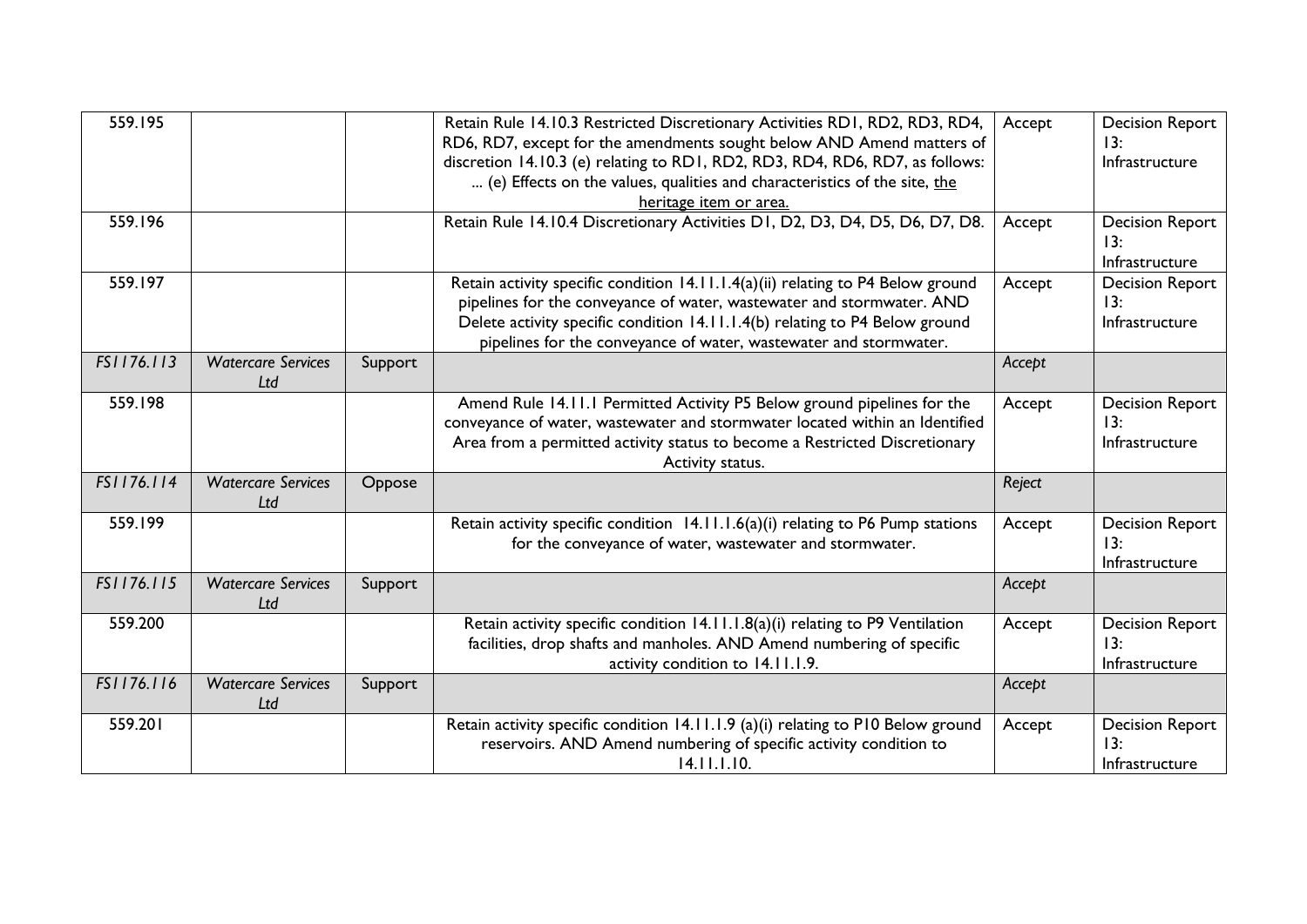| 559.195    |                                  |         | Retain Rule 14.10.3 Restricted Discretionary Activities RD1, RD2, RD3, RD4,<br>RD6, RD7, except for the amendments sought below AND Amend matters of<br>discretion 14.10.3 (e) relating to RD1, RD2, RD3, RD4, RD6, RD7, as follows:<br>(e) Effects on the values, qualities and characteristics of the site, the<br>heritage item or area. | Accept | <b>Decision Report</b><br>13:<br>Infrastructure |
|------------|----------------------------------|---------|---------------------------------------------------------------------------------------------------------------------------------------------------------------------------------------------------------------------------------------------------------------------------------------------------------------------------------------------|--------|-------------------------------------------------|
| 559.196    |                                  |         | Retain Rule 14.10.4 Discretionary Activities D1, D2, D3, D4, D5, D6, D7, D8.                                                                                                                                                                                                                                                                | Accept | <b>Decision Report</b><br>13:<br>Infrastructure |
| 559.197    |                                  |         | Retain activity specific condition 14.11.1.4(a)(ii) relating to P4 Below ground<br>pipelines for the conveyance of water, wastewater and stormwater. AND<br>Delete activity specific condition 14.11.1.4(b) relating to P4 Below ground<br>pipelines for the conveyance of water, wastewater and stormwater.                                | Accept | <b>Decision Report</b><br>13:<br>Infrastructure |
| FS1176.113 | <b>Watercare Services</b><br>Ltd | Support |                                                                                                                                                                                                                                                                                                                                             | Accept |                                                 |
| 559.198    |                                  |         | Amend Rule 14.11.1 Permitted Activity P5 Below ground pipelines for the<br>conveyance of water, wastewater and stormwater located within an Identified<br>Area from a permitted activity status to become a Restricted Discretionary<br>Activity status.                                                                                    | Accept | <b>Decision Report</b><br>13:<br>Infrastructure |
| FS1176.114 | <b>Watercare Services</b><br>Ltd | Oppose  |                                                                                                                                                                                                                                                                                                                                             | Reject |                                                 |
| 559.199    |                                  |         | Retain activity specific condition 14.11.1.6(a)(i) relating to P6 Pump stations<br>for the conveyance of water, wastewater and stormwater.                                                                                                                                                                                                  | Accept | <b>Decision Report</b><br>13:<br>Infrastructure |
| FS1176.115 | <b>Watercare Services</b><br>Ltd | Support |                                                                                                                                                                                                                                                                                                                                             | Accept |                                                 |
| 559.200    |                                  |         | Retain activity specific condition 14.11.1.8(a)(i) relating to P9 Ventilation<br>facilities, drop shafts and manholes. AND Amend numbering of specific<br>activity condition to 14.11.1.9.                                                                                                                                                  | Accept | <b>Decision Report</b><br>13:<br>Infrastructure |
| FS1176.116 | <b>Watercare Services</b><br>Ltd | Support |                                                                                                                                                                                                                                                                                                                                             | Accept |                                                 |
| 559.201    |                                  |         | Retain activity specific condition 14.11.1.9 (a)(i) relating to P10 Below ground<br>reservoirs. AND Amend numbering of specific activity condition to<br>14.11.1.10.                                                                                                                                                                        | Accept | <b>Decision Report</b><br>13:<br>Infrastructure |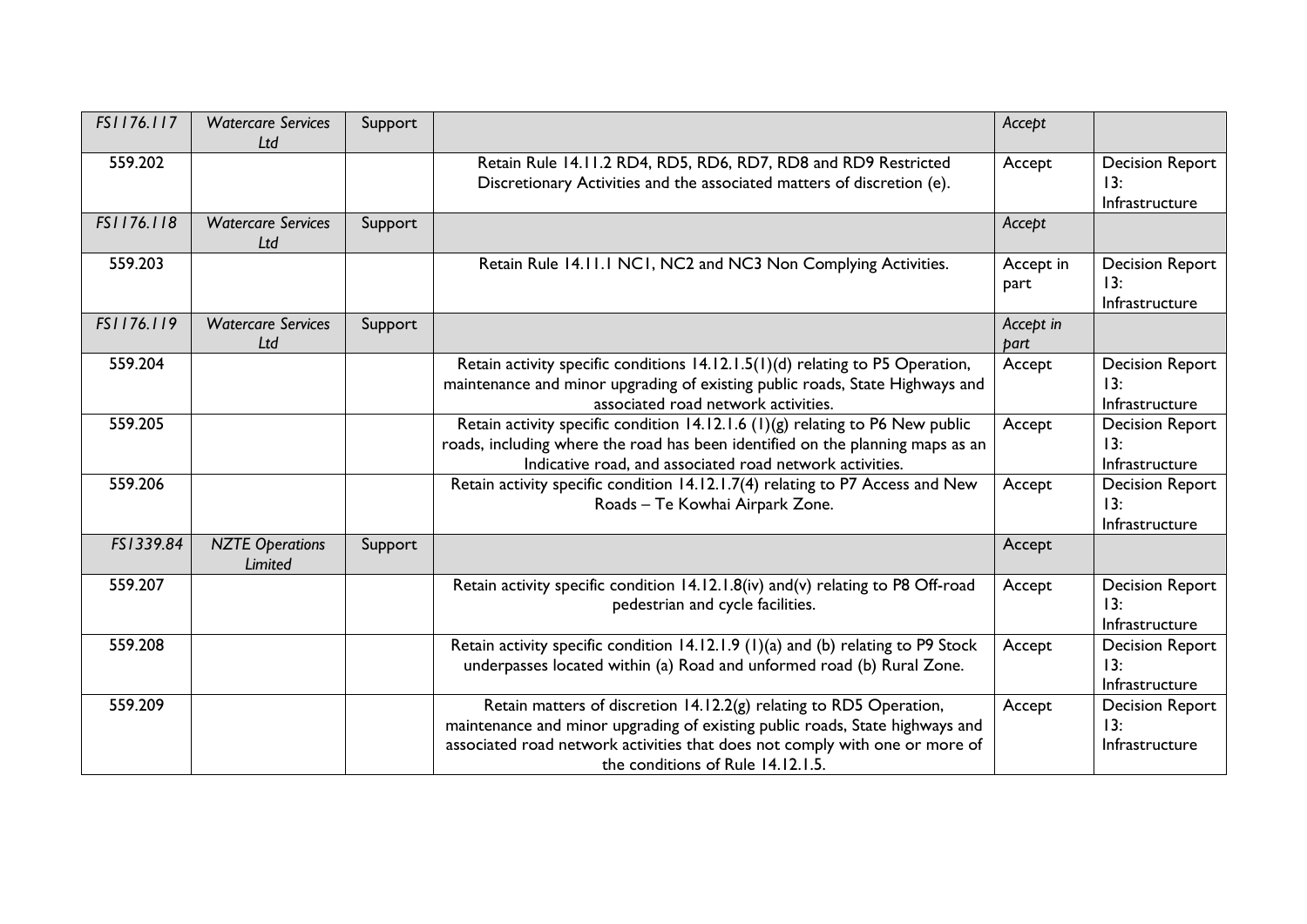| FS1176.117 | <b>Watercare Services</b><br>Ltd  | Support |                                                                                                                                                                                                                                                                        | Accept            |                                                 |
|------------|-----------------------------------|---------|------------------------------------------------------------------------------------------------------------------------------------------------------------------------------------------------------------------------------------------------------------------------|-------------------|-------------------------------------------------|
| 559.202    |                                   |         | Retain Rule 14.11.2 RD4, RD5, RD6, RD7, RD8 and RD9 Restricted<br>Discretionary Activities and the associated matters of discretion (e).                                                                                                                               | Accept            | <b>Decision Report</b><br>13:<br>Infrastructure |
| FS1176.118 | <b>Watercare Services</b><br>Ltd  | Support |                                                                                                                                                                                                                                                                        | Accept            |                                                 |
| 559.203    |                                   |         | Retain Rule 14.11.1 NC1, NC2 and NC3 Non Complying Activities.                                                                                                                                                                                                         | Accept in<br>part | <b>Decision Report</b><br>13:<br>Infrastructure |
| FS1176.119 | <b>Watercare Services</b><br>Ltd  | Support |                                                                                                                                                                                                                                                                        | Accept in<br>part |                                                 |
| 559.204    |                                   |         | Retain activity specific conditions 14.12.1.5(1)(d) relating to P5 Operation,<br>maintenance and minor upgrading of existing public roads, State Highways and<br>associated road network activities.                                                                   | Accept            | <b>Decision Report</b><br>13:<br>Infrastructure |
| 559.205    |                                   |         | Retain activity specific condition 14.12.1.6 (1)(g) relating to P6 New public<br>roads, including where the road has been identified on the planning maps as an<br>Indicative road, and associated road network activities.                                            | Accept            | <b>Decision Report</b><br>13:<br>Infrastructure |
| 559.206    |                                   |         | Retain activity specific condition 14.12.1.7(4) relating to P7 Access and New<br>Roads - Te Kowhai Airpark Zone.                                                                                                                                                       | Accept            | <b>Decision Report</b><br>13:<br>Infrastructure |
| FS1339.84  | <b>NZTE Operations</b><br>Limited | Support |                                                                                                                                                                                                                                                                        | Accept            |                                                 |
| 559.207    |                                   |         | Retain activity specific condition 14.12.1.8(iv) and(v) relating to P8 Off-road<br>pedestrian and cycle facilities.                                                                                                                                                    | Accept            | <b>Decision Report</b><br>13:<br>Infrastructure |
| 559.208    |                                   |         | Retain activity specific condition 14.12.1.9 (1)(a) and (b) relating to P9 Stock<br>underpasses located within (a) Road and unformed road (b) Rural Zone.                                                                                                              | Accept            | <b>Decision Report</b><br>13:<br>Infrastructure |
| 559.209    |                                   |         | Retain matters of discretion 14.12.2(g) relating to RD5 Operation,<br>maintenance and minor upgrading of existing public roads, State highways and<br>associated road network activities that does not comply with one or more of<br>the conditions of Rule 14.12.1.5. | Accept            | <b>Decision Report</b><br>13:<br>Infrastructure |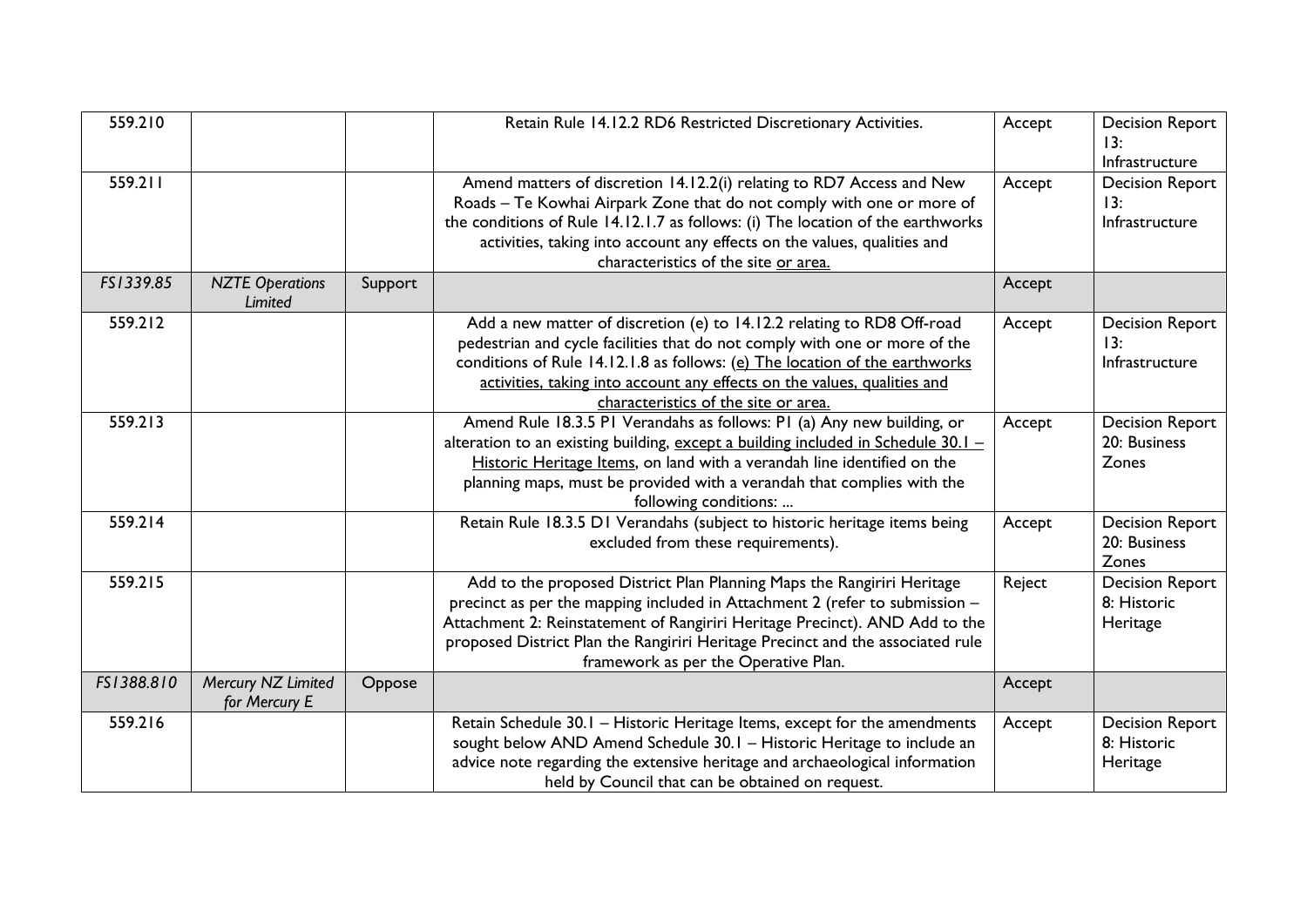| 559.210    |                                     |         | Retain Rule 14.12.2 RD6 Restricted Discretionary Activities.                                                                                                                                                                                                                                                                                                   | Accept | <b>Decision Report</b><br>13:<br>Infrastructure   |
|------------|-------------------------------------|---------|----------------------------------------------------------------------------------------------------------------------------------------------------------------------------------------------------------------------------------------------------------------------------------------------------------------------------------------------------------------|--------|---------------------------------------------------|
| 559.211    |                                     |         | Amend matters of discretion 14.12.2(i) relating to RD7 Access and New<br>Roads - Te Kowhai Airpark Zone that do not comply with one or more of<br>the conditions of Rule 14.12.1.7 as follows: (i) The location of the earthworks<br>activities, taking into account any effects on the values, qualities and<br>characteristics of the site or area.          | Accept | <b>Decision Report</b><br>13:<br>Infrastructure   |
| FS1339.85  | <b>NZTE Operations</b><br>Limited   | Support |                                                                                                                                                                                                                                                                                                                                                                | Accept |                                                   |
| 559.212    |                                     |         | Add a new matter of discretion (e) to 14.12.2 relating to RD8 Off-road<br>pedestrian and cycle facilities that do not comply with one or more of the<br>conditions of Rule 14.12.1.8 as follows: (e) The location of the earthworks<br>activities, taking into account any effects on the values, qualities and<br>characteristics of the site or area.        | Accept | <b>Decision Report</b><br>13:<br>Infrastructure   |
| 559.213    |                                     |         | Amend Rule 18.3.5 PI Verandahs as follows: PI (a) Any new building, or<br>alteration to an existing building, except a building included in Schedule $30.1 -$<br>Historic Heritage Items, on land with a verandah line identified on the<br>planning maps, must be provided with a verandah that complies with the<br>following conditions:                    | Accept | <b>Decision Report</b><br>20: Business<br>Zones   |
| 559.214    |                                     |         | Retain Rule 18.3.5 D1 Verandahs (subject to historic heritage items being<br>excluded from these requirements).                                                                                                                                                                                                                                                | Accept | <b>Decision Report</b><br>20: Business<br>Zones   |
| 559.215    |                                     |         | Add to the proposed District Plan Planning Maps the Rangiriri Heritage<br>precinct as per the mapping included in Attachment 2 (refer to submission -<br>Attachment 2: Reinstatement of Rangiriri Heritage Precinct). AND Add to the<br>proposed District Plan the Rangiriri Heritage Precinct and the associated rule<br>framework as per the Operative Plan. | Reject | <b>Decision Report</b><br>8: Historic<br>Heritage |
| FS1388.810 | Mercury NZ Limited<br>for Mercury E | Oppose  |                                                                                                                                                                                                                                                                                                                                                                | Accept |                                                   |
| 559.216    |                                     |         | Retain Schedule 30.1 - Historic Heritage Items, except for the amendments<br>sought below AND Amend Schedule 30.1 - Historic Heritage to include an<br>advice note regarding the extensive heritage and archaeological information<br>held by Council that can be obtained on request.                                                                         | Accept | <b>Decision Report</b><br>8: Historic<br>Heritage |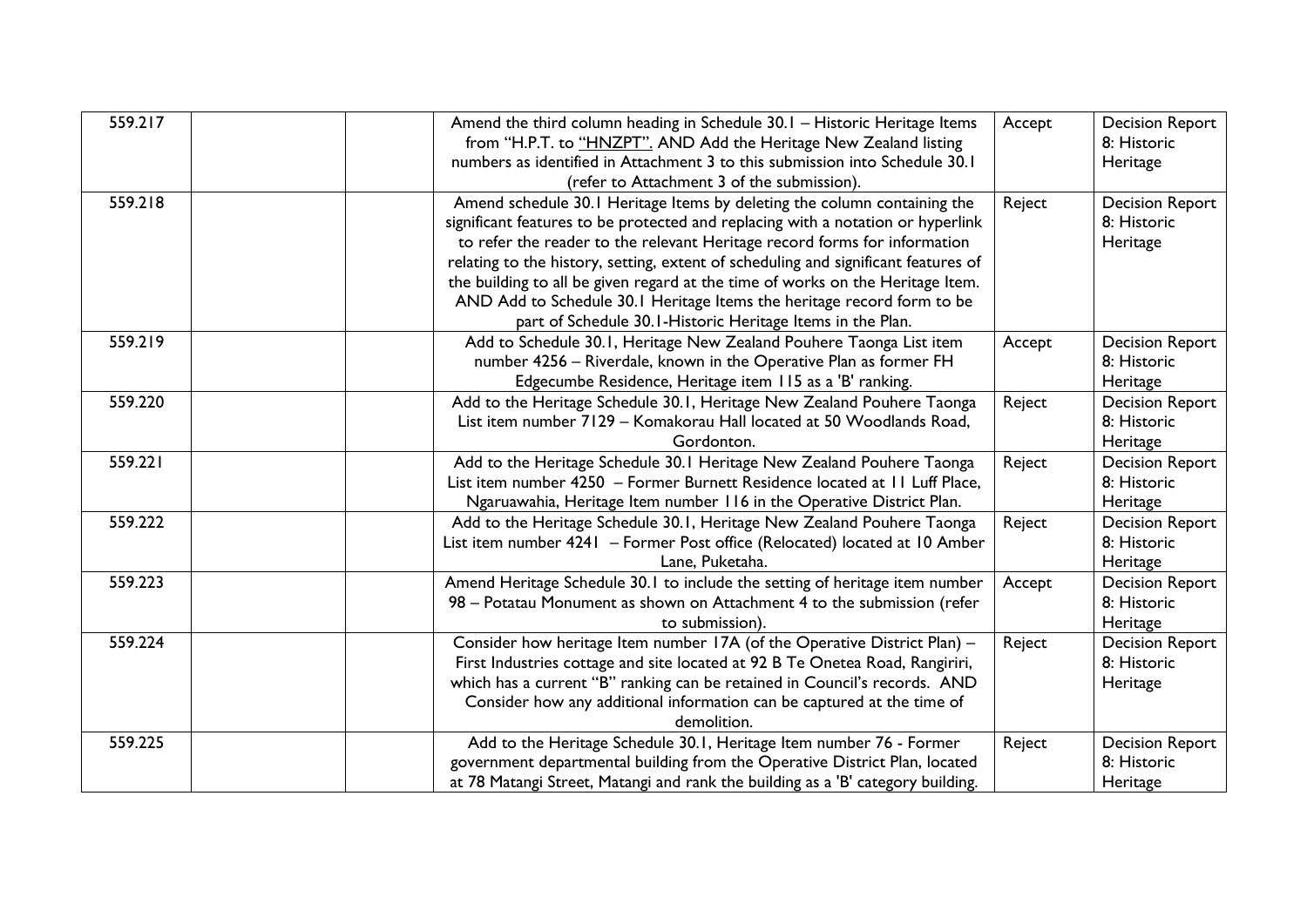| 559.217 | Amend the third column heading in Schedule 30.1 - Historic Heritage Items          | Accept | <b>Decision Report</b> |
|---------|------------------------------------------------------------------------------------|--------|------------------------|
|         | from "H.P.T. to "HNZPT". AND Add the Heritage New Zealand listing                  |        | 8: Historic            |
|         | numbers as identified in Attachment 3 to this submission into Schedule 30.1        |        | Heritage               |
|         | (refer to Attachment 3 of the submission).                                         |        |                        |
| 559.218 | Amend schedule 30.1 Heritage Items by deleting the column containing the           | Reject | <b>Decision Report</b> |
|         | significant features to be protected and replacing with a notation or hyperlink    |        | 8: Historic            |
|         | to refer the reader to the relevant Heritage record forms for information          |        | Heritage               |
|         | relating to the history, setting, extent of scheduling and significant features of |        |                        |
|         | the building to all be given regard at the time of works on the Heritage Item.     |        |                        |
|         | AND Add to Schedule 30.1 Heritage Items the heritage record form to be             |        |                        |
|         | part of Schedule 30.1-Historic Heritage Items in the Plan.                         |        |                        |
| 559.219 | Add to Schedule 30.1, Heritage New Zealand Pouhere Taonga List item                | Accept | <b>Decision Report</b> |
|         | number 4256 - Riverdale, known in the Operative Plan as former FH                  |        | 8: Historic            |
|         | Edgecumbe Residence, Heritage item 115 as a 'B' ranking.                           |        | Heritage               |
| 559.220 | Add to the Heritage Schedule 30.1, Heritage New Zealand Pouhere Taonga             | Reject | <b>Decision Report</b> |
|         | List item number 7129 - Komakorau Hall located at 50 Woodlands Road,               |        | 8: Historic            |
|         | Gordonton.                                                                         |        | Heritage               |
| 559.221 | Add to the Heritage Schedule 30.1 Heritage New Zealand Pouhere Taonga              | Reject | <b>Decision Report</b> |
|         | List item number 4250 - Former Burnett Residence located at II Luff Place,         |        | 8: Historic            |
|         | Ngaruawahia, Heritage Item number 116 in the Operative District Plan.              |        | Heritage               |
| 559.222 | Add to the Heritage Schedule 30.1, Heritage New Zealand Pouhere Taonga             | Reject | <b>Decision Report</b> |
|         | List item number 4241 - Former Post office (Relocated) located at 10 Amber         |        | 8: Historic            |
|         | Lane, Puketaha.                                                                    |        | Heritage               |
| 559.223 | Amend Heritage Schedule 30.1 to include the setting of heritage item number        | Accept | <b>Decision Report</b> |
|         | 98 - Potatau Monument as shown on Attachment 4 to the submission (refer            |        | 8: Historic            |
|         | to submission).                                                                    |        | Heritage               |
| 559.224 | Consider how heritage Item number 17A (of the Operative District Plan) -           | Reject | <b>Decision Report</b> |
|         | First Industries cottage and site located at 92 B Te Onetea Road, Rangiriri,       |        | 8: Historic            |
|         | which has a current "B" ranking can be retained in Council's records. AND          |        | Heritage               |
|         | Consider how any additional information can be captured at the time of             |        |                        |
|         | demolition.                                                                        |        |                        |
| 559.225 | Add to the Heritage Schedule 30.1, Heritage Item number 76 - Former                | Reject | <b>Decision Report</b> |
|         | government departmental building from the Operative District Plan, located         |        | 8: Historic            |
|         | at 78 Matangi Street, Matangi and rank the building as a 'B' category building.    |        | Heritage               |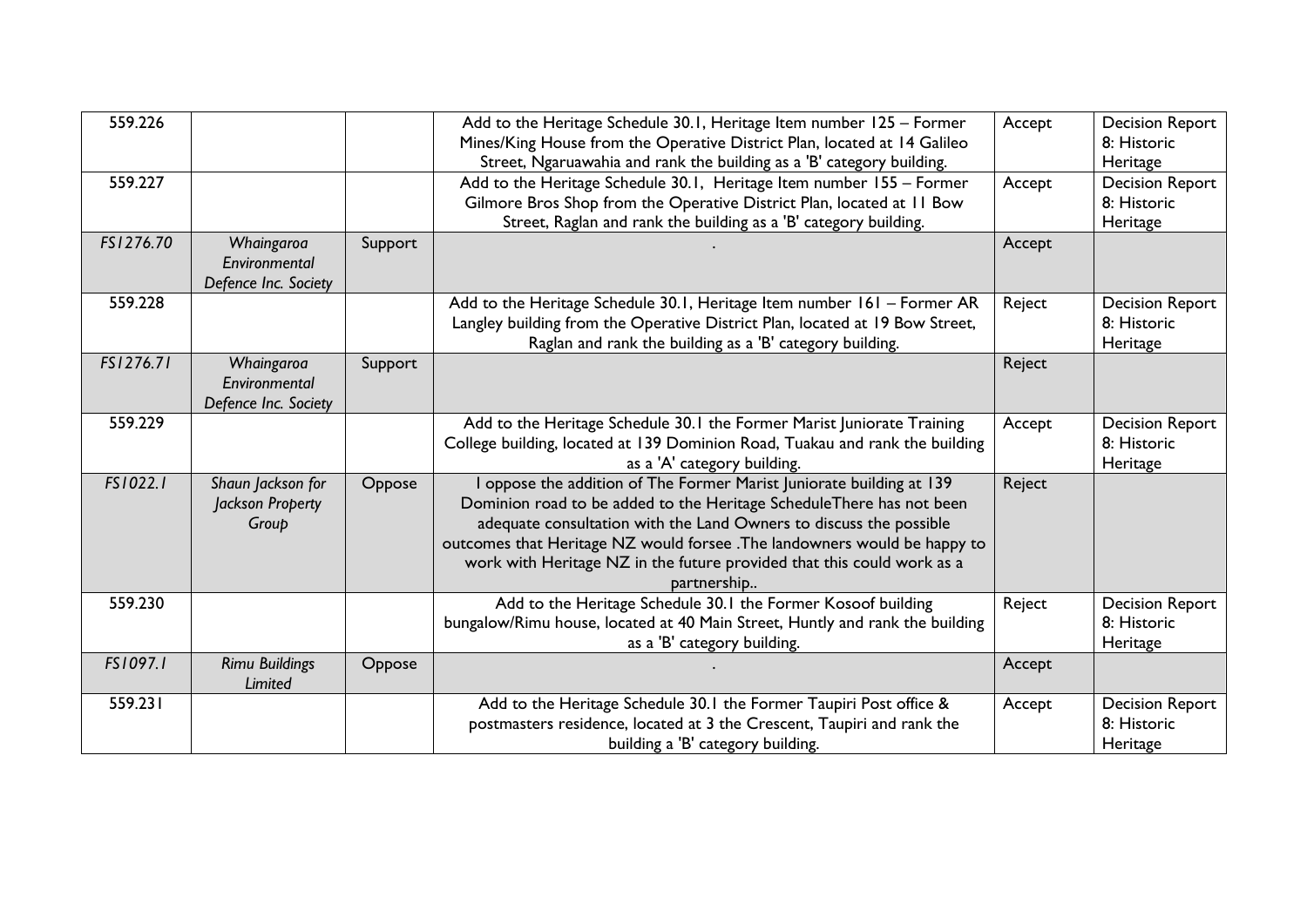| 559.226   |                                                     |         | Add to the Heritage Schedule 30.1, Heritage Item number 125 - Former<br>Mines/King House from the Operative District Plan, located at 14 Galileo<br>Street, Ngaruawahia and rank the building as a 'B' category building.                                                                                                                                                               | Accept | <b>Decision Report</b><br>8: Historic<br>Heritage |
|-----------|-----------------------------------------------------|---------|-----------------------------------------------------------------------------------------------------------------------------------------------------------------------------------------------------------------------------------------------------------------------------------------------------------------------------------------------------------------------------------------|--------|---------------------------------------------------|
| 559.227   |                                                     |         | Add to the Heritage Schedule 30.1, Heritage Item number 155 - Former<br>Gilmore Bros Shop from the Operative District Plan, located at 11 Bow<br>Street, Raglan and rank the building as a 'B' category building.                                                                                                                                                                       | Accept | <b>Decision Report</b><br>8: Historic<br>Heritage |
| FS1276.70 | Whaingaroa<br>Environmental<br>Defence Inc. Society | Support |                                                                                                                                                                                                                                                                                                                                                                                         | Accept |                                                   |
| 559.228   |                                                     |         | Add to the Heritage Schedule 30.1, Heritage Item number 161 - Former AR<br>Langley building from the Operative District Plan, located at 19 Bow Street,<br>Raglan and rank the building as a 'B' category building.                                                                                                                                                                     | Reject | <b>Decision Report</b><br>8: Historic<br>Heritage |
| FS1276.71 | Whaingaroa<br>Environmental<br>Defence Inc. Society | Support |                                                                                                                                                                                                                                                                                                                                                                                         | Reject |                                                   |
| 559.229   |                                                     |         | Add to the Heritage Schedule 30.1 the Former Marist Juniorate Training<br>College building, located at 139 Dominion Road, Tuakau and rank the building<br>as a 'A' category building.                                                                                                                                                                                                   | Accept | <b>Decision Report</b><br>8: Historic<br>Heritage |
| FS1022.1  | Shaun Jackson for<br>Jackson Property<br>Group      | Oppose  | I oppose the addition of The Former Marist Juniorate building at 139<br>Dominion road to be added to the Heritage ScheduleThere has not been<br>adequate consultation with the Land Owners to discuss the possible<br>outcomes that Heritage NZ would forsee .The landowners would be happy to<br>work with Heritage NZ in the future provided that this could work as a<br>partnership | Reject |                                                   |
| 559.230   |                                                     |         | Add to the Heritage Schedule 30.1 the Former Kosoof building<br>bungalow/Rimu house, located at 40 Main Street, Huntly and rank the building<br>as a 'B' category building.                                                                                                                                                                                                             | Reject | <b>Decision Report</b><br>8: Historic<br>Heritage |
| FS1097.1  | <b>Rimu Buildings</b><br>Limited                    | Oppose  |                                                                                                                                                                                                                                                                                                                                                                                         | Accept |                                                   |
| 559.231   |                                                     |         | Add to the Heritage Schedule 30.1 the Former Taupiri Post office &<br>postmasters residence, located at 3 the Crescent, Taupiri and rank the<br>building a 'B' category building.                                                                                                                                                                                                       | Accept | <b>Decision Report</b><br>8: Historic<br>Heritage |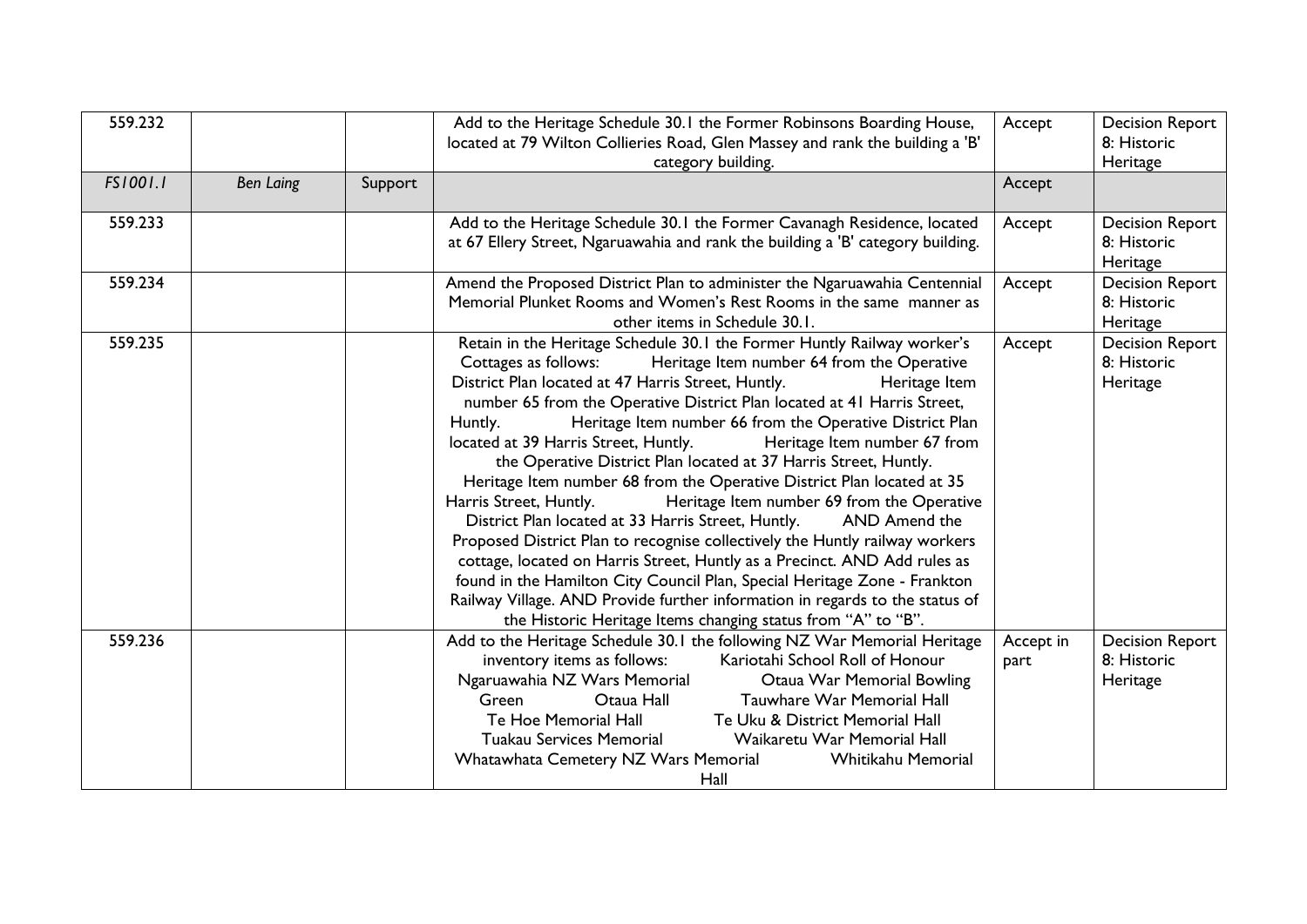| 559.232  |                  |         | Add to the Heritage Schedule 30.1 the Former Robinsons Boarding House,<br>located at 79 Wilton Collieries Road, Glen Massey and rank the building a 'B'<br>category building.                                                                                                                                                                                                                                                                                                                                                                                                                                                                                                                                                                                                                                                                                                                                                                                                                                                                                                                                                        | Accept            | <b>Decision Report</b><br>8: Historic<br>Heritage |
|----------|------------------|---------|--------------------------------------------------------------------------------------------------------------------------------------------------------------------------------------------------------------------------------------------------------------------------------------------------------------------------------------------------------------------------------------------------------------------------------------------------------------------------------------------------------------------------------------------------------------------------------------------------------------------------------------------------------------------------------------------------------------------------------------------------------------------------------------------------------------------------------------------------------------------------------------------------------------------------------------------------------------------------------------------------------------------------------------------------------------------------------------------------------------------------------------|-------------------|---------------------------------------------------|
| FS1001.1 | <b>Ben Laing</b> | Support |                                                                                                                                                                                                                                                                                                                                                                                                                                                                                                                                                                                                                                                                                                                                                                                                                                                                                                                                                                                                                                                                                                                                      | Accept            |                                                   |
| 559.233  |                  |         | Add to the Heritage Schedule 30.1 the Former Cavanagh Residence, located<br>at 67 Ellery Street, Ngaruawahia and rank the building a 'B' category building.                                                                                                                                                                                                                                                                                                                                                                                                                                                                                                                                                                                                                                                                                                                                                                                                                                                                                                                                                                          | Accept            | <b>Decision Report</b><br>8: Historic<br>Heritage |
| 559.234  |                  |         | Amend the Proposed District Plan to administer the Ngaruawahia Centennial<br>Memorial Plunket Rooms and Women's Rest Rooms in the same manner as<br>other items in Schedule 30.1.                                                                                                                                                                                                                                                                                                                                                                                                                                                                                                                                                                                                                                                                                                                                                                                                                                                                                                                                                    | Accept            | <b>Decision Report</b><br>8: Historic<br>Heritage |
| 559.235  |                  |         | Retain in the Heritage Schedule 30.1 the Former Huntly Railway worker's<br>Cottages as follows:<br>Heritage Item number 64 from the Operative<br>District Plan located at 47 Harris Street, Huntly.<br>Heritage Item<br>number 65 from the Operative District Plan located at 41 Harris Street,<br>Heritage Item number 66 from the Operative District Plan<br>Huntly.<br>located at 39 Harris Street, Huntly.<br>Heritage Item number 67 from<br>the Operative District Plan located at 37 Harris Street, Huntly.<br>Heritage Item number 68 from the Operative District Plan located at 35<br>Harris Street, Huntly.<br>Heritage Item number 69 from the Operative<br>District Plan located at 33 Harris Street, Huntly.<br>AND Amend the<br>Proposed District Plan to recognise collectively the Huntly railway workers<br>cottage, located on Harris Street, Huntly as a Precinct. AND Add rules as<br>found in the Hamilton City Council Plan, Special Heritage Zone - Frankton<br>Railway Village. AND Provide further information in regards to the status of<br>the Historic Heritage Items changing status from "A" to "B". | Accept            | <b>Decision Report</b><br>8: Historic<br>Heritage |
| 559.236  |                  |         | Add to the Heritage Schedule 30.1 the following NZ War Memorial Heritage<br>Kariotahi School Roll of Honour<br>inventory items as follows:<br>Ngaruawahia NZ Wars Memorial<br>Otaua War Memorial Bowling<br>Otaua Hall<br>Tauwhare War Memorial Hall<br>Green<br>Te Hoe Memorial Hall<br>Te Uku & District Memorial Hall<br>Tuakau Services Memorial<br>Waikaretu War Memorial Hall<br>Whatawhata Cemetery NZ Wars Memorial<br>Whitikahu Memorial<br>Hall                                                                                                                                                                                                                                                                                                                                                                                                                                                                                                                                                                                                                                                                            | Accept in<br>part | <b>Decision Report</b><br>8: Historic<br>Heritage |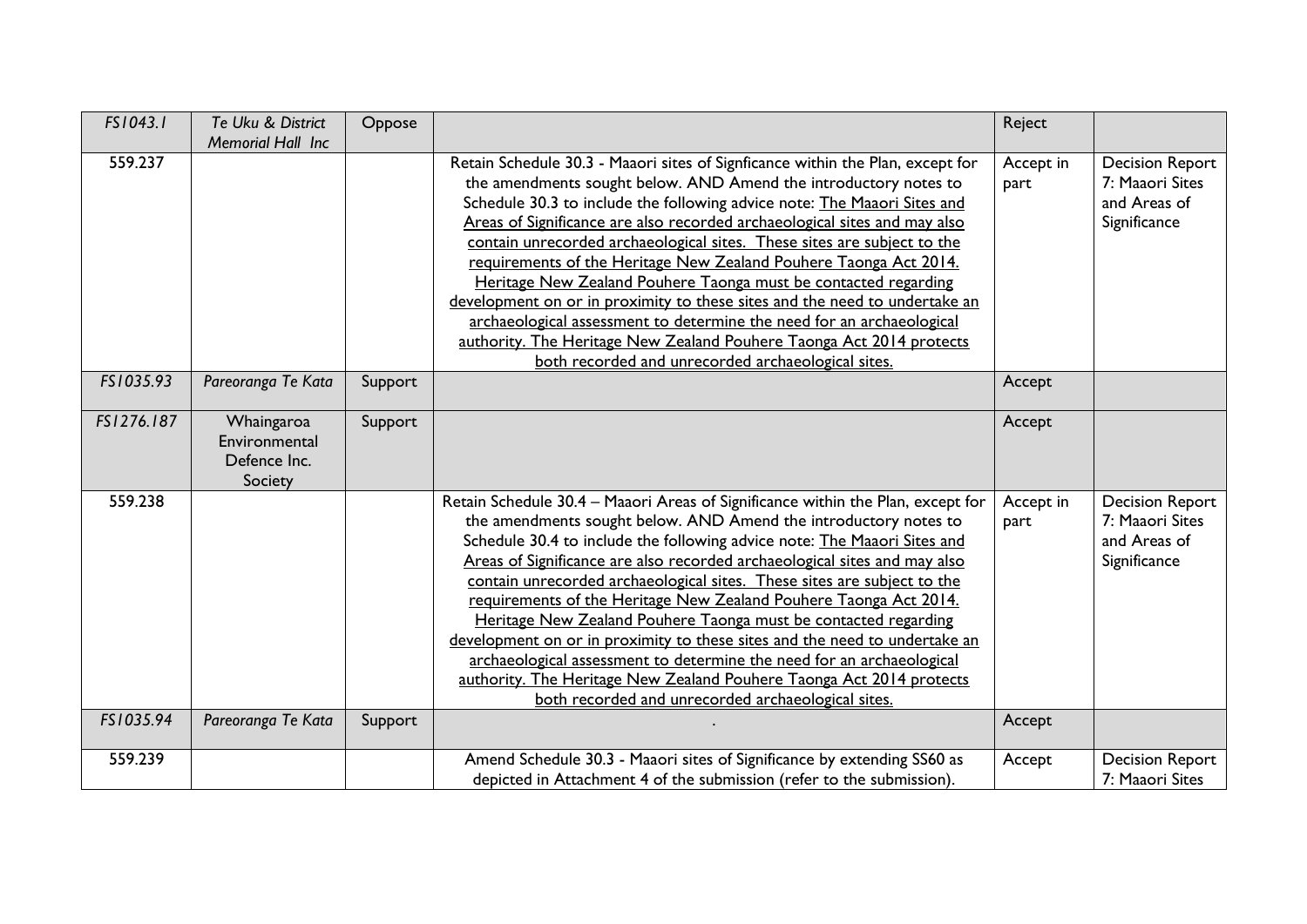| FS1043.1   | Te Uku & District<br>Memorial Hall Inc                 | Oppose  |                                                                                                                                                                                                                                                                                                                                                                                                                                                                                                                                                                                                                                                                                                                                                                                                                      | Reject            |                                                                           |
|------------|--------------------------------------------------------|---------|----------------------------------------------------------------------------------------------------------------------------------------------------------------------------------------------------------------------------------------------------------------------------------------------------------------------------------------------------------------------------------------------------------------------------------------------------------------------------------------------------------------------------------------------------------------------------------------------------------------------------------------------------------------------------------------------------------------------------------------------------------------------------------------------------------------------|-------------------|---------------------------------------------------------------------------|
| 559.237    |                                                        |         | Retain Schedule 30.3 - Maaori sites of Signficance within the Plan, except for<br>the amendments sought below. AND Amend the introductory notes to<br>Schedule 30.3 to include the following advice note: The Maaori Sites and<br>Areas of Significance are also recorded archaeological sites and may also<br>contain unrecorded archaeological sites. These sites are subject to the<br>requirements of the Heritage New Zealand Pouhere Taonga Act 2014.<br>Heritage New Zealand Pouhere Taonga must be contacted regarding<br>development on or in proximity to these sites and the need to undertake an<br>archaeological assessment to determine the need for an archaeological<br>authority. The Heritage New Zealand Pouhere Taonga Act 2014 protects<br>both recorded and unrecorded archaeological sites.  | Accept in<br>part | <b>Decision Report</b><br>7: Maaori Sites<br>and Areas of<br>Significance |
| FS1035.93  | Pareoranga Te Kata                                     | Support |                                                                                                                                                                                                                                                                                                                                                                                                                                                                                                                                                                                                                                                                                                                                                                                                                      | Accept            |                                                                           |
| FS1276.187 | Whaingaroa<br>Environmental<br>Defence Inc.<br>Society | Support |                                                                                                                                                                                                                                                                                                                                                                                                                                                                                                                                                                                                                                                                                                                                                                                                                      | Accept            |                                                                           |
| 559.238    |                                                        |         | Retain Schedule 30.4 - Maaori Areas of Significance within the Plan, except for<br>the amendments sought below. AND Amend the introductory notes to<br>Schedule 30.4 to include the following advice note: The Maaori Sites and<br>Areas of Significance are also recorded archaeological sites and may also<br>contain unrecorded archaeological sites. These sites are subject to the<br>requirements of the Heritage New Zealand Pouhere Taonga Act 2014.<br>Heritage New Zealand Pouhere Taonga must be contacted regarding<br>development on or in proximity to these sites and the need to undertake an<br>archaeological assessment to determine the need for an archaeological<br>authority. The Heritage New Zealand Pouhere Taonga Act 2014 protects<br>both recorded and unrecorded archaeological sites. | Accept in<br>part | <b>Decision Report</b><br>7: Maaori Sites<br>and Areas of<br>Significance |
| FS1035.94  | Pareoranga Te Kata                                     | Support |                                                                                                                                                                                                                                                                                                                                                                                                                                                                                                                                                                                                                                                                                                                                                                                                                      | Accept            |                                                                           |
| 559.239    |                                                        |         | Amend Schedule 30.3 - Maaori sites of Significance by extending SS60 as<br>depicted in Attachment 4 of the submission (refer to the submission).                                                                                                                                                                                                                                                                                                                                                                                                                                                                                                                                                                                                                                                                     | Accept            | <b>Decision Report</b><br>7: Maaori Sites                                 |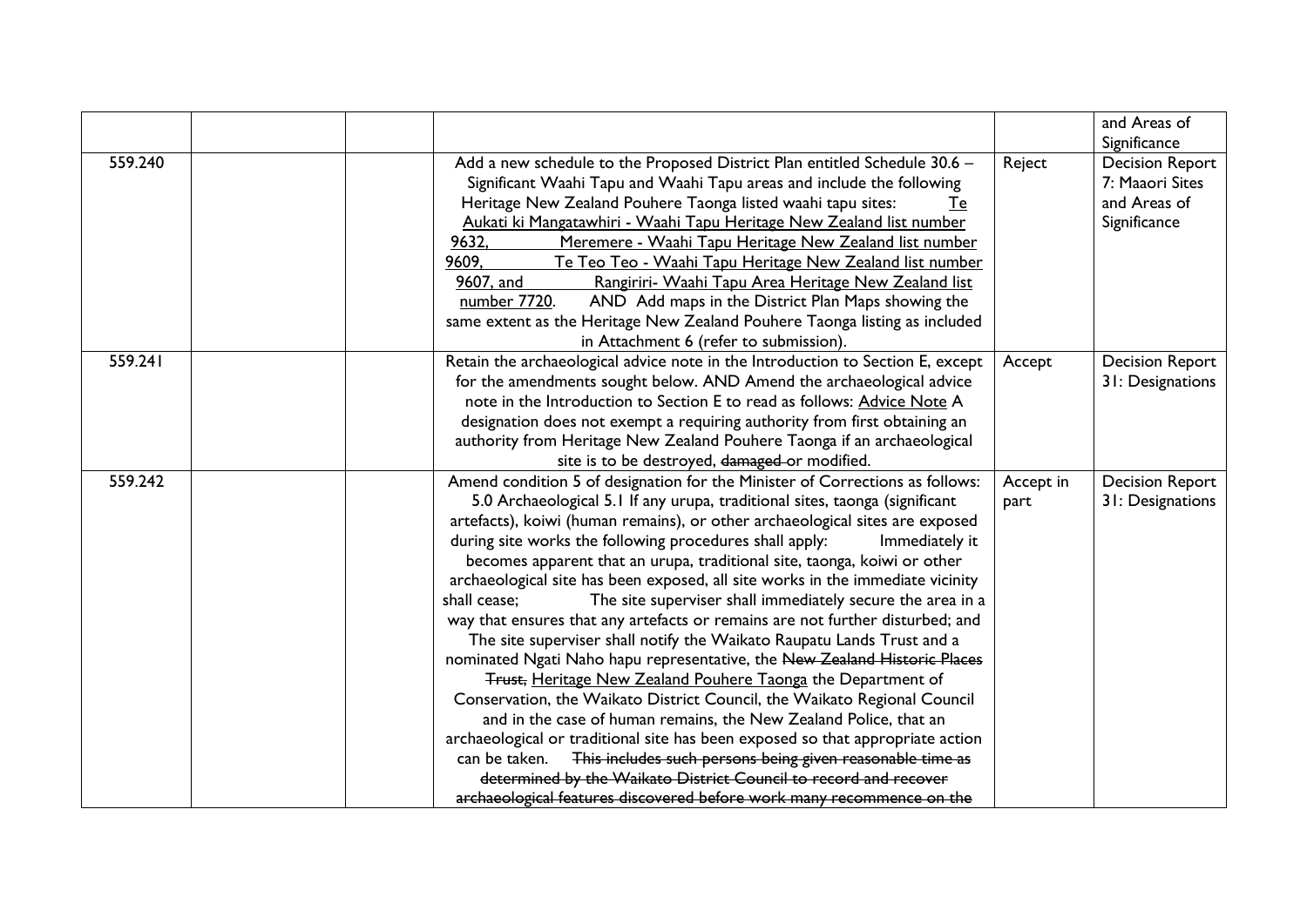|         |                                                                                |           | and Areas of                           |
|---------|--------------------------------------------------------------------------------|-----------|----------------------------------------|
| 559.240 | Add a new schedule to the Proposed District Plan entitled Schedule 30.6 -      | Reject    | Significance<br><b>Decision Report</b> |
|         | Significant Waahi Tapu and Waahi Tapu areas and include the following          |           | 7: Maaori Sites                        |
|         | Heritage New Zealand Pouhere Taonga listed waahi tapu sites:<br>Te             |           | and Areas of                           |
|         | Aukati ki Mangatawhiri - Waahi Tapu Heritage New Zealand list number           |           | Significance                           |
|         | 9632.<br>Meremere - Waahi Tapu Heritage New Zealand list number                |           |                                        |
|         | 9609.<br>Te Teo Teo - Waahi Tapu Heritage New Zealand list number              |           |                                        |
|         | Rangiriri- Waahi Tapu Area Heritage New Zealand list<br>9607, and              |           |                                        |
|         | number 7720.<br>AND Add maps in the District Plan Maps showing the             |           |                                        |
|         | same extent as the Heritage New Zealand Pouhere Taonga listing as included     |           |                                        |
|         | in Attachment 6 (refer to submission).                                         |           |                                        |
| 559.241 | Retain the archaeological advice note in the Introduction to Section E, except | Accept    | <b>Decision Report</b>                 |
|         | for the amendments sought below. AND Amend the archaeological advice           |           | 31: Designations                       |
|         | note in the Introduction to Section E to read as follows: Advice Note A        |           |                                        |
|         | designation does not exempt a requiring authority from first obtaining an      |           |                                        |
|         | authority from Heritage New Zealand Pouhere Taonga if an archaeological        |           |                                        |
|         | site is to be destroyed, damaged or modified.                                  |           |                                        |
| 559.242 | Amend condition 5 of designation for the Minister of Corrections as follows:   | Accept in | <b>Decision Report</b>                 |
|         | 5.0 Archaeological 5.1 If any urupa, traditional sites, taonga (significant    | part      | 31: Designations                       |
|         | artefacts), koiwi (human remains), or other archaeological sites are exposed   |           |                                        |
|         | during site works the following procedures shall apply:<br>Immediately it      |           |                                        |
|         | becomes apparent that an urupa, traditional site, taonga, koiwi or other       |           |                                        |
|         | archaeological site has been exposed, all site works in the immediate vicinity |           |                                        |
|         | shall cease;<br>The site superviser shall immediately secure the area in a     |           |                                        |
|         | way that ensures that any artefacts or remains are not further disturbed; and  |           |                                        |
|         | The site superviser shall notify the Waikato Raupatu Lands Trust and a         |           |                                        |
|         | nominated Ngati Naho hapu representative, the New Zealand Historic Places      |           |                                        |
|         | Trust, Heritage New Zealand Pouhere Taonga the Department of                   |           |                                        |
|         | Conservation, the Waikato District Council, the Waikato Regional Council       |           |                                        |
|         | and in the case of human remains, the New Zealand Police, that an              |           |                                        |
|         | archaeological or traditional site has been exposed so that appropriate action |           |                                        |
|         | This includes such persons being given reasonable time as<br>can be taken.     |           |                                        |
|         | determined by the Waikato District Council to record and recover               |           |                                        |
|         | archaeological features discovered before work many recommence on the          |           |                                        |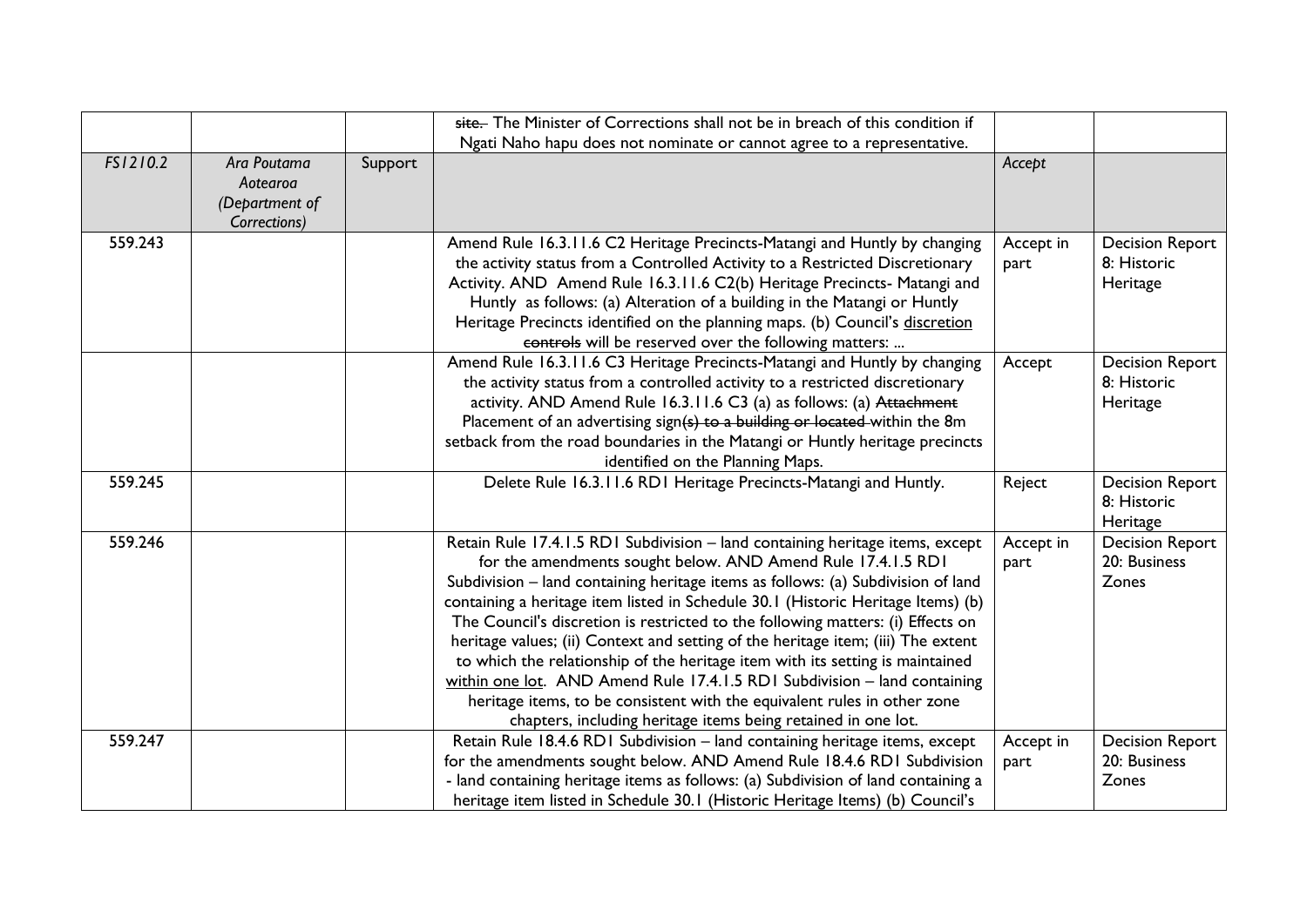|          |                                                           |         | site. The Minister of Corrections shall not be in breach of this condition if                                                                                                                                                                                                                                                                                                                                                                                                                                                                                                                                                                                                                                                                                                                           |                   |                                                   |
|----------|-----------------------------------------------------------|---------|---------------------------------------------------------------------------------------------------------------------------------------------------------------------------------------------------------------------------------------------------------------------------------------------------------------------------------------------------------------------------------------------------------------------------------------------------------------------------------------------------------------------------------------------------------------------------------------------------------------------------------------------------------------------------------------------------------------------------------------------------------------------------------------------------------|-------------------|---------------------------------------------------|
|          |                                                           |         | Ngati Naho hapu does not nominate or cannot agree to a representative.                                                                                                                                                                                                                                                                                                                                                                                                                                                                                                                                                                                                                                                                                                                                  |                   |                                                   |
| FS1210.2 | Ara Poutama<br>Aotearoa<br>(Department of<br>Corrections) | Support |                                                                                                                                                                                                                                                                                                                                                                                                                                                                                                                                                                                                                                                                                                                                                                                                         | Accept            |                                                   |
| 559.243  |                                                           |         | Amend Rule 16.3.11.6 C2 Heritage Precincts-Matangi and Huntly by changing<br>the activity status from a Controlled Activity to a Restricted Discretionary<br>Activity. AND Amend Rule 16.3.11.6 C2(b) Heritage Precincts- Matangi and<br>Huntly as follows: (a) Alteration of a building in the Matangi or Huntly<br>Heritage Precincts identified on the planning maps. (b) Council's discretion<br>controls will be reserved over the following matters:                                                                                                                                                                                                                                                                                                                                              | Accept in<br>part | <b>Decision Report</b><br>8: Historic<br>Heritage |
|          |                                                           |         | Amend Rule 16.3.11.6 C3 Heritage Precincts-Matangi and Huntly by changing<br>the activity status from a controlled activity to a restricted discretionary<br>activity. AND Amend Rule 16.3.11.6 C3 (a) as follows: (a) Attachment<br>Placement of an advertising sign( $s$ ) to a building or located within the 8m<br>setback from the road boundaries in the Matangi or Huntly heritage precincts<br>identified on the Planning Maps.                                                                                                                                                                                                                                                                                                                                                                 | Accept            | <b>Decision Report</b><br>8: Historic<br>Heritage |
| 559.245  |                                                           |         | Delete Rule 16.3.11.6 RD1 Heritage Precincts-Matangi and Huntly.                                                                                                                                                                                                                                                                                                                                                                                                                                                                                                                                                                                                                                                                                                                                        | Reject            | <b>Decision Report</b><br>8: Historic<br>Heritage |
| 559.246  |                                                           |         | Retain Rule 17.4.1.5 RD1 Subdivision - land containing heritage items, except<br>for the amendments sought below. AND Amend Rule 17.4.1.5 RD1<br>Subdivision – land containing heritage items as follows: (a) Subdivision of land<br>containing a heritage item listed in Schedule 30.1 (Historic Heritage Items) (b)<br>The Council's discretion is restricted to the following matters: (i) Effects on<br>heritage values; (ii) Context and setting of the heritage item; (iii) The extent<br>to which the relationship of the heritage item with its setting is maintained<br>within one lot. AND Amend Rule 17.4.1.5 RD1 Subdivision - land containing<br>heritage items, to be consistent with the equivalent rules in other zone<br>chapters, including heritage items being retained in one lot. | Accept in<br>part | <b>Decision Report</b><br>20: Business<br>Zones   |
| 559.247  |                                                           |         | Retain Rule 18.4.6 RD1 Subdivision - land containing heritage items, except<br>for the amendments sought below. AND Amend Rule 18.4.6 RD1 Subdivision<br>- land containing heritage items as follows: (a) Subdivision of land containing a<br>heritage item listed in Schedule 30.1 (Historic Heritage Items) (b) Council's                                                                                                                                                                                                                                                                                                                                                                                                                                                                             | Accept in<br>part | <b>Decision Report</b><br>20: Business<br>Zones   |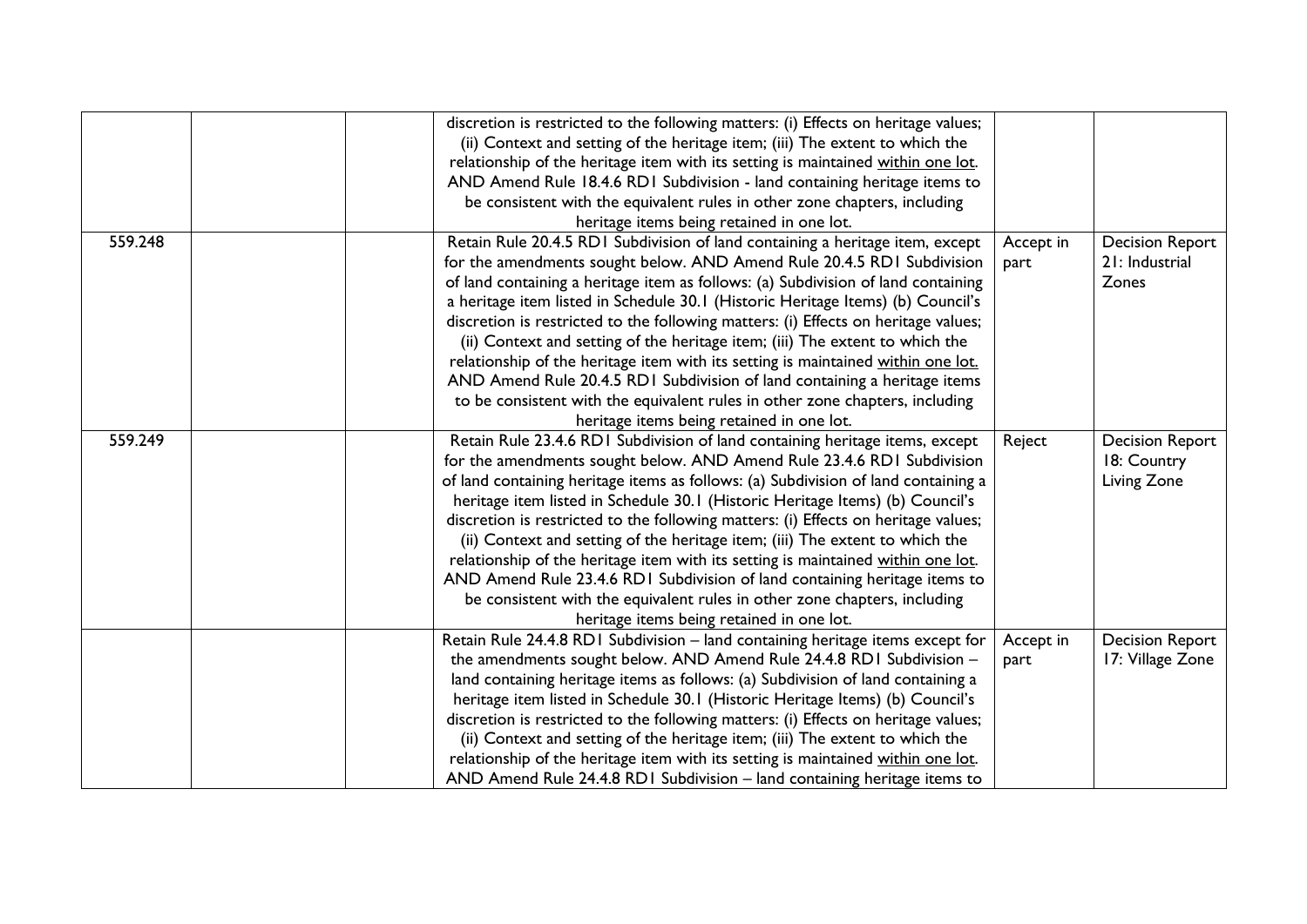|         | discretion is restricted to the following matters: (i) Effects on heritage values;<br>(ii) Context and setting of the heritage item; (iii) The extent to which the |           |                        |
|---------|--------------------------------------------------------------------------------------------------------------------------------------------------------------------|-----------|------------------------|
|         | relationship of the heritage item with its setting is maintained within one lot.                                                                                   |           |                        |
|         | AND Amend Rule 18.4.6 RD1 Subdivision - land containing heritage items to                                                                                          |           |                        |
|         | be consistent with the equivalent rules in other zone chapters, including                                                                                          |           |                        |
|         | heritage items being retained in one lot.                                                                                                                          |           |                        |
| 559.248 | Retain Rule 20.4.5 RD1 Subdivision of land containing a heritage item, except                                                                                      | Accept in | <b>Decision Report</b> |
|         | for the amendments sought below. AND Amend Rule 20.4.5 RDI Subdivision                                                                                             | part      | 21: Industrial         |
|         | of land containing a heritage item as follows: (a) Subdivision of land containing                                                                                  |           | Zones                  |
|         | a heritage item listed in Schedule 30.1 (Historic Heritage Items) (b) Council's                                                                                    |           |                        |
|         | discretion is restricted to the following matters: (i) Effects on heritage values;                                                                                 |           |                        |
|         | (ii) Context and setting of the heritage item; (iii) The extent to which the                                                                                       |           |                        |
|         | relationship of the heritage item with its setting is maintained within one lot.                                                                                   |           |                        |
|         | AND Amend Rule 20.4.5 RD1 Subdivision of land containing a heritage items                                                                                          |           |                        |
|         | to be consistent with the equivalent rules in other zone chapters, including                                                                                       |           |                        |
|         | heritage items being retained in one lot.                                                                                                                          |           |                        |
| 559.249 | Retain Rule 23.4.6 RD1 Subdivision of land containing heritage items, except                                                                                       | Reject    | <b>Decision Report</b> |
|         | for the amendments sought below. AND Amend Rule 23.4.6 RDI Subdivision                                                                                             |           | 18: Country            |
|         | of land containing heritage items as follows: (a) Subdivision of land containing a                                                                                 |           | Living Zone            |
|         | heritage item listed in Schedule 30.1 (Historic Heritage Items) (b) Council's                                                                                      |           |                        |
|         | discretion is restricted to the following matters: (i) Effects on heritage values;                                                                                 |           |                        |
|         | (ii) Context and setting of the heritage item; (iii) The extent to which the                                                                                       |           |                        |
|         | relationship of the heritage item with its setting is maintained within one lot.                                                                                   |           |                        |
|         | AND Amend Rule 23.4.6 RD1 Subdivision of land containing heritage items to                                                                                         |           |                        |
|         | be consistent with the equivalent rules in other zone chapters, including                                                                                          |           |                        |
|         | heritage items being retained in one lot.                                                                                                                          |           |                        |
|         | Retain Rule 24.4.8 RD1 Subdivision - land containing heritage items except for                                                                                     | Accept in | <b>Decision Report</b> |
|         | the amendments sought below. AND Amend Rule 24.4.8 RD1 Subdivision -                                                                                               | part      | 17: Village Zone       |
|         | land containing heritage items as follows: (a) Subdivision of land containing a                                                                                    |           |                        |
|         | heritage item listed in Schedule 30.1 (Historic Heritage Items) (b) Council's                                                                                      |           |                        |
|         | discretion is restricted to the following matters: (i) Effects on heritage values;                                                                                 |           |                        |
|         | (ii) Context and setting of the heritage item; (iii) The extent to which the                                                                                       |           |                        |
|         | relationship of the heritage item with its setting is maintained within one lot.                                                                                   |           |                        |
|         | AND Amend Rule 24.4.8 RD1 Subdivision - land containing heritage items to                                                                                          |           |                        |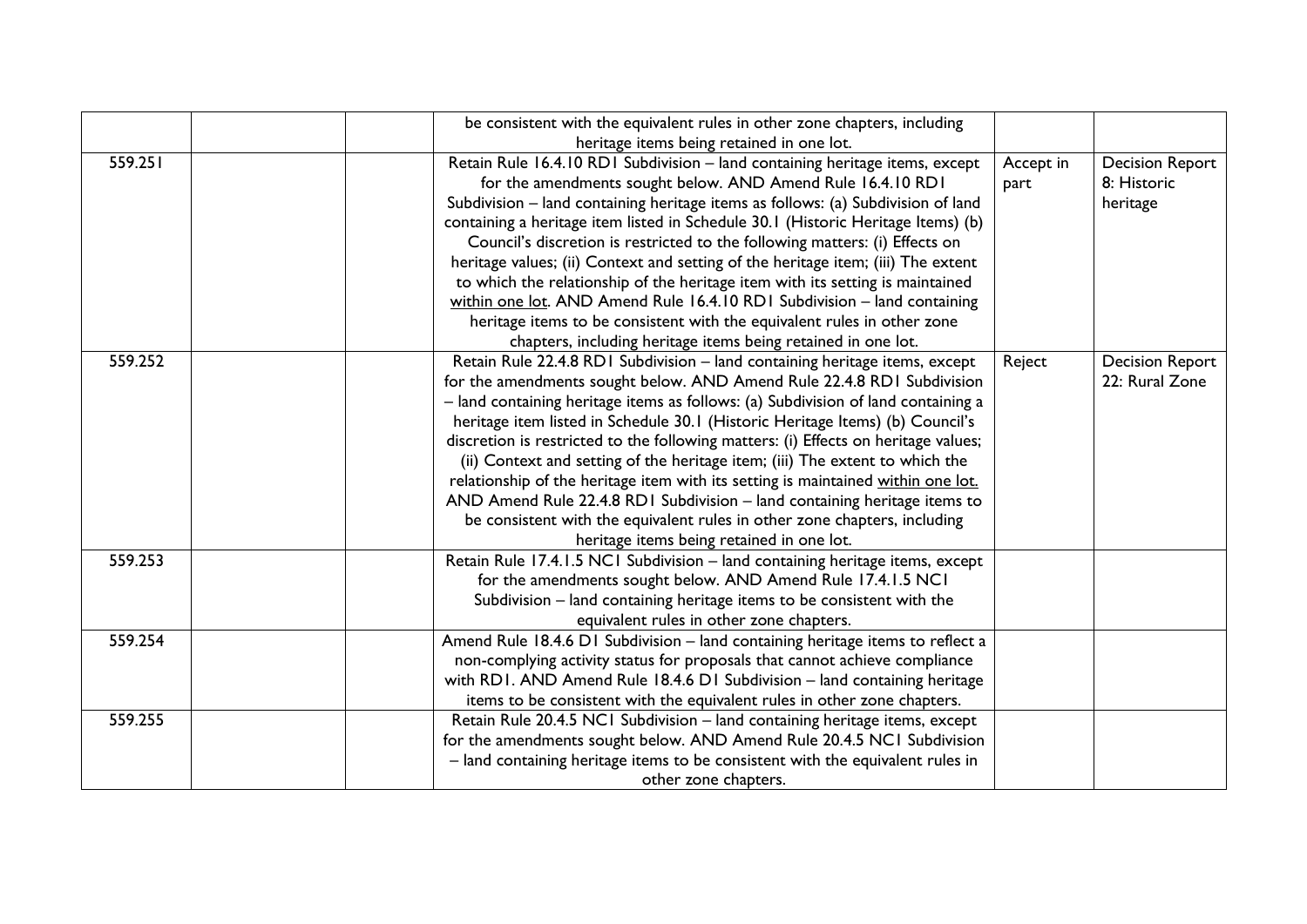|         | be consistent with the equivalent rules in other zone chapters, including          |           |                        |
|---------|------------------------------------------------------------------------------------|-----------|------------------------|
|         | heritage items being retained in one lot.                                          |           |                        |
| 559.251 | Retain Rule 16.4.10 RD1 Subdivision - land containing heritage items, except       | Accept in | <b>Decision Report</b> |
|         | for the amendments sought below. AND Amend Rule 16.4.10 RD1                        | part      | 8: Historic            |
|         | Subdivision – land containing heritage items as follows: (a) Subdivision of land   |           | heritage               |
|         | containing a heritage item listed in Schedule 30.1 (Historic Heritage Items) (b)   |           |                        |
|         | Council's discretion is restricted to the following matters: (i) Effects on        |           |                        |
|         | heritage values; (ii) Context and setting of the heritage item; (iii) The extent   |           |                        |
|         | to which the relationship of the heritage item with its setting is maintained      |           |                        |
|         | within one lot. AND Amend Rule 16.4.10 RD1 Subdivision - land containing           |           |                        |
|         | heritage items to be consistent with the equivalent rules in other zone            |           |                        |
|         | chapters, including heritage items being retained in one lot.                      |           |                        |
| 559.252 | Retain Rule 22.4.8 RD1 Subdivision - land containing heritage items, except        | Reject    | <b>Decision Report</b> |
|         | for the amendments sought below. AND Amend Rule 22.4.8 RDI Subdivision             |           | 22: Rural Zone         |
|         | - land containing heritage items as follows: (a) Subdivision of land containing a  |           |                        |
|         | heritage item listed in Schedule 30.1 (Historic Heritage Items) (b) Council's      |           |                        |
|         | discretion is restricted to the following matters: (i) Effects on heritage values; |           |                        |
|         | (ii) Context and setting of the heritage item; (iii) The extent to which the       |           |                        |
|         | relationship of the heritage item with its setting is maintained within one lot.   |           |                        |
|         | AND Amend Rule 22.4.8 RD1 Subdivision - land containing heritage items to          |           |                        |
|         | be consistent with the equivalent rules in other zone chapters, including          |           |                        |
|         | heritage items being retained in one lot.                                          |           |                        |
| 559.253 | Retain Rule 17.4.1.5 NC1 Subdivision - land containing heritage items, except      |           |                        |
|         | for the amendments sought below. AND Amend Rule 17.4.1.5 NC1                       |           |                        |
|         | Subdivision - land containing heritage items to be consistent with the             |           |                        |
|         | equivalent rules in other zone chapters.                                           |           |                        |
| 559.254 | Amend Rule 18.4.6 D1 Subdivision - land containing heritage items to reflect a     |           |                        |
|         | non-complying activity status for proposals that cannot achieve compliance         |           |                        |
|         | with RDI. AND Amend Rule 18.4.6 DI Subdivision - land containing heritage          |           |                        |
|         | items to be consistent with the equivalent rules in other zone chapters.           |           |                        |
| 559.255 | Retain Rule 20.4.5 NCI Subdivision - land containing heritage items, except        |           |                        |
|         | for the amendments sought below. AND Amend Rule 20.4.5 NCI Subdivision             |           |                        |
|         | - land containing heritage items to be consistent with the equivalent rules in     |           |                        |
|         | other zone chapters.                                                               |           |                        |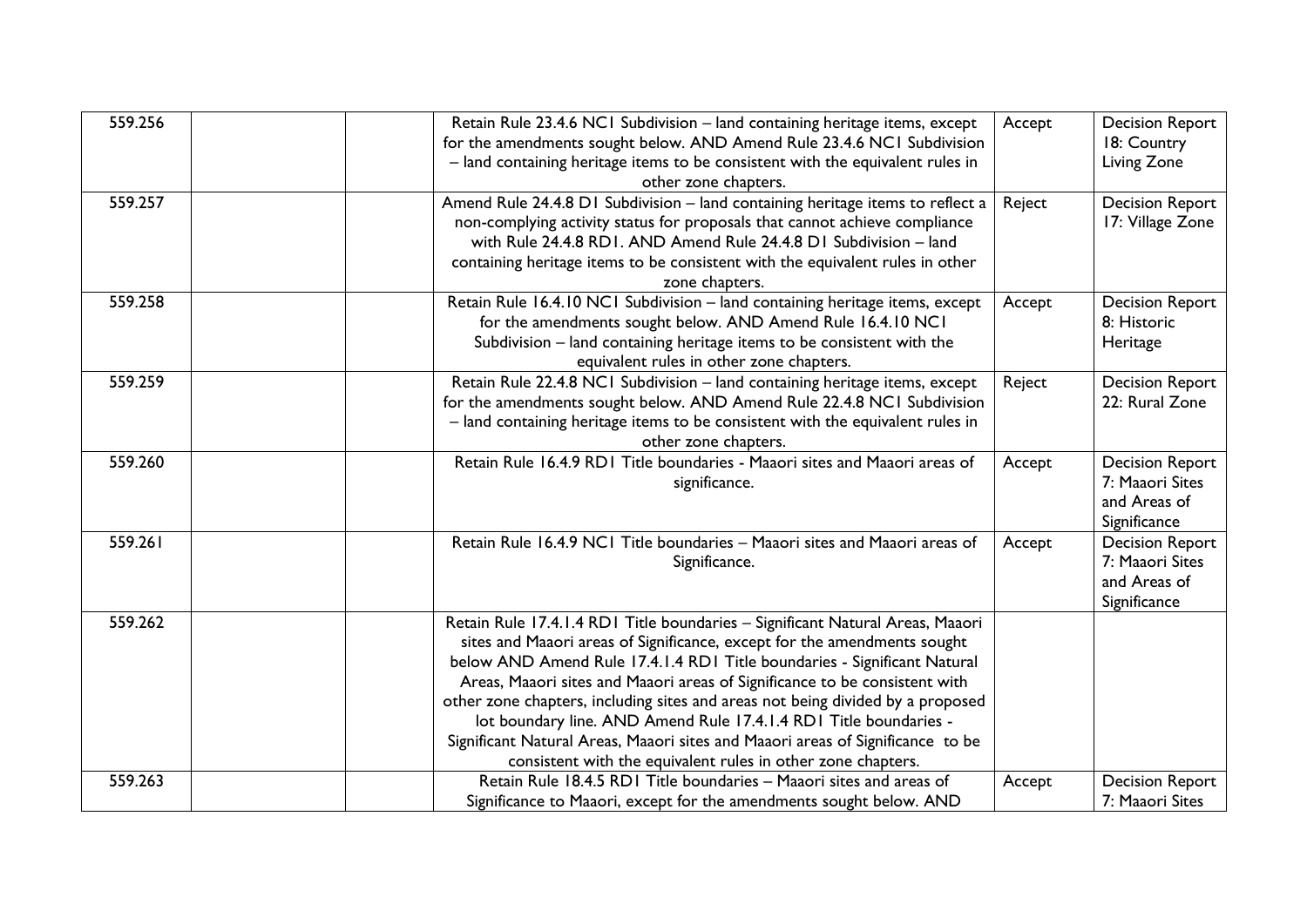| 559.256 | Retain Rule 23.4.6 NCI Subdivision - land containing heritage items, except<br>for the amendments sought below. AND Amend Rule 23.4.6 NCI Subdivision<br>- land containing heritage items to be consistent with the equivalent rules in<br>other zone chapters.                                                                                                                                                                                                                                                                                                                                                              | Accept | <b>Decision Report</b><br>18: Country<br>Living Zone                      |
|---------|------------------------------------------------------------------------------------------------------------------------------------------------------------------------------------------------------------------------------------------------------------------------------------------------------------------------------------------------------------------------------------------------------------------------------------------------------------------------------------------------------------------------------------------------------------------------------------------------------------------------------|--------|---------------------------------------------------------------------------|
| 559.257 | Amend Rule 24.4.8 D1 Subdivision - land containing heritage items to reflect a<br>non-complying activity status for proposals that cannot achieve compliance<br>with Rule 24.4.8 RD1, AND Amend Rule 24.4.8 D1 Subdivision - land<br>containing heritage items to be consistent with the equivalent rules in other<br>zone chapters.                                                                                                                                                                                                                                                                                         | Reject | <b>Decision Report</b><br>17: Village Zone                                |
| 559.258 | Retain Rule 16.4.10 NC1 Subdivision - land containing heritage items, except<br>for the amendments sought below. AND Amend Rule 16.4.10 NC1<br>Subdivision - land containing heritage items to be consistent with the<br>equivalent rules in other zone chapters.                                                                                                                                                                                                                                                                                                                                                            | Accept | <b>Decision Report</b><br>8: Historic<br>Heritage                         |
| 559.259 | Retain Rule 22.4.8 NCI Subdivision - land containing heritage items, except<br>for the amendments sought below. AND Amend Rule 22.4.8 NCI Subdivision<br>- land containing heritage items to be consistent with the equivalent rules in<br>other zone chapters.                                                                                                                                                                                                                                                                                                                                                              | Reject | <b>Decision Report</b><br>22: Rural Zone                                  |
| 559.260 | Retain Rule 16.4.9 RD1 Title boundaries - Maaori sites and Maaori areas of<br>significance.                                                                                                                                                                                                                                                                                                                                                                                                                                                                                                                                  | Accept | <b>Decision Report</b><br>7: Maaori Sites<br>and Areas of<br>Significance |
| 559.261 | Retain Rule 16.4.9 NCI Title boundaries - Maaori sites and Maaori areas of<br>Significance.                                                                                                                                                                                                                                                                                                                                                                                                                                                                                                                                  | Accept | <b>Decision Report</b><br>7: Maaori Sites<br>and Areas of<br>Significance |
| 559.262 | Retain Rule 17.4.1.4 RD1 Title boundaries - Significant Natural Areas, Maaori<br>sites and Maaori areas of Significance, except for the amendments sought<br>below AND Amend Rule 17.4.1.4 RD1 Title boundaries - Significant Natural<br>Areas, Maaori sites and Maaori areas of Significance to be consistent with<br>other zone chapters, including sites and areas not being divided by a proposed<br>lot boundary line. AND Amend Rule 17.4.1.4 RD1 Title boundaries -<br>Significant Natural Areas, Maaori sites and Maaori areas of Significance to be<br>consistent with the equivalent rules in other zone chapters. |        |                                                                           |
| 559.263 | Retain Rule 18.4.5 RD1 Title boundaries - Maaori sites and areas of<br>Significance to Maaori, except for the amendments sought below. AND                                                                                                                                                                                                                                                                                                                                                                                                                                                                                   | Accept | <b>Decision Report</b><br>7: Maaori Sites                                 |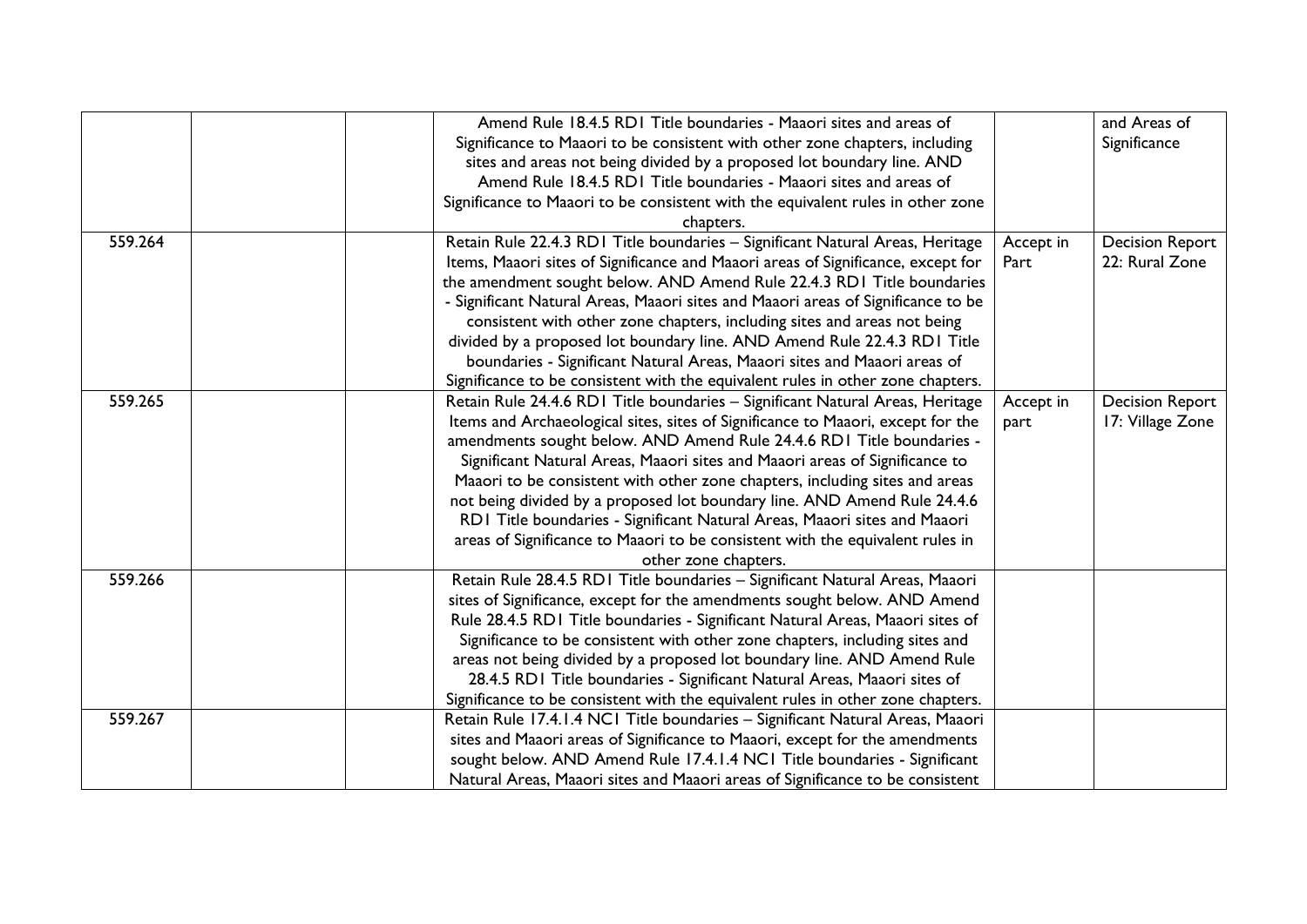|         | Amend Rule 18.4.5 RD1 Title boundaries - Maaori sites and areas of               |           | and Areas of           |
|---------|----------------------------------------------------------------------------------|-----------|------------------------|
|         | Significance to Maaori to be consistent with other zone chapters, including      |           | Significance           |
|         | sites and areas not being divided by a proposed lot boundary line. AND           |           |                        |
|         | Amend Rule 18.4.5 RD1 Title boundaries - Maaori sites and areas of               |           |                        |
|         | Significance to Maaori to be consistent with the equivalent rules in other zone  |           |                        |
|         | chapters.                                                                        |           |                        |
| 559.264 | Retain Rule 22.4.3 RD1 Title boundaries - Significant Natural Areas, Heritage    | Accept in | <b>Decision Report</b> |
|         | Items, Maaori sites of Significance and Maaori areas of Significance, except for | Part      | 22: Rural Zone         |
|         | the amendment sought below. AND Amend Rule 22.4.3 RDI Title boundaries           |           |                        |
|         | - Significant Natural Areas, Maaori sites and Maaori areas of Significance to be |           |                        |
|         | consistent with other zone chapters, including sites and areas not being         |           |                        |
|         | divided by a proposed lot boundary line. AND Amend Rule 22.4.3 RD1 Title         |           |                        |
|         | boundaries - Significant Natural Areas, Maaori sites and Maaori areas of         |           |                        |
|         | Significance to be consistent with the equivalent rules in other zone chapters.  |           |                        |
| 559.265 | Retain Rule 24.4.6 RD1 Title boundaries - Significant Natural Areas, Heritage    | Accept in | <b>Decision Report</b> |
|         | Items and Archaeological sites, sites of Significance to Maaori, except for the  | part      | 17: Village Zone       |
|         | amendments sought below. AND Amend Rule 24.4.6 RD1 Title boundaries -            |           |                        |
|         | Significant Natural Areas, Maaori sites and Maaori areas of Significance to      |           |                        |
|         | Maaori to be consistent with other zone chapters, including sites and areas      |           |                        |
|         | not being divided by a proposed lot boundary line. AND Amend Rule 24.4.6         |           |                        |
|         | RDI Title boundaries - Significant Natural Areas, Maaori sites and Maaori        |           |                        |
|         | areas of Significance to Maaori to be consistent with the equivalent rules in    |           |                        |
|         | other zone chapters.                                                             |           |                        |
| 559.266 | Retain Rule 28.4.5 RD1 Title boundaries - Significant Natural Areas, Maaori      |           |                        |
|         | sites of Significance, except for the amendments sought below. AND Amend         |           |                        |
|         | Rule 28.4.5 RD1 Title boundaries - Significant Natural Areas, Maaori sites of    |           |                        |
|         | Significance to be consistent with other zone chapters, including sites and      |           |                        |
|         | areas not being divided by a proposed lot boundary line. AND Amend Rule          |           |                        |
|         | 28.4.5 RD1 Title boundaries - Significant Natural Areas, Maaori sites of         |           |                        |
|         | Significance to be consistent with the equivalent rules in other zone chapters.  |           |                        |
| 559.267 | Retain Rule 17.4.1.4 NCI Title boundaries - Significant Natural Areas, Maaori    |           |                        |
|         | sites and Maaori areas of Significance to Maaori, except for the amendments      |           |                        |
|         | sought below. AND Amend Rule 17.4.1.4 NC1 Title boundaries - Significant         |           |                        |
|         | Natural Areas, Maaori sites and Maaori areas of Significance to be consistent    |           |                        |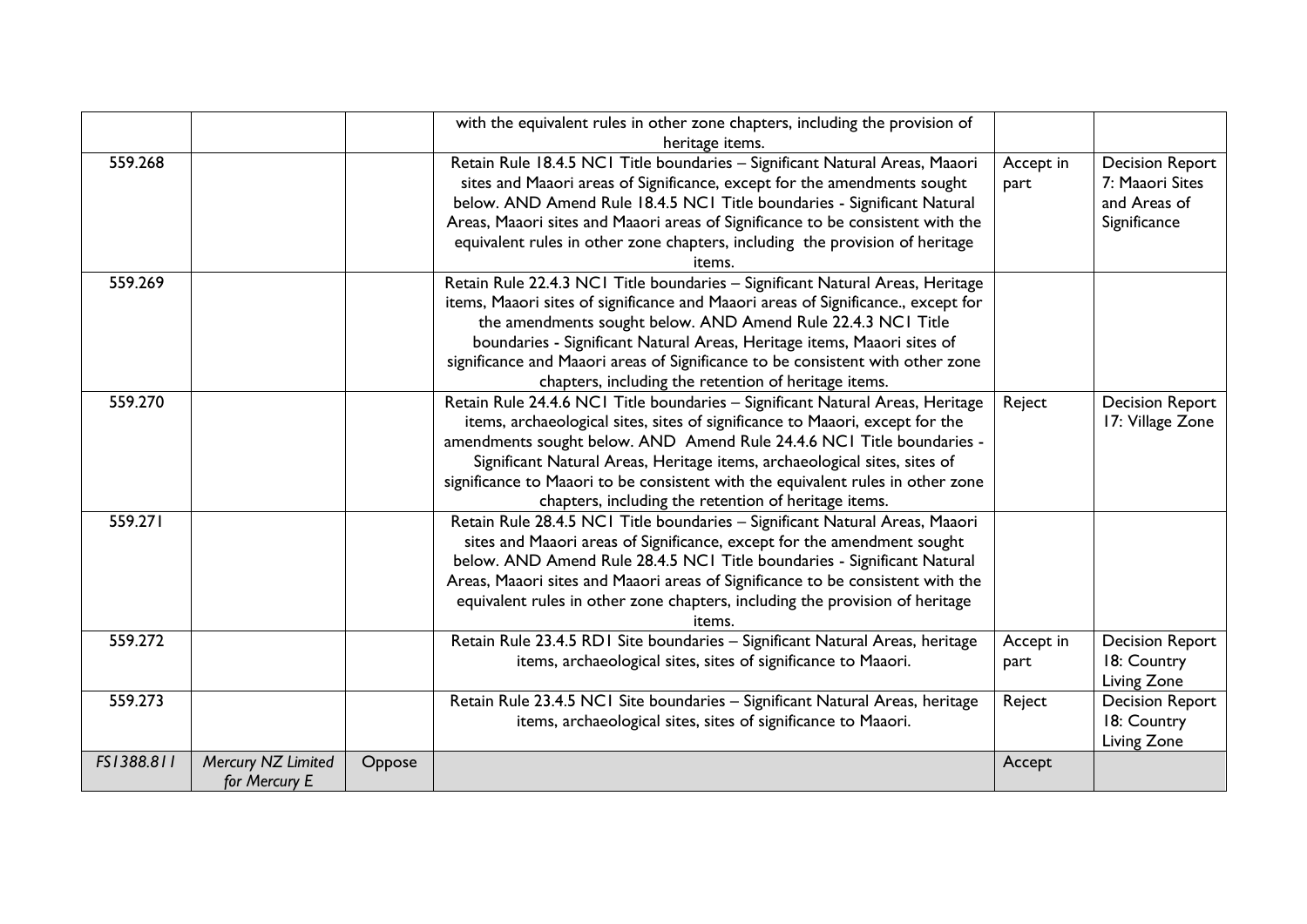|            |                                     |        | with the equivalent rules in other zone chapters, including the provision of<br>heritage items.                                                                                                                                                                                                                                                                                                                                                                |                   |                                                                           |
|------------|-------------------------------------|--------|----------------------------------------------------------------------------------------------------------------------------------------------------------------------------------------------------------------------------------------------------------------------------------------------------------------------------------------------------------------------------------------------------------------------------------------------------------------|-------------------|---------------------------------------------------------------------------|
| 559.268    |                                     |        | Retain Rule 18.4.5 NC1 Title boundaries - Significant Natural Areas, Maaori<br>sites and Maaori areas of Significance, except for the amendments sought<br>below. AND Amend Rule 18.4.5 NCI Title boundaries - Significant Natural<br>Areas, Maaori sites and Maaori areas of Significance to be consistent with the<br>equivalent rules in other zone chapters, including the provision of heritage<br>items.                                                 | Accept in<br>part | <b>Decision Report</b><br>7: Maaori Sites<br>and Areas of<br>Significance |
| 559.269    |                                     |        | Retain Rule 22.4.3 NC1 Title boundaries - Significant Natural Areas, Heritage<br>items, Maaori sites of significance and Maaori areas of Significance., except for<br>the amendments sought below. AND Amend Rule 22.4.3 NCI Title<br>boundaries - Significant Natural Areas, Heritage items, Maaori sites of<br>significance and Maaori areas of Significance to be consistent with other zone<br>chapters, including the retention of heritage items.        |                   |                                                                           |
| 559.270    |                                     |        | Retain Rule 24.4.6 NC1 Title boundaries - Significant Natural Areas, Heritage<br>items, archaeological sites, sites of significance to Maaori, except for the<br>amendments sought below. AND Amend Rule 24.4.6 NCI Title boundaries -<br>Significant Natural Areas, Heritage items, archaeological sites, sites of<br>significance to Maaori to be consistent with the equivalent rules in other zone<br>chapters, including the retention of heritage items. | Reject            | <b>Decision Report</b><br>17: Village Zone                                |
| 559.271    |                                     |        | Retain Rule 28.4.5 NCI Title boundaries - Significant Natural Areas, Maaori<br>sites and Maaori areas of Significance, except for the amendment sought<br>below. AND Amend Rule 28.4.5 NCI Title boundaries - Significant Natural<br>Areas, Maaori sites and Maaori areas of Significance to be consistent with the<br>equivalent rules in other zone chapters, including the provision of heritage<br>items.                                                  |                   |                                                                           |
| 559.272    |                                     |        | Retain Rule 23.4.5 RD1 Site boundaries - Significant Natural Areas, heritage<br>items, archaeological sites, sites of significance to Maaori.                                                                                                                                                                                                                                                                                                                  | Accept in<br>part | <b>Decision Report</b><br>18: Country<br>Living Zone                      |
| 559.273    |                                     |        | Retain Rule 23.4.5 NCI Site boundaries - Significant Natural Areas, heritage<br>items, archaeological sites, sites of significance to Maaori.                                                                                                                                                                                                                                                                                                                  | Reject            | <b>Decision Report</b><br>18: Country<br>Living Zone                      |
| FS1388.811 | Mercury NZ Limited<br>for Mercury E | Oppose |                                                                                                                                                                                                                                                                                                                                                                                                                                                                | Accept            |                                                                           |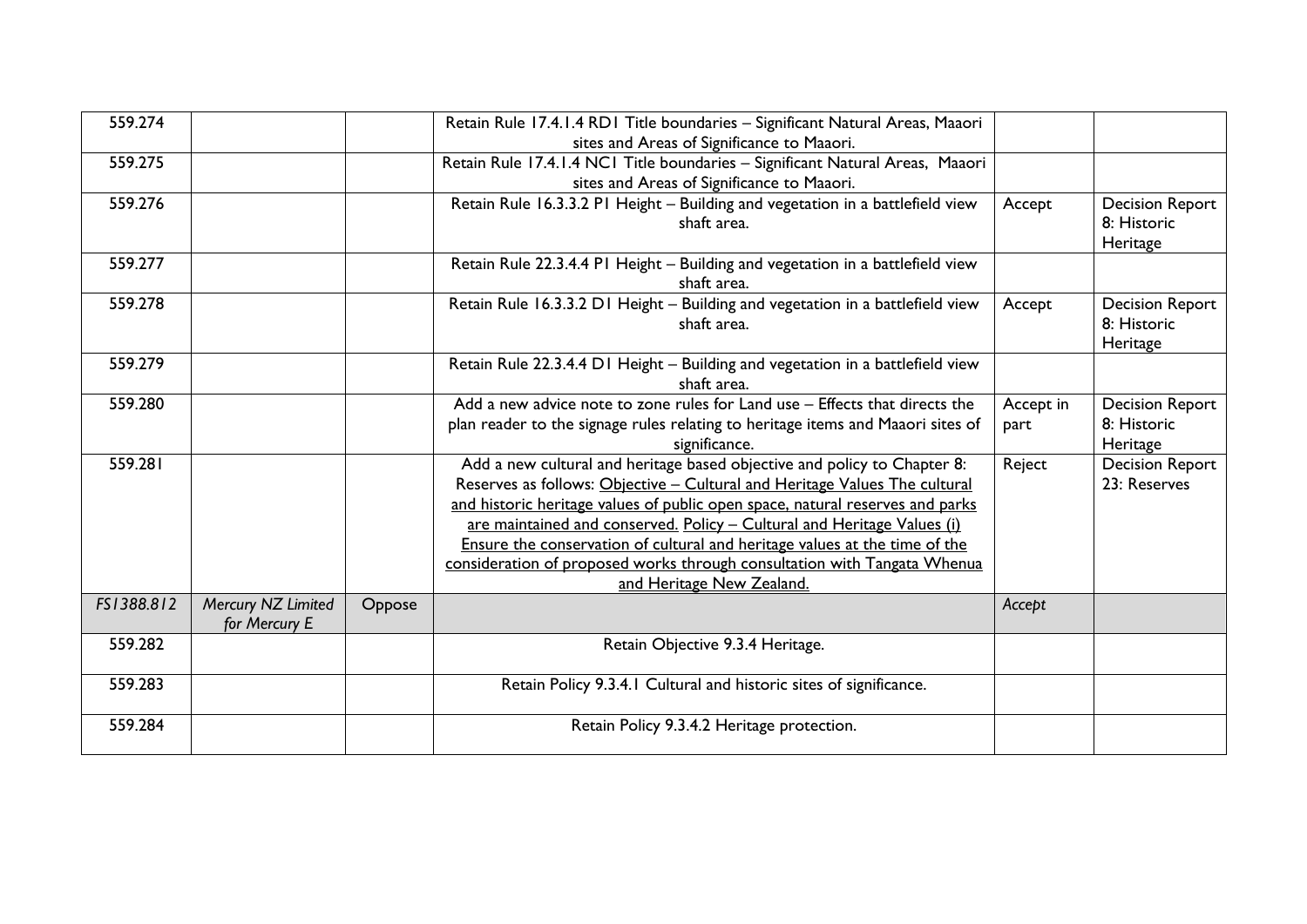| 559.274    |                    |        | Retain Rule 17.4.1.4 RD1 Title boundaries - Significant Natural Areas, Maaori<br>sites and Areas of Significance to Maaori. |           |                        |
|------------|--------------------|--------|-----------------------------------------------------------------------------------------------------------------------------|-----------|------------------------|
|            |                    |        |                                                                                                                             |           |                        |
| 559.275    |                    |        | Retain Rule 17.4.1.4 NC1 Title boundaries - Significant Natural Areas, Maaori                                               |           |                        |
|            |                    |        | sites and Areas of Significance to Maaori.                                                                                  |           |                        |
| 559.276    |                    |        | Retain Rule 16.3.3.2 P1 Height - Building and vegetation in a battlefield view                                              | Accept    | <b>Decision Report</b> |
|            |                    |        | shaft area.                                                                                                                 |           | 8: Historic            |
|            |                    |        |                                                                                                                             |           | Heritage               |
| 559.277    |                    |        | Retain Rule 22.3.4.4 PI Height - Building and vegetation in a battlefield view                                              |           |                        |
|            |                    |        | shaft area.                                                                                                                 |           |                        |
| 559.278    |                    |        | Retain Rule 16.3.3.2 D1 Height - Building and vegetation in a battlefield view                                              | Accept    | <b>Decision Report</b> |
|            |                    |        | shaft area.                                                                                                                 |           | 8: Historic            |
|            |                    |        |                                                                                                                             |           | Heritage               |
| 559.279    |                    |        | Retain Rule 22.3.4.4 D1 Height - Building and vegetation in a battlefield view                                              |           |                        |
|            |                    |        | shaft area.                                                                                                                 |           |                        |
| 559.280    |                    |        | Add a new advice note to zone rules for Land use - Effects that directs the                                                 | Accept in | <b>Decision Report</b> |
|            |                    |        | plan reader to the signage rules relating to heritage items and Maaori sites of                                             | part      | 8: Historic            |
|            |                    |        | significance.                                                                                                               |           | Heritage               |
| 559.281    |                    |        | Add a new cultural and heritage based objective and policy to Chapter 8:                                                    | Reject    | <b>Decision Report</b> |
|            |                    |        | Reserves as follows: Objective - Cultural and Heritage Values The cultural                                                  |           | 23: Reserves           |
|            |                    |        | and historic heritage values of public open space, natural reserves and parks                                               |           |                        |
|            |                    |        | are maintained and conserved. Policy - Cultural and Heritage Values (i)                                                     |           |                        |
|            |                    |        | Ensure the conservation of cultural and heritage values at the time of the                                                  |           |                        |
|            |                    |        | consideration of proposed works through consultation with Tangata Whenua                                                    |           |                        |
|            |                    |        | and Heritage New Zealand.                                                                                                   |           |                        |
| FS1388.812 | Mercury NZ Limited | Oppose |                                                                                                                             | Accept    |                        |
|            | for Mercury E      |        |                                                                                                                             |           |                        |
| 559.282    |                    |        | Retain Objective 9.3.4 Heritage.                                                                                            |           |                        |
|            |                    |        |                                                                                                                             |           |                        |
| 559.283    |                    |        | Retain Policy 9.3.4.1 Cultural and historic sites of significance.                                                          |           |                        |
|            |                    |        |                                                                                                                             |           |                        |
| 559.284    |                    |        | Retain Policy 9.3.4.2 Heritage protection.                                                                                  |           |                        |
|            |                    |        |                                                                                                                             |           |                        |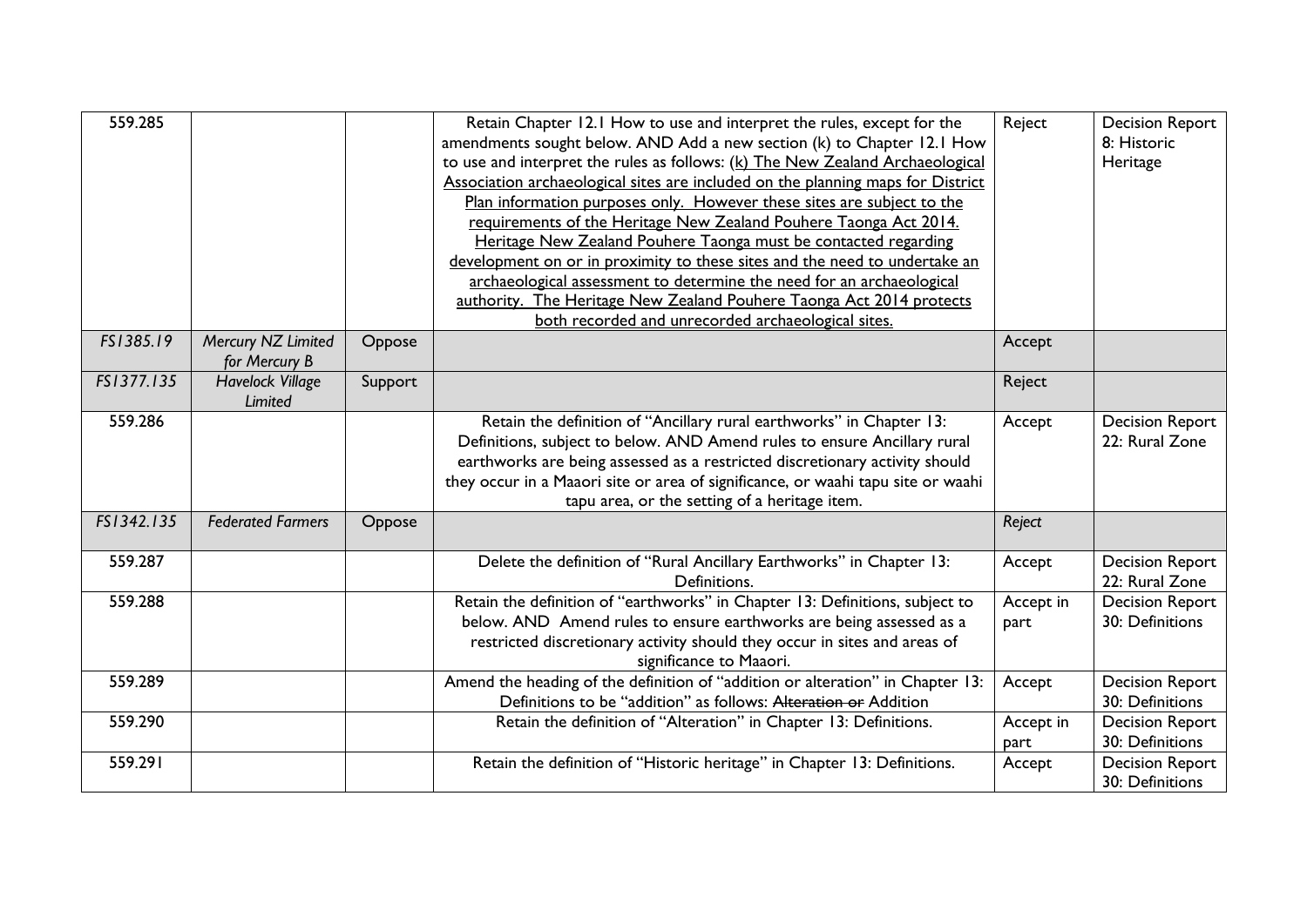| 559.285    |                                     |         | Retain Chapter 12.1 How to use and interpret the rules, except for the<br>amendments sought below. AND Add a new section (k) to Chapter 12.1 How<br>to use and interpret the rules as follows: (k) The New Zealand Archaeological<br>Association archaeological sites are included on the planning maps for District<br>Plan information purposes only. However these sites are subject to the<br>requirements of the Heritage New Zealand Pouhere Taonga Act 2014.<br>Heritage New Zealand Pouhere Taonga must be contacted regarding<br>development on or in proximity to these sites and the need to undertake an<br>archaeological assessment to determine the need for an archaeological<br>authority. The Heritage New Zealand Pouhere Taonga Act 2014 protects<br>both recorded and unrecorded archaeological sites. | Reject            | <b>Decision Report</b><br>8: Historic<br>Heritage |
|------------|-------------------------------------|---------|-----------------------------------------------------------------------------------------------------------------------------------------------------------------------------------------------------------------------------------------------------------------------------------------------------------------------------------------------------------------------------------------------------------------------------------------------------------------------------------------------------------------------------------------------------------------------------------------------------------------------------------------------------------------------------------------------------------------------------------------------------------------------------------------------------------------------------|-------------------|---------------------------------------------------|
| FS1385.19  | Mercury NZ Limited<br>for Mercury B | Oppose  |                                                                                                                                                                                                                                                                                                                                                                                                                                                                                                                                                                                                                                                                                                                                                                                                                             | Accept            |                                                   |
| FS1377.135 | <b>Havelock Village</b><br>Limited  | Support |                                                                                                                                                                                                                                                                                                                                                                                                                                                                                                                                                                                                                                                                                                                                                                                                                             | Reject            |                                                   |
| 559.286    |                                     |         | Retain the definition of "Ancillary rural earthworks" in Chapter 13:<br>Definitions, subject to below. AND Amend rules to ensure Ancillary rural<br>earthworks are being assessed as a restricted discretionary activity should<br>they occur in a Maaori site or area of significance, or waahi tapu site or waahi<br>tapu area, or the setting of a heritage item.                                                                                                                                                                                                                                                                                                                                                                                                                                                        | Accept            | <b>Decision Report</b><br>22: Rural Zone          |
| FS1342.135 | <b>Federated Farmers</b>            | Oppose  |                                                                                                                                                                                                                                                                                                                                                                                                                                                                                                                                                                                                                                                                                                                                                                                                                             | Reject            |                                                   |
| 559.287    |                                     |         | Delete the definition of "Rural Ancillary Earthworks" in Chapter 13:<br>Definitions.                                                                                                                                                                                                                                                                                                                                                                                                                                                                                                                                                                                                                                                                                                                                        | Accept            | <b>Decision Report</b><br>22: Rural Zone          |
| 559.288    |                                     |         | Retain the definition of "earthworks" in Chapter 13: Definitions, subject to<br>below. AND Amend rules to ensure earthworks are being assessed as a<br>restricted discretionary activity should they occur in sites and areas of<br>significance to Maaori.                                                                                                                                                                                                                                                                                                                                                                                                                                                                                                                                                                 | Accept in<br>part | <b>Decision Report</b><br>30: Definitions         |
| 559.289    |                                     |         | Amend the heading of the definition of "addition or alteration" in Chapter 13:<br>Definitions to be "addition" as follows: Alteration or Addition                                                                                                                                                                                                                                                                                                                                                                                                                                                                                                                                                                                                                                                                           | Accept            | <b>Decision Report</b><br>30: Definitions         |
| 559.290    |                                     |         | Retain the definition of "Alteration" in Chapter 13: Definitions.                                                                                                                                                                                                                                                                                                                                                                                                                                                                                                                                                                                                                                                                                                                                                           | Accept in<br>part | <b>Decision Report</b><br>30: Definitions         |
| 559.291    |                                     |         | Retain the definition of "Historic heritage" in Chapter 13: Definitions.                                                                                                                                                                                                                                                                                                                                                                                                                                                                                                                                                                                                                                                                                                                                                    | Accept            | <b>Decision Report</b><br>30: Definitions         |